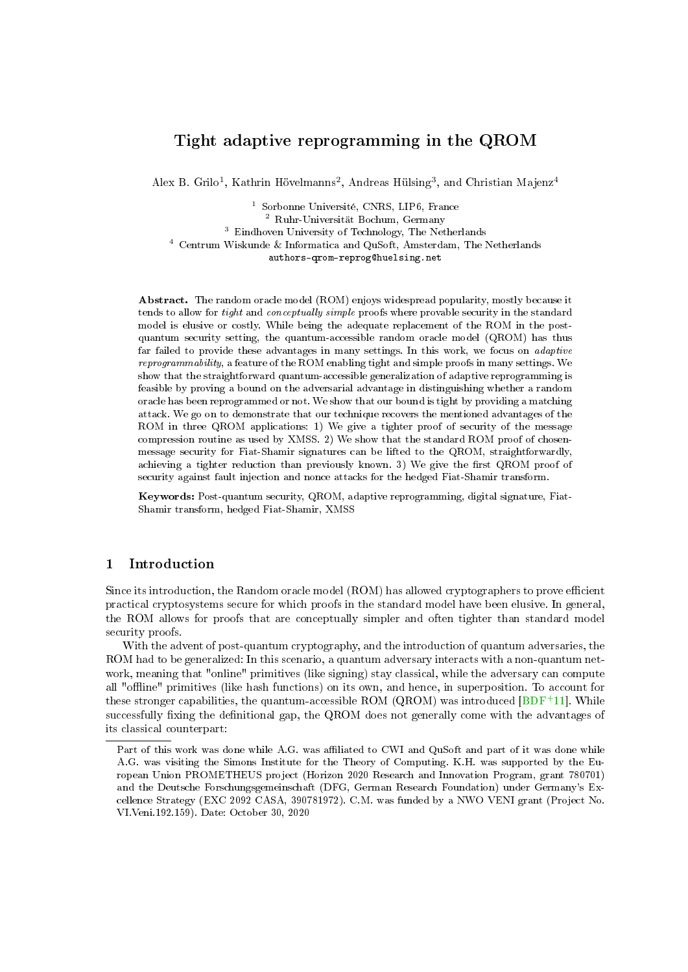# Tight adaptive reprogramming in the QROM

Alex B. Grilo<sup>1</sup>, Kathrin Hövelmanns<sup>2</sup>, Andreas Hülsing<sup>3</sup>, and Christian Majenz<sup>4</sup>

<sup>1</sup> Sorbonne Université, CNRS, LIP6, France <sup>2</sup> Ruhr-Universität Bochum, Germany <sup>3</sup> Eindhoven University of Technology, The Netherlands <sup>4</sup> Centrum Wiskunde & Informatica and QuSoft, Amsterdam, The Netherlands authors-qrom-reprog@huelsing.net

Abstract. The random oracle model (ROM) enjoys widespread popularity, mostly because it tends to allow for *tight* and *conceptually simple* proofs where provable security in the standard model is elusive or costly. While being the adequate replacement of the ROM in the postquantum security setting, the quantum-accessible random oracle model (QROM) has thus far failed to provide these advantages in many settings. In this work, we focus on adaptive reprogrammability, a feature of the ROM enabling tight and simple proofs in many settings. We show that the straightforward quantum-accessible generalization of adaptive reprogramming is feasible by proving a bound on the adversarial advantage in distinguishing whether a random oracle has been reprogrammed or not. We show that our bound is tight by providing a matching attack. We go on to demonstrate that our technique recovers the mentioned advantages of the ROM in three QROM applications: 1) We give a tighter proof of security of the message compression routine as used by XMSS. 2) We show that the standard ROM proof of chosenmessage security for Fiat-Shamir signatures can be lifted to the QROM, straightforwardly, achieving a tighter reduction than previously known. 3) We give the first QROM proof of security against fault injection and nonce attacks for the hedged Fiat-Shamir transform.

Keywords: Post-quantum security, QROM, adaptive reprogramming, digital signature, Fiat-Shamir transform, hedged Fiat-Shamir, XMSS

# 1 Introduction

Since its introduction, the Random oracle model (ROM) has allowed cryptographers to prove efficient practical cryptosystems secure for which proofs in the standard model have been elusive. In general, the ROM allows for proofs that are conceptually simpler and often tighter than standard model security proofs.

With the advent of post-quantum cryptography, and the introduction of quantum adversaries, the ROM had to be generalized: In this scenario, a quantum adversary interacts with a non-quantum network, meaning that "online" primitives (like signing) stay classical, while the adversary can compute all "offline" primitives (like hash functions) on its own, and hence, in superposition. To account for these stronger capabilities, the quantum-accessible ROM (QROM) was introduced  $[BDF^+11]$  $[BDF^+11]$ . While successfully fixing the definitional gap, the QROM does not generally come with the advantages of its classical counterpart:

Part of this work was done while A.G. was affiliated to CWI and QuSoft and part of it was done while A.G. was visiting the Simons Institute for the Theory of Computing. K.H. was supported by the European Union PROMETHEUS project (Horizon 2020 Research and Innovation Program, grant 780701) and the Deutsche Forschungsgemeinschaft (DFG, German Research Foundation) under Germany's Excellence Strategy (EXC 2092 CASA, 390781972). C.M. was funded by a NWO VENI grant (Project No. VI.Veni.192.159). Date: October 30, 2020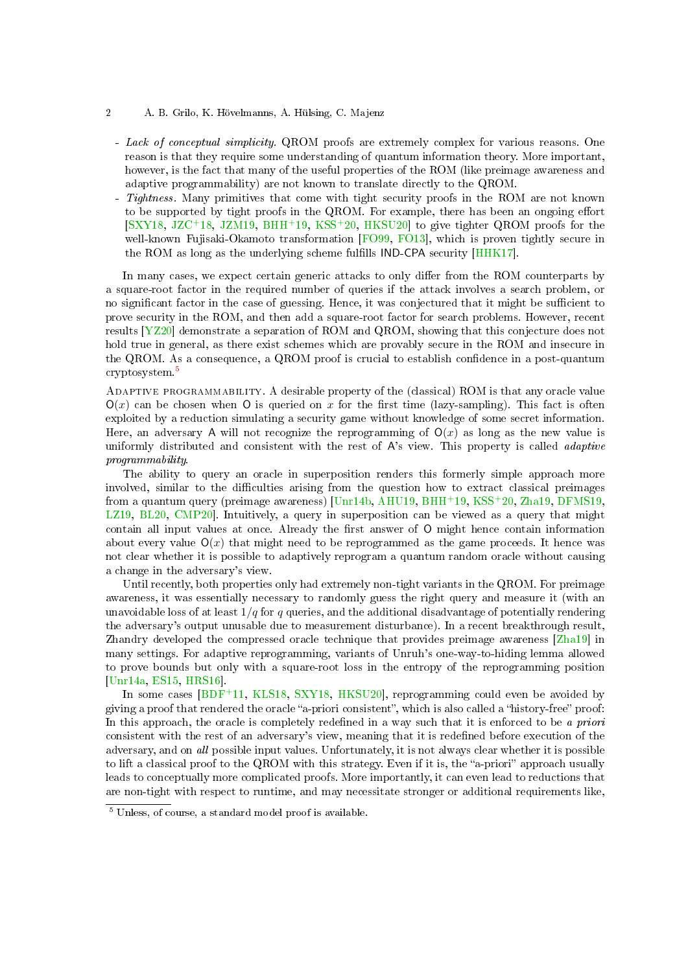- 2 A. B. Grilo, K. Hövelmanns, A. Hülsing, C. Majenz
	- Lack of conceptual simplicity. QROM proofs are extremely complex for various reasons. One reason is that they require some understanding of quantum information theory. More important, however, is the fact that many of the useful properties of the ROM (like preimage awareness and adaptive programmability) are not known to translate directly to the QROM.
	- Tightness. Many primitives that come with tight security proofs in the ROM are not known to be supported by tight proofs in the QROM. For example, there has been an ongoing effort [\[SXY18,](#page-25-0) [JZC](#page-25-1)+18, [JZM19,](#page-25-2) [BHH](#page-24-0)+19, [KSS](#page-25-3)+20, [HKSU20\]](#page-24-1) to give tighter QROM proofs for the well-known Fujisaki-Okamoto transformation [\[FO99,](#page-24-2) [FO13\]](#page-24-3), which is proven tightly secure in the ROM as long as the underlying scheme fullls IND-CPA security [\[HHK17\]](#page-24-4).

In many cases, we expect certain generic attacks to only differ from the ROM counterparts by a square-root factor in the required number of queries if the attack involves a search problem, or no significant factor in the case of guessing. Hence, it was conjectured that it might be sufficient to prove security in the ROM, and then add a square-root factor for search problems. However, recent results [\[YZ20\]](#page-26-0) demonstrate a separation of ROM and QROM, showing that this conjecture does not hold true in general, as there exist schemes which are provably secure in the ROM and insecure in the QROM. As a consequence, a QROM proof is crucial to establish confidence in a post-quantum cryptosystem.[5](#page-1-0)

Adaptive programmability. A desirable property of the (classical) ROM is that any oracle value  $O(x)$  can be chosen when O is queried on x for the first time (lazy-sampling). This fact is often exploited by a reduction simulating a security game without knowledge of some secret information. Here, an adversary A will not recognize the reprogramming of  $O(x)$  as long as the new value is uniformly distributed and consistent with the rest of A's view. This property is called *adaptive* programmability.

The ability to query an oracle in superposition renders this formerly simple approach more involved, similar to the difficulties arising from the question how to extract classical preimages from a quantum query (preimage awareness) [\[Unr14b,](#page-25-4) [AHU19,](#page-23-1) [BHH](#page-24-0)<sup>+</sup>19, [KSS](#page-25-3)<sup>+</sup>20, [Zha19,](#page-26-1) [DFMS19,](#page-24-5) [LZ19,](#page-25-5) [BL20,](#page-24-6) [CMP20\]](#page-24-7). Intuitively, a query in superposition can be viewed as a query that might contain all input values at once. Already the first answer of O might hence contain information about every value  $O(x)$  that might need to be reprogrammed as the game proceeds. It hence was not clear whether it is possible to adaptively reprogram a quantum random oracle without causing a change in the adversary's view.

Until recently, both properties only had extremely non-tight variants in the QROM. For preimage awareness, it was essentially necessary to randomly guess the right query and measure it (with an unavoidable loss of at least  $1/q$  for q queries, and the additional disadvantage of potentially rendering the adversary's output unusable due to measurement disturbance). In a recent breakthrough result, Zhandry developed the compressed oracle technique that provides preimage awareness [\[Zha19\]](#page-26-1) in many settings. For adaptive reprogramming, variants of Unruh's one-way-to-hiding lemma allowed to prove bounds but only with a square-root loss in the entropy of the reprogramming position [\[Unr14a,](#page-25-6) [ES15,](#page-24-8) [HRS16\]](#page-25-7).

In some cases [\[BDF](#page-23-0)<sup>+</sup>11, [KLS18,](#page-25-8) [SXY18,](#page-25-0) [HKSU20\]](#page-24-1), reprogramming could even be avoided by giving a proof that rendered the oracle "a-priori consistent", which is also called a "history-free" proof: In this approach, the oracle is completely redefined in a way such that it is enforced to be a priori consistent with the rest of an adversary's view, meaning that it is redefined before execution of the adversary, and on all possible input values. Unfortunately, it is not always clear whether it is possible to lift a classical proof to the QROM with this strategy. Even if it is, the "a-priori" approach usually leads to conceptually more complicated proofs. More importantly, it can even lead to reductions that are non-tight with respect to runtime, and may necessitate stronger or additional requirements like,

<span id="page-1-0"></span><sup>5</sup> Unless, of course, a standard model proof is available.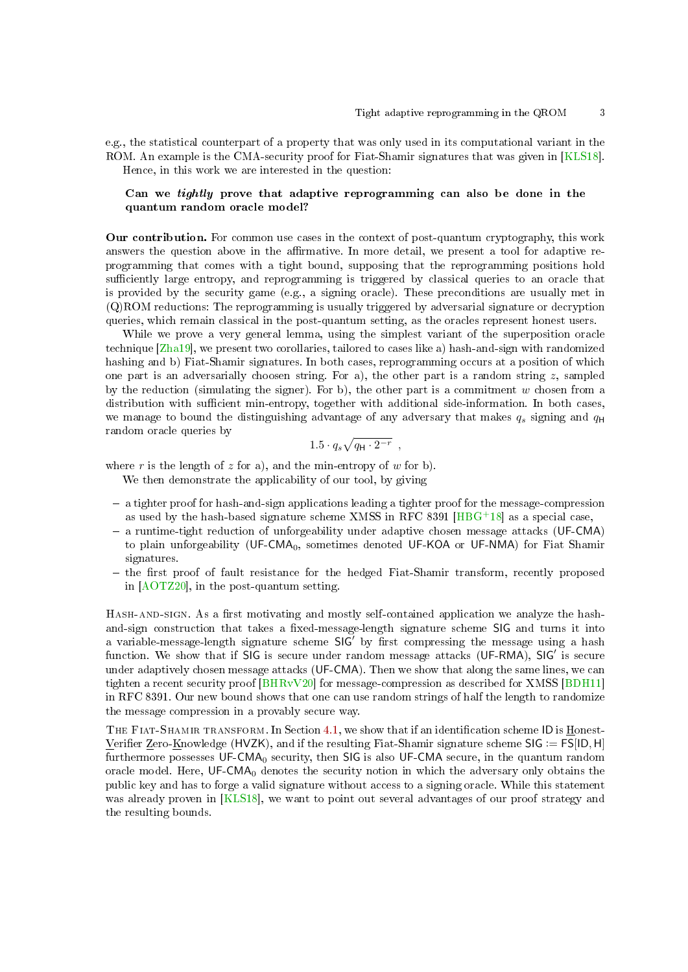e.g., the statistical counterpart of a property that was only used in its computational variant in the ROM. An example is the CMA-security proof for Fiat-Shamir signatures that was given in [\[KLS18\]](#page-25-8). Hence, in this work we are interested in the question:

# Can we tightly prove that adaptive reprogramming can also be done in the quantum random oracle model?

Our contribution. For common use cases in the context of post-quantum cryptography, this work answers the question above in the affirmative. In more detail, we present a tool for adaptive reprogramming that comes with a tight bound, supposing that the reprogramming positions hold sufficiently large entropy, and reprogramming is triggered by classical queries to an oracle that is provided by the security game (e.g., a signing oracle). These preconditions are usually met in (Q)ROM reductions: The reprogramming is usually triggered by adversarial signature or decryption queries, which remain classical in the post-quantum setting, as the oracles represent honest users.

While we prove a very general lemma, using the simplest variant of the superposition oracle technique [\[Zha19\]](#page-26-1), we present two corollaries, tailored to cases like a) hash-and-sign with randomized hashing and b) Fiat-Shamir signatures. In both cases, reprogramming occurs at a position of which one part is an adversarially choosen string. For a), the other part is a random string  $z$ , sampled by the reduction (simulating the signer). For b), the other part is a commitment  $w$  chosen from a distribution with sufficient min-entropy, together with additional side-information. In both cases, we manage to bound the distinguishing advantage of any adversary that makes  $q_s$  signing and  $q_H$ random oracle queries by

$$
1.5 \cdot q_s \sqrt{q_{\mathsf{H}} \cdot 2^{-r}} \enspace ,
$$

where r is the length of z for a), and the min-entropy of w for b).

We then demonstrate the applicability of our tool, by giving

- a tighter proof for hash-and-sign applications leading a tighter proof for the message-compression as used by the hash-based signature scheme XMSS in RFC 8391  $[HBG+18]$  $[HBG+18]$  as a special case,
- a runtime-tight reduction of unforgeability under adaptive chosen message attacks (UF-CMA) to plain unforgeability (UF-CMA<sub>0</sub>, sometimes denoted UF-KOA or UF-NMA) for Fiat Shamir signatures.
- the first proof of fault resistance for the hedged Fiat-Shamir transform, recently proposed in [\[AOTZ20\]](#page-23-2), in the post-quantum setting.

HASH-AND-SIGN. As a first motivating and mostly self-contained application we analyze the hashand-sign construction that takes a fixed-message-length signature scheme SIG and turns it into a variable-message-length signature scheme  $SIG'$  by first compressing the message using a hash function. We show that if SIG is secure under random message attacks (UF-RMA), SIG' is secure under adaptively chosen message attacks (UF-CMA). Then we show that along the same lines, we can tighten a recent security proof [\[BHRvV20\]](#page-24-10) for message-compression as described for XMSS [\[BDH11\]](#page-24-11) in RFC 8391. Our new bound shows that one can use random strings of half the length to randomize the message compression in a provably secure way.

THE FIAT-SHAMIR TRANSFORM. In Section [4.1,](#page-12-0) we show that if an identification scheme ID is Honest-Verifier Zero- $K$ nowledge (HVZK), and if the resulting Fiat-Shamir signature scheme SIG := FS[ID, H] furthermore possesses  $UF-CMA<sub>0</sub>$  security, then SIG is also UF-CMA secure, in the quantum random oracle model. Here,  $UF-CMA<sub>0</sub>$  denotes the security notion in which the adversary only obtains the public key and has to forge a valid signature without access to a signing oracle. While this statement was already proven in [\[KLS18\]](#page-25-8), we want to point out several advantages of our proof strategy and the resulting bounds.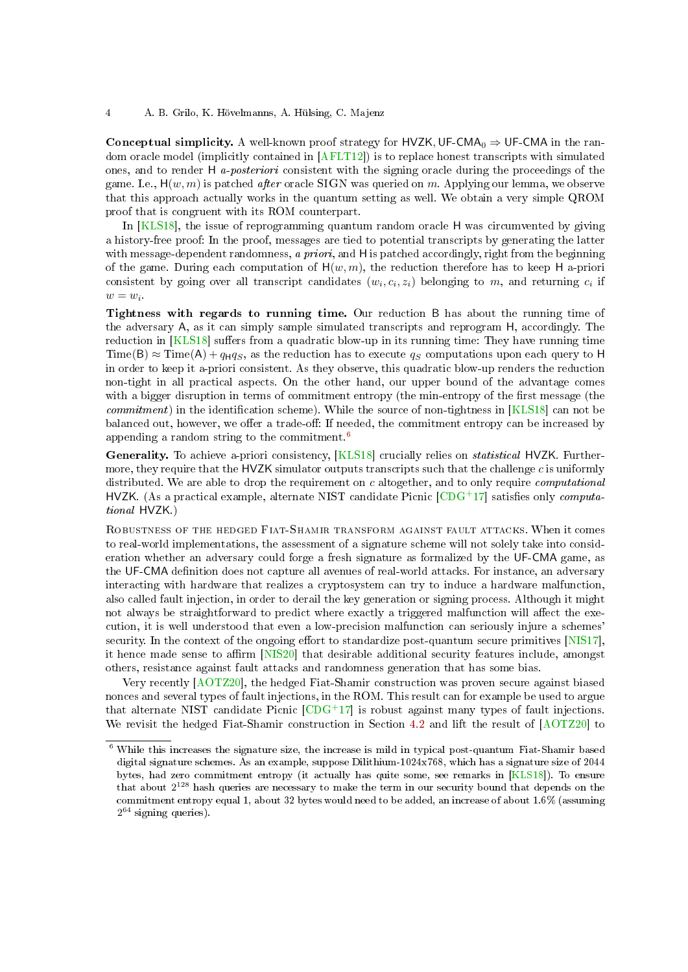### 4 A. B. Grilo, K. Hövelmanns, A. Hülsing, C. Majenz

Conceptual simplicity. A well-known proof strategy for HVZK, UF-CMA<sub>0</sub>  $\Rightarrow$  UF-CMA in the random oracle model (implicitly contained in [\[AFLT12\]](#page-23-3)) is to replace honest transcripts with simulated ones, and to render H a-posteriori consistent with the signing oracle during the proceedings of the game. I.e.,  $H(w, m)$  is patched *after* oracle SIGN was queried on m. Applying our lemma, we observe that this approach actually works in the quantum setting as well. We obtain a very simple QROM proof that is congruent with its ROM counterpart.

In [\[KLS18\]](#page-25-8), the issue of reprogramming quantum random oracle H was circumvented by giving a history-free proof: In the proof, messages are tied to potential transcripts by generating the latter with message-dependent randomness, a priori, and H is patched accordingly, right from the beginning of the game. During each computation of  $H(w, m)$ , the reduction therefore has to keep H a-priori consistent by going over all transcript candidates  $(w_i, c_i, z_i)$  belonging to m, and returning  $c_i$  if  $w = w_i$ 

Tightness with regards to running time. Our reduction B has about the running time of the adversary A, as it can simply sample simulated transcripts and reprogram H, accordingly. The reduction in [\[KLS18\]](#page-25-8) suffers from a quadratic blow-up in its running time: They have running time  $Time(B) \approx Time(A) + q_Hq_S$ , as the reduction has to execute  $q_S$  computations upon each query to H in order to keep it a-priori consistent. As they observe, this quadratic blow-up renders the reduction non-tight in all practical aspects. On the other hand, our upper bound of the advantage comes with a bigger disruption in terms of commitment entropy (the min-entropy of the first message (the *commitment*) in the identification scheme). While the source of non-tightness in  $[KLS18]$  can not be balanced out, however, we offer a trade-off: If needed, the commitment entropy can be increased by appending a random string to the commitment.[6](#page-3-0)

Generality. To achieve a-priori consistency, [\[KLS18\]](#page-25-8) crucially relies on *statistical* HVZK. Furthermore, they require that the HVZK simulator outputs transcripts such that the challenge  $c$  is uniformly distributed. We are able to drop the requirement on c altogether, and to only require *computational* HVZK. (As a practical example, alternate NIST candidate Picnic  $[CDG<sup>+</sup>17]$  $[CDG<sup>+</sup>17]$  satisfies only *computa*tional HVZK.)

Robustness of the hedged Fiat-Shamir transform against fault attacks. When it comes to real-world implementations, the assessment of a signature scheme will not solely take into consideration whether an adversary could forge a fresh signature as formalized by the UF-CMA game, as the UF-CMA definition does not capture all avenues of real-world attacks. For instance, an adversary interacting with hardware that realizes a cryptosystem can try to induce a hardware malfunction, also called fault injection, in order to derail the key generation or signing process. Although it might not always be straightforward to predict where exactly a triggered malfunction will affect the execution, it is well understood that even a low-precision malfunction can seriously injure a schemes' security. In the context of the ongoing effort to standardize post-quantum secure primitives  $[NIS17]$ , it hence made sense to affirm  $[NIS20]$  that desirable additional security features include, amongst others, resistance against fault attacks and randomness generation that has some bias.

Very recently [\[AOTZ20\]](#page-23-2), the hedged Fiat-Shamir construction was proven secure against biased nonces and several types of fault injections, in the ROM. This result can for example be used to argue that alternate NIST candidate Picnic  $[CDG+17]$  $[CDG+17]$  is robust against many types of fault injections. We revisit the hedged Fiat-Shamir construction in Section [4.2](#page-15-0) and lift the result of [\[AOTZ20\]](#page-23-2) to

<span id="page-3-0"></span> $6$  While this increases the signature size, the increase is mild in typical post-quantum Fiat-Shamir based digital signature schemes. As an example, suppose Dilithium-1024x768, which has a signature size of 2044 bytes, had zero commitment entropy (it actually has quite some, see remarks in [\[KLS18\]](#page-25-8)). To ensure that about 2<sup>128</sup> hash queries are necessary to make the term in our security bound that depends on the commitment entropy equal 1, about 32 bytes would need to be added, an increase of about 1.6% (assuming  $2^{64}$  signing queries).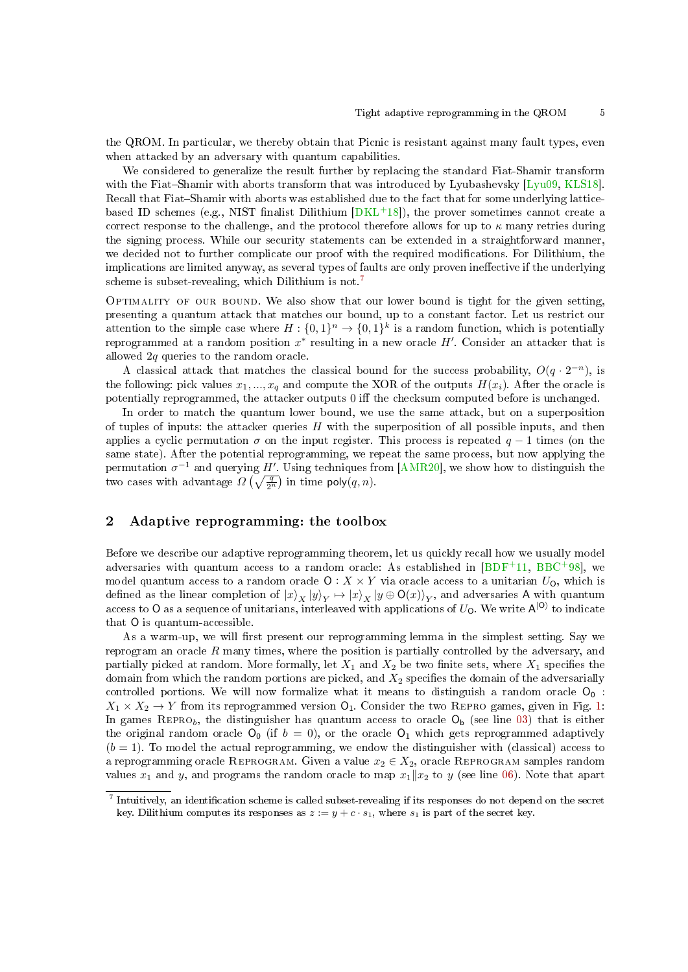the QROM. In particular, we thereby obtain that Picnic is resistant against many fault types, even when attacked by an adversary with quantum capabilities.

We considered to generalize the result further by replacing the standard Fiat-Shamir transform with the Fiat-Shamir with aborts transform that was introduced by Lyubashevsky [\[Lyu09,](#page-25-11) [KLS18\]](#page-25-8). Recall that Fiat-Shamir with aborts was established due to the fact that for some underlying latticebased ID schemes (e.g., NIST finalist Dilithium  $[DKL+18]$  $[DKL+18]$ ), the prover sometimes cannot create a correct response to the challenge, and the protocol therefore allows for up to  $\kappa$  many retries during the signing process. While our security statements can be extended in a straightforward manner, we decided not to further complicate our proof with the required modifications. For Dilithium, the implications are limited anyway, as several types of faults are only proven ineffective if the underlying scheme is subset-revealing, which Dilithium is not.[7](#page-4-0)

OPTIMALITY OF OUR BOUND. We also show that our lower bound is tight for the given setting, presenting a quantum attack that matches our bound, up to a constant factor. Let us restrict our attention to the simple case where  $H: \{0,1\}^n \to \{0,1\}^k$  is a random function, which is potentially reprogrammed at a random position  $x^*$  resulting in a new oracle  $H'$ . Consider an attacker that is allowed 2q queries to the random oracle.

A classical attack that matches the classical bound for the success probability,  $O(q \cdot 2^{-n})$ , is the following: pick values  $x_1, ..., x_q$  and compute the XOR of the outputs  $H(x_i)$ . After the oracle is potentially reprogrammed, the attacker outputs 0 iff the checksum computed before is unchanged.

In order to match the quantum lower bound, we use the same attack, but on a superposition of tuples of inputs: the attacker queries  $H$  with the superposition of all possible inputs, and then applies a cyclic permutation  $\sigma$  on the input register. This process is repeated  $q-1$  times (on the same state). After the potential reprogramming, we repeat the same process, but now applying the permutation  $\sigma^{-1}$  and querying H'. Using techniques from [\[AMR20\]](#page-23-4), we show how to distinguish the two cases with advantage  $\Omega\left(\sqrt{\frac{q}{2^n}}\right)$  in time  $\mathsf{poly}(q,n)$ .

# <span id="page-4-1"></span>2 Adaptive reprogramming: the toolbox

Before we describe our adaptive reprogramming theorem, let us quickly recall how we usually model adversaries with quantum access to a random oracle: As established in  $[BDF+11, BBC+98]$  $[BDF+11, BBC+98]$  $[BDF+11, BBC+98]$  $[BDF+11, BBC+98]$ , we model quantum access to a random oracle  $O: X \times Y$  via oracle access to a unitarian  $U_O$ , which is defined as the linear completion of  $|x\rangle_X|y\rangle_Y \mapsto |x\rangle_X|y \oplus O(x)\rangle_Y$ , and adversaries A with quantum access to O as a sequence of unitarians, interleaved with applications of  $U_0$ . We write  $\mathsf{A}^{\ket{\mathsf{O}}}$  to indicate that O is quantum-accessible.

As a warm-up, we will first present our reprogramming lemma in the simplest setting. Say we reprogram an oracle  $R$  many times, where the position is partially controlled by the adversary, and partially picked at random. More formally, let  $X_1$  and  $X_2$  be two finite sets, where  $X_1$  specifies the domain from which the random portions are picked, and  $X_2$  specifies the domain of the adversarially controlled portions. We will now formalize what it means to distinguish a random oracle  $O_0$ :  $X_1 \times X_2 \to Y$  from its reprogrammed version  $O_1$ . Consider the two REPRO games, given in Fig. [1:](#page-5-0) In games REPRO<sub>b</sub>, the distinguisher has quantum access to oracle  $O_b$  (see line [03\)](#page-5-1) that is either the original random oracle  $O_0$  (if  $b = 0$ ), or the oracle  $O_1$  which gets reprogrammed adaptively  $(b = 1)$ . To model the actual reprogramming, we endow the distinguisher with (classical) access to a reprogramming oracle REPROGRAM. Given a value  $x_2 \in X_2$ , oracle REPROGRAM samples random values  $x_1$  and  $y$ , and programs the random oracle to map  $x_1|x_2$  to  $y$  (see line [06\)](#page-5-2). Note that apart

<span id="page-4-0"></span> $^7$  Intuitively, an identification scheme is called subset-revealing if its responses do not depend on the secret key. Dilithium computes its responses as  $z := y + c \cdot s_1$ , where  $s_1$  is part of the secret key.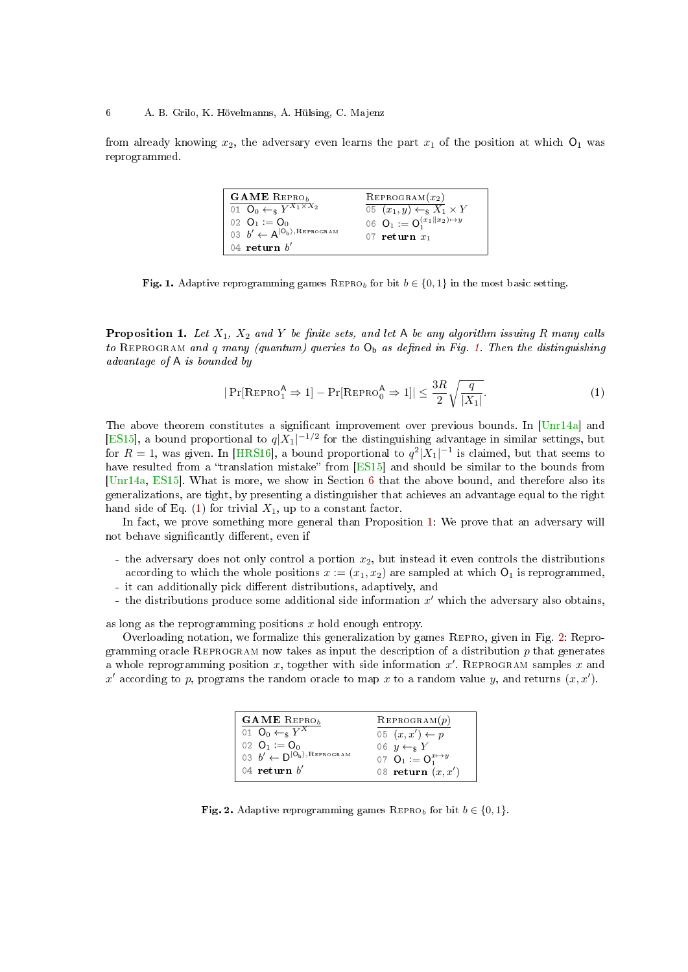from already knowing  $x_2$ , the adversary even learns the part  $x_1$  of the position at which  $O_1$  was reprogrammed.

<span id="page-5-2"></span><span id="page-5-1"></span>

| $\mathbf{GAME}$ REPRO <sub>b</sub>                   | $REPROGRAM(x_2)$                        |
|------------------------------------------------------|-----------------------------------------|
| 01 $\overline{O_0 \leftarrow_s Y^{X_1 \times X_2}}$  | 05 $(x_1, y) \leftarrow_s X_1 \times Y$ |
| 02 $Q_1 := Q_0$                                      | 06 $Q_1 := Q_1^{(x_1  x_2)\mapsto y}$   |
| 03 $b' \leftarrow A^{ O_b\rangle, \text{Reprogram}}$ | 07 return $x_1$                         |
| 04 return $b'$                                       |                                         |

<span id="page-5-0"></span>Fig. 1. Adaptive reprogramming games REPRO<sub>b</sub> for bit  $b \in \{0, 1\}$  in the most basic setting.

<span id="page-5-4"></span>**Proposition 1.** Let  $X_1$ ,  $X_2$  and Y be finite sets, and let A be any algorithm issuing R many calls to REPROGRAM and q many (quantum) queries to  $O_b$  as defined in Fig. [1.](#page-5-0) Then the distinguishing advantage of A is bounded by

<span id="page-5-3"></span>
$$
|\Pr[\text{REPRO}_{1}^{\mathsf{A}} \Rightarrow 1] - \Pr[\text{REPRO}_{0}^{\mathsf{A}} \Rightarrow 1]| \leq \frac{3R}{2} \sqrt{\frac{q}{|X_1|}}.
$$
 (1)

The above theorem constitutes a significant improvement over previous bounds. In  $[Unr14a]$  and [\[ES15\]](#page-24-8), a bound proportional to  $q|X_1|^{-1/2}$  for the distinguishing advantage in similar settings, but for  $R = 1$ , was given. In [\[HRS16\]](#page-25-7), a bound proportional to  $q^2 |X_1|^{-1}$  is claimed, but that seems to have resulted from a "translation mistake" from  $[ES15]$  and should be similar to the bounds from [\[Unr14a,](#page-25-6) [ES15\]](#page-24-8). What is more, we show in Section [6](#page-22-0) that the above bound, and therefore also its generalizations, are tight, by presenting a distinguisher that achieves an advantage equal to the right hand side of Eq. [\(1\)](#page-5-3) for trivial  $X_1$ , up to a constant factor.

In fact, we prove something more general than Proposition [1:](#page-5-4) We prove that an adversary will not behave significantly different, even if

- the adversary does not only control a portion  $x_2$ , but instead it even controls the distributions according to which the whole positions  $x := (x_1, x_2)$  are sampled at which  $O_1$  is reprogrammed, - it can additionally pick different distributions, adaptively, and
- the distributions produce some additional side information  $x'$  which the adversary also obtains,

as long as the reprogramming positions  $x$  hold enough entropy.

Overloading notation, we formalize this generalization by games Repro, given in Fig. [2:](#page-5-5) Reprogramming oracle REPROGRAM now takes as input the description of a distribution  $p$  that generates a whole reprogramming position x, together with side information  $x'$ . REPROGRAM samples x and x' according to p, programs the random oracle to map x to a random value y, and returns  $(x, x')$ .

| <b>GAME</b> REPRO <sub>b</sub>                                                | REPROGRAM(p)                  |
|-------------------------------------------------------------------------------|-------------------------------|
| 01 $\mathbf{O}_0 \leftarrow_s Y^X$                                            | 05 $(x, x') \leftarrow p$     |
| 02 $Q_1 := Q_0$                                                               | 06 $y \leftarrow_s Y$         |
| 03 $b' \leftarrow D^{ \overset{\sim}{\mathsf{O}_b}\rangle, \text{Reprogram}}$ | 07 $Q_1 := Q_1^{x \mapsto y}$ |
| 04 return $b'$                                                                | 08 return $(x, x')$           |

<span id="page-5-5"></span>Fig. 2. Adaptive reprogramming games REPRO<sub>b</sub> for bit  $b \in \{0, 1\}$ .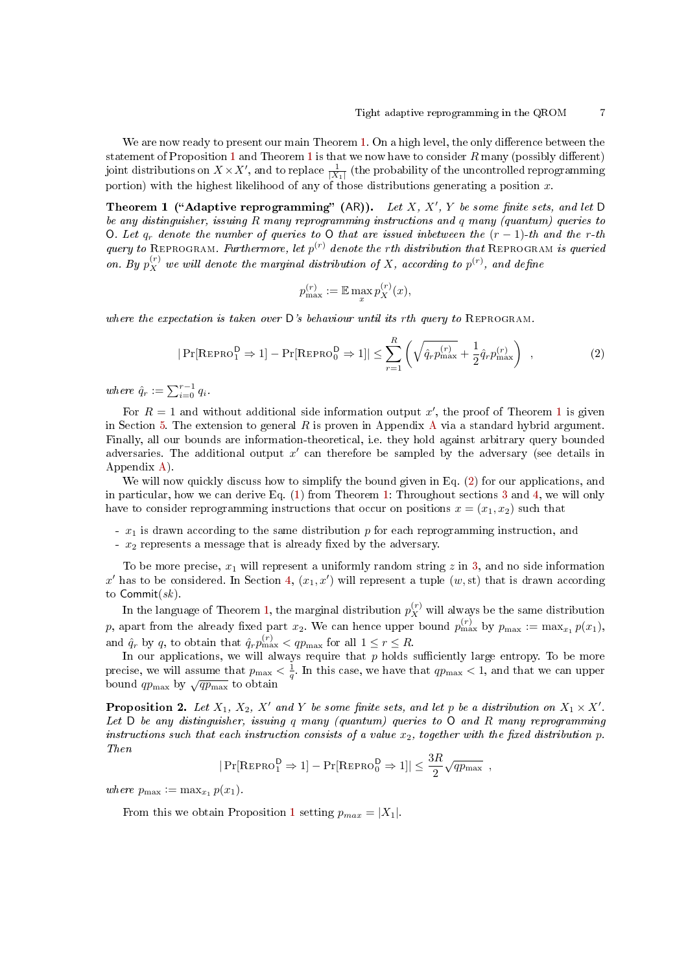We are now ready to present our main Theorem [1.](#page-6-0) On a high level, the only difference between the statement of Proposition [1](#page-6-0) and Theorem 1 is that we now have to consider  $R$  many (possibly different) joint distributions on  $X \times X'$ , and to replace  $\frac{1}{|X_1|}$  (the probability of the uncontrolled reprogramming portion) with the highest likelihood of any of those distributions generating a position  $x$ .

Theorem 1 ("Adaptive reprogramming" (AR)). Let  $X, X', Y$  be some finite sets, and let D be any distinguisher, issuing R many reprogramming instructions and q many (quantum) queries to O. Let  $q_r$  denote the number of queries to O that are issued inbetween the  $(r-1)$ -th and the r-th query to REPROGRAM. Furthermore, let  $p^{(r)}$  denote the rth distribution that REPROGRAM is queried on. By  $p_X^{(r)}$  we will denote the marginal distribution of X, according to  $p^{(r)}$ , and define

<span id="page-6-0"></span>
$$
p_{\max}^{(r)} := \mathbb{E} \max_x p_X^{(r)}(x),
$$

where the expectation is taken over  $\mathsf{D}'s$  behaviour until its rth query to REPROGRAM.

<span id="page-6-1"></span>
$$
|\Pr[\text{REPRO}_{1}^{\mathsf{D}} \Rightarrow 1] - \Pr[\text{REPRO}_{0}^{\mathsf{D}} \Rightarrow 1]| \leq \sum_{r=1}^{R} \left(\sqrt{\hat{q}_{r} p_{\max}^{(r)}} + \frac{1}{2} \hat{q}_{r} p_{\max}^{(r)}\right) , \qquad (2)
$$

where  $\hat{q}_r := \sum_{i=0}^{r-1} q_i$ .

For  $R = 1$  $R = 1$  and without additional side information output x', the proof of Theorem 1 is given in Section [5.](#page-17-0) The extension to general  $R$  is proven in [A](#page-26-2)ppendix A via a standard hybrid argument. Finally, all our bounds are information-theoretical, i.e. they hold against arbitrary query bounded adversaries. The additional output  $x'$  can therefore be sampled by the adversary (see details in Appendix [A\)](#page-26-2).

We will now quickly discuss how to simplify the bound given in Eq. [\(2\)](#page-6-1) for our applications, and in particular, how we can derive Eq. [\(1\)](#page-5-3) from Theorem [1:](#page-6-0) Throughout sections [3](#page-7-0) and [4,](#page-11-0) we will only have to consider reprogramming instructions that occur on positions  $x = (x_1, x_2)$  such that

-  $x_1$  is drawn according to the same distribution p for each reprogramming instruction, and

 $- x_2$  represents a message that is already fixed by the adversary.

To be more precise,  $x_1$  will represent a uniformly random string z in [3,](#page-7-0) and no side information  $x'$  has to be considered. In Section [4,](#page-11-0)  $(x_1, x')$  will represent a tuple  $(w, st)$  that is drawn according to  $\mathsf{Commit}(sk)$ .

In the language of Theorem [1,](#page-6-0) the marginal distribution  $p_X^{(r)}$  will always be the same distribution p, apart from the already fixed part  $x_2$ . We can hence upper bound  $p_{\max}^{(r)}$  by  $p_{\max} := \max_{x_1} p(x_1)$ , and  $\hat{q}_r$  by q, to obtain that  $\hat{q}_r p_{\text{max}}^{(r)} < qp_{\text{max}}$  for all  $1 \le r \le R$ .

In our applications, we will always require that  $\overline{p}$  holds sufficiently large entropy. To be more precise, we will assume that  $p_{\text{max}} < \frac{1}{q}$ . In this case, we have that  $qp_{\text{max}} < 1$ , and that we can upper bound  $qp_{\text{max}}$  by  $\sqrt{qp_{\text{max}}}$  to obtain

<span id="page-6-2"></span>**Proposition 2.** Let  $X_1$ ,  $X_2$ ,  $X'$  and Y be some finite sets, and let p be a distribution on  $X_1 \times X'$ . Let  $D$  be any distinguisher, issuing q many (quantum) queries to  $O$  and  $R$  many reprogramming instructions such that each instruction consists of a value  $x_2$ , together with the fixed distribution p. Then

$$
|\Pr[\text{REPRO}_{1}^{D} \Rightarrow 1] - \Pr[\text{REPRO}_{0}^{D} \Rightarrow 1]| \leq \frac{3R}{2}\sqrt{qp_{\text{max}}},
$$

where  $p_{\max} := \max_{x_1} p(x_1)$ .

From this we obtain Proposition [1](#page-5-4) setting  $p_{max} = |X_1|$ .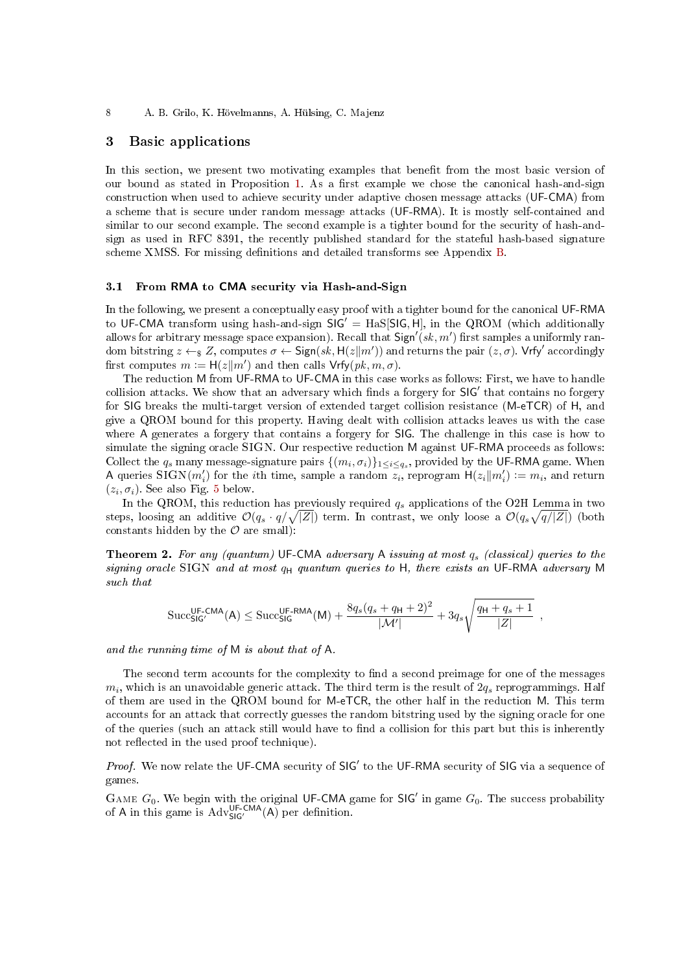8 A. B. Grilo, K. Hövelmanns, A. Hülsing, C. Majenz

# <span id="page-7-0"></span>3 Basic applications

In this section, we present two motivating examples that benefit from the most basic version of our bound as stated in Proposition [1.](#page-5-4) As a first example we chose the canonical hash-and-sign construction when used to achieve security under adaptive chosen message attacks (UF-CMA) from a scheme that is secure under random message attacks (UF-RMA). It is mostly self-contained and similar to our second example. The second example is a tighter bound for the security of hash-andsign as used in RFC 8391, the recently published standard for the stateful hash-based signature scheme XMSS. For missing definitions and detailed transforms see Appendix [B.](#page-28-0)

# <span id="page-7-1"></span>3.1 From RMA to CMA security via Hash-and-Sign

In the following, we present a conceptually easy proof with a tighter bound for the canonical UF-RMA to UF-CMA transform using hash-and-sign  $SIG' = HaS[SIG, H]$ , in the QROM (which additionally allows for arbitrary message space expansion). Recall that  $\textsf{Sign}'(sk, m')$  first samples a uniformly random bitstring  $z \leftarrow_{\$} Z$ , computes  $\sigma \leftarrow$  Sign $(sk, \mathsf{H}(z|m'))$  and returns the pair  $(z, \sigma)$ . Vrfy' accordingly first computes  $m := H(z||m')$  and then calls  $Vrfy(pk, m, \sigma)$ .

The reduction M from UF-RMA to UF-CMA in this case works as follows: First, we have to handle collision attacks. We show that an adversary which finds a forgery for  $SIG'$  that contains no forgery for SIG breaks the multi-target version of extended target collision resistance (M-eTCR) of H, and give a QROM bound for this property. Having dealt with collision attacks leaves us with the case where A generates a forgery that contains a forgery for SIG. The challenge in this case is how to simulate the signing oracle SIGN. Our respective reduction M against UF-RMA proceeds as follows: Collect the  $q_s$  many message-signature pairs  $\{(m_i, \sigma_i)\}_{1 \leq i \leq q_s}$ , provided by the UF-RMA game. When A queries SIGN $(m'_i)$  for the *i*th time, sample a random  $\overline{z_i}$ , reprogram  $H(z_i||m'_i) := m_i$ , and return  $(z_i, \sigma_i)$ . See also Fig. [5](#page-9-0) below.

In the QROM, this reduction has previously required  $q_s$  applications of the O2H Lemma in two steps, loosing an additive  $\mathcal{O}(q_s \cdot q/\sqrt{|Z|})$  term. In contrast, we only loose a  $\mathcal{O}(q_s\sqrt{q/|Z|})$  (both constants hidden by the  $\mathcal O$  are small):

**Theorem 2.** For any (quantum) UF-CMA adversary A issuing at most  $q_s$  (classical) queries to the signing oracle SIGN and at most  $q_H$  quantum queries to H, there exists an UF-RMA adversary M such that

$$
\mathrm{Succ}_{\mathsf{SIG}'}^{\mathsf{UF-CMA}}(\mathsf{A}) \leq \mathrm{Succ}_{\mathsf{SIG}}^{\mathsf{UF-RMA}}(\mathsf{M}) + \frac{8q_s(q_s + q_\mathsf{H} + 2)^2}{|\mathcal{M}'|} + 3q_s\sqrt{\frac{q_\mathsf{H} + q_s + 1}{|Z|}} \enspace,
$$

and the running time of M is about that of A.

The second term accounts for the complexity to find a second preimage for one of the messages  $m_i$ , which is an unavoidable generic attack. The third term is the result of  $2q_s$  reprogrammings. Half of them are used in the QROM bound for M-eTCR, the other half in the reduction M. This term accounts for an attack that correctly guesses the random bitstring used by the signing oracle for one of the queries (such an attack still would have to find a collision for this part but this is inherently not reflected in the used proof technique).

Proof. We now relate the UF-CMA security of SIG' to the UF-RMA security of SIG via a sequence of games.

GAME  $G_0$ . We begin with the original UF-CMA game for SIG' in game  $G_0$ . The success probability of A in this game is  $Adv_{SIG}^{UF-CMA}(A)$  per definition.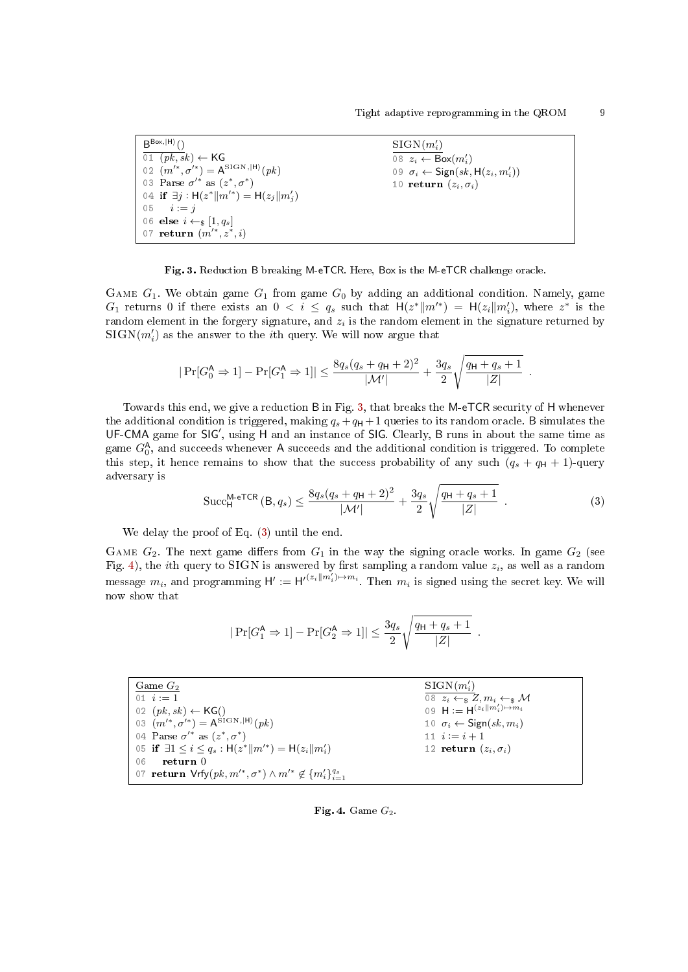$B^{Box,|H\rangle}()$  $\overline{01 \ (pk, sk)} \leftarrow \textsf{KG}$ 02  $(m^{\'}, \sigma^{\'}) = A^{SIGN,|H\rangle}(pk)$ 03 Parse  $\sigma'^*$  as  $(z^*, \sigma^*)$ 04 if  $\exists j : H(z^* || m'^*) = H(z_j || m'_j)$ 05  $i := j$ 06 else  $i \leftarrow s [1, q_s]$ 07 return  $(m'^*, z^*, i)$  $\text{SIGN}(m_i')$ 08  $z_i \leftarrow \mathsf{Box}(m'_i)$ 09  $\sigma_i \leftarrow$  Sign(sk, H( $z_i, m'_i$ )) 10 return  $(z_i, \sigma_i)$ 

<span id="page-8-0"></span>Fig. 3. Reduction B breaking M-eTCR. Here, Box is the M-eTCR challenge oracle.

GAME  $G_1$ . We obtain game  $G_1$  from game  $G_0$  by adding an additional condition. Namely, game  $G_1$  returns 0 if there exists an  $0 < i \leq q_s$  such that  $H(z^*||m'^*) = H(z_i||m'_i)$ , where  $z^*$  is the random element in the forgery signature, and  $z_i$  is the random element in the signature returned by  $\mathrm{SIGN}(m_i')$  as the answer to the  $i\mathrm{th}$  query. We will now argue that

$$
|\Pr[G_0^{\mathsf{A}} \Rightarrow 1] - \Pr[G_1^{\mathsf{A}} \Rightarrow 1]| \le \frac{8q_s(q_s + q_{\mathsf{H}} + 2)^2}{|\mathcal{M}'|} + \frac{3q_s}{2} \sqrt{\frac{q_{\mathsf{H}} + q_s + 1}{|Z|}}.
$$

Towards this end, we give a reduction B in Fig. [3,](#page-8-0) that breaks the M-eTCR security of H whenever the additional condition is triggered, making  $q_s + q_H + 1$  queries to its random oracle. B simulates the UF-CMA game for SIG', using H and an instance of SIG. Clearly, B runs in about the same time as game  $G_0^{\mathsf{A}}$ , and succeeds whenever  $\mathsf A$  succeeds and the additional condition is triggered. To complete this step, it hence remains to show that the success probability of any such  $(q_s + q_H + 1)$ -query adversary is

<span id="page-8-1"></span>
$$
\text{Succ}_{\mathsf{H}}^{\mathsf{M}\text{-}\mathsf{e}\mathsf{T}\mathsf{C}\mathsf{R}}\left(\mathsf{B}, q_s\right) \le \frac{8q_s(q_s + q_{\mathsf{H}} + 2)^2}{|\mathcal{M}'|} + \frac{3q_s}{2} \sqrt{\frac{q_{\mathsf{H}} + q_s + 1}{|Z|}}\tag{3}
$$

<span id="page-8-4"></span><span id="page-8-3"></span>.

We delay the proof of Eq. [\(3\)](#page-8-1) until the end.

GAME  $G_2$ . The next game differs from  $G_1$  in the way the signing oracle works. In game  $G_2$  (see Fig. [4\)](#page-8-2), the *i*th query to SIGN is answered by first sampling a random value  $z_i$ , as well as a random message  $m_i$ , and programming  $\mathsf{H}':=\mathsf{H}'^{(z_i||m_i')\mapsto m_i}$ . Then  $m_i$  is signed using the secret key. We will now show that

$$
|\Pr[G_1^{\mathsf{A}} \Rightarrow 1] - \Pr[G_2^{\mathsf{A}} \Rightarrow 1]| \leq \frac{3q_s}{2} \sqrt{\frac{q_{\mathsf{H}} + q_s + 1}{|Z|}}
$$

| Game $G_2$                                                                   | $SIGN(m'_i)$                                |
|------------------------------------------------------------------------------|---------------------------------------------|
| 01 $i := 1$                                                                  | 08 $z_i \leftarrow_s Z, m_i \leftarrow_s M$ |
| 02 $(pk, sk) \leftarrow KG()$                                                | 09 $H := H^{(z_i  m'_i) \mapsto m_i}$       |
| 03 $(m'^*, \sigma'^*) = A^{\text{SIG N},  H\rangle}(pk)$                     | 10 $\sigma_i \leftarrow$ Sign(sk, $m_i$ )   |
| 04 Parse $\sigma'^*$ as $(z^*, \sigma^*)$                                    | 11 $i := i + 1$                             |
| 05 if $\exists 1 \leq i \leq q_s : H(z^*    m'^*) = H(z_i    m'_i)$          | 12 return $(z_i, \sigma_i)$                 |
| return 0<br>06                                                               |                                             |
| 07 return $Vrfy(pk, m'^*, \sigma^*) \wedge m'^* \notin \{m'_i\}_{i=1}^{q_s}$ |                                             |

#### <span id="page-8-2"></span>Fig. 4. Game  $G_2$ .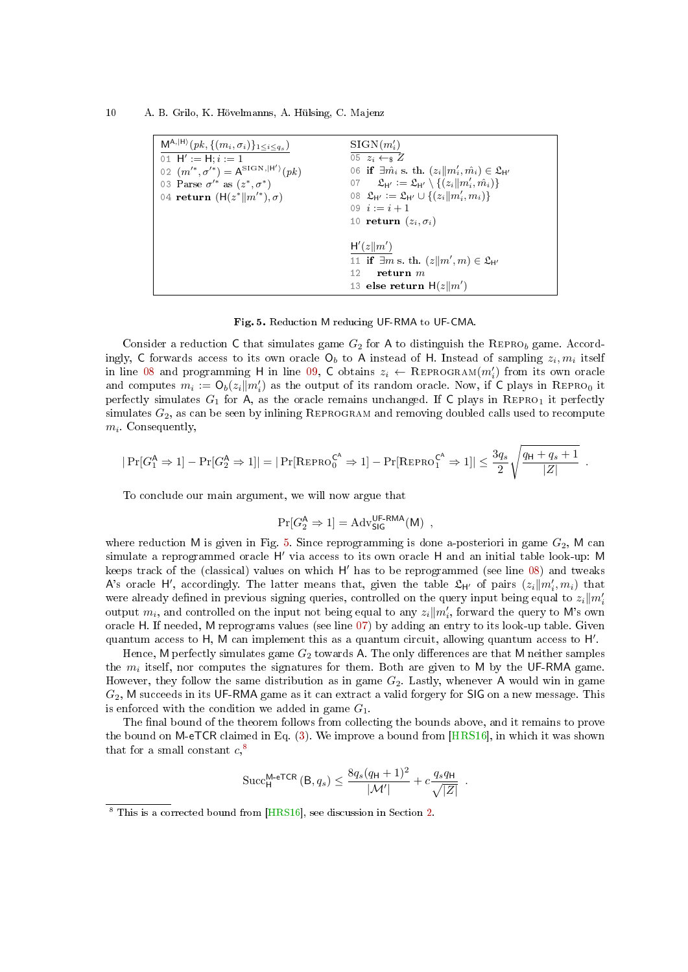10 A. B. Grilo, K. Hövelmanns, A. Hülsing, C. Majenz

| $M^{A, H\rangle}(pk, \{(m_i, \sigma_i)\}_{1\leq i\leq q_s})$<br>01 $H' := H; i := 1$<br>02 $(m'^*, \sigma'^*) = A^{\text{SIGN},  H' }(pk)$<br>03 Parse $\sigma'^*$ as $(z^*, \sigma^*)$<br>04 return $(H(z^*  m'^*), \sigma)$ | $\text{SIGN}(m_i')$<br>05 $z_i \leftarrow \in Z$<br>06 if $\exists \hat{m}_i$ s. th. $(z_i  m'_i, \hat{m}_i) \in \mathfrak{L}_{\mathsf{H}'}$<br>07 $\mathfrak{L}_{\mathsf{H}'} := \mathfrak{L}_{\mathsf{H}'} \setminus \{(z_i    m'_i, \hat{m}_i)\}\$<br>08 $\mathfrak{L}_{\mathsf{H}'} := \mathfrak{L}_{\mathsf{H}'} \cup \{(z_i    m'_i, m_i)\}\$<br>09 $i := i + 1$<br>10 return $(z_i, \sigma_i)$ |
|-------------------------------------------------------------------------------------------------------------------------------------------------------------------------------------------------------------------------------|-------------------------------------------------------------------------------------------------------------------------------------------------------------------------------------------------------------------------------------------------------------------------------------------------------------------------------------------------------------------------------------------------------|
|                                                                                                                                                                                                                               | H'(z  m')<br>11 if $\exists m$ s. th. $(z  m', m) \in \mathfrak{L}_{H'}$<br>12<br>return $m$<br>13 else return $H(z  m')$                                                                                                                                                                                                                                                                             |

<span id="page-9-2"></span><span id="page-9-1"></span><span id="page-9-0"></span>Fig. 5. Reduction M reducing UF-RMA to UF-CMA.

Consider a reduction C that simulates game  $G_2$  for A to distinguish the REPRO<sub>b</sub> game. Accordingly,  $\textsf{C}$  forwards access to its own oracle  $\textsf{O}_b$  to  $\textsf{A}$  instead of  $\textsf{H}.$  Instead of sampling  $z_i, m_i$  itself in line [08](#page-8-3) and programming H in line [09,](#page-8-4) C obtains  $z_i \leftarrow \text{REPROGRAM}(m'_i)$  from its own oracle and computes  $m_i := O_b(z_i || m'_i)$  as the output of its random oracle. Now, if C plays in REPRO<sub>0</sub> it perfectly simulates  $G_1$  for A, as the oracle remains unchanged. If C plays in REPRO<sub>1</sub> it perfectly simulates  $G_2$ , as can be seen by inlining REPROGRAM and removing doubled calls used to recompute  $m_i$ . Consequently,

$$
|\Pr[G_1^{\mathsf{A}} \Rightarrow 1] - \Pr[G_2^{\mathsf{A}} \Rightarrow 1]| = |\Pr[\text{REPRO}_0^{\mathsf{C}^{\mathsf{A}}} \Rightarrow 1] - \Pr[\text{REPRO}_1^{\mathsf{C}^{\mathsf{A}}} \Rightarrow 1]| \leq \frac{3q_s}{2} \sqrt{\frac{q_{\mathsf{H}} + q_s + 1}{|Z|}}.
$$

To conclude our main argument, we will now argue that

$$
\Pr[G_2^{\mathsf{A}} \Rightarrow 1] = \mathrm{Adv}_{\mathsf{SIG}}^{\mathsf{UF}\text{-}\mathsf{RMA}}(\mathsf{M}) \enspace,
$$

where reduction M is given in Fig. [5.](#page-9-0) Since reprogramming is done a-posteriori in game  $G_2$ , M can simulate a reprogrammed oracle H' via access to its own oracle H and an initial table look-up: M keeps track of the (classical) values on which H' has to be reprogrammed (see line [08\)](#page-9-1) and tweaks A's oracle H', accordingly. The latter means that, given the table  $\mathfrak{L}_{H'}$  of pairs  $(z_i||m'_i, m_i)$  that were already defined in previous signing queries, controlled on the query input being equal to  $z_i$   $\|m_i'$ output  $m_i$ , and controlled on the input not being equal to any  $z_i \| m'_i$ , forward the query to M's own oracle H. If needed, M reprograms values (see line [07\)](#page-9-2) by adding an entry to its look-up table. Given quantum access to H, M can implement this as a quantum circuit, allowing quantum access to H'.

Hence, M perfectly simulates game  $G_2$  towards A. The only differences are that M neither samples the  $m_i$  itself, nor computes the signatures for them. Both are given to M by the UF-RMA game. However, they follow the same distribution as in game  $G_2$ . Lastly, whenever A would win in game  $G_2$ , M succeeds in its UF-RMA game as it can extract a valid forgery for SIG on a new message. This is enforced with the condition we added in game  $G_1$ .

The final bound of the theorem follows from collecting the bounds above, and it remains to prove the bound on M-eTCR claimed in Eq. [\(3\)](#page-8-1). We improve a bound from [\[HRS16\]](#page-25-7), in which it was shown that for a small constant  $c,$ <sup>[8](#page-9-3)</sup>

$$
\operatorname{Succ}_{\mathsf{H}}^{\mathsf{M}\text{-}\mathsf{e}\mathsf{T}\mathsf{C}\mathsf{R}}\left(\mathsf{B}, q_s\right) \leq \frac{8q_s(q_{\mathsf{H}}+1)^2}{|\mathcal{M}'|} + c\frac{q_s q_{\mathsf{H}}}{\sqrt{|Z|}}.
$$

<span id="page-9-3"></span><sup>8</sup> This is a corrected bound from [\[HRS16\]](#page-25-7), see discussion in Section [2.](#page-4-1)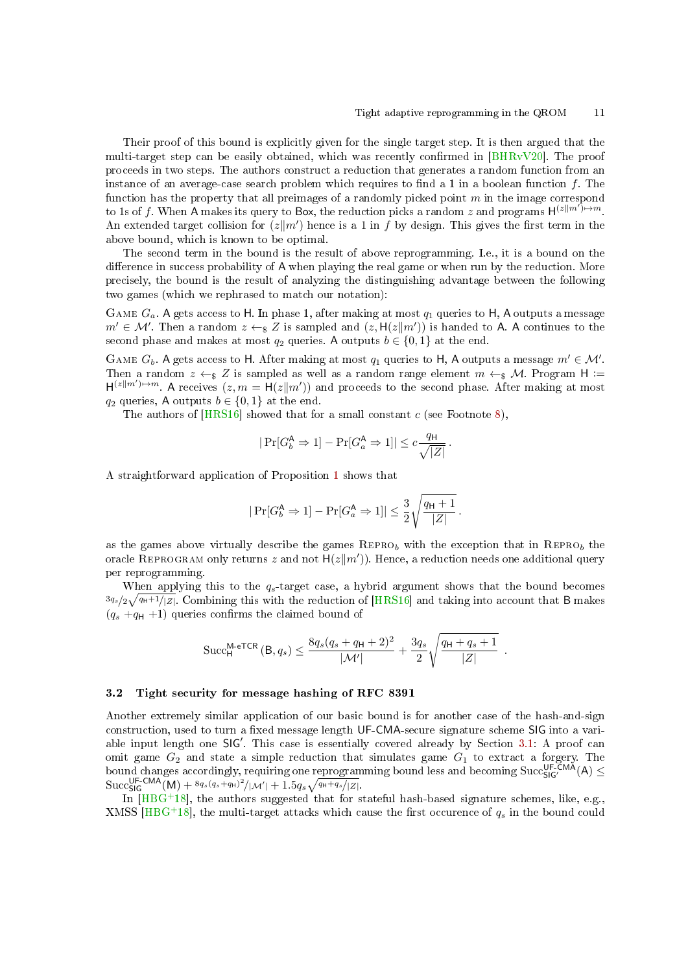Their proof of this bound is explicitly given for the single target step. It is then argued that the multi-target step can be easily obtained, which was recently confirmed in  $[BHRvV20]$ . The proof proceeds in two steps. The authors construct a reduction that generates a random function from an instance of an average-case search problem which requires to find a 1 in a boolean function  $f$ . The function has the property that all preimages of a randomly picked point  $m$  in the image correspond to 1s of f. When A makes its query to Box, the reduction picks a random z and programs  $H^{(z||m')\mapsto m}$ . An extended target collision for  $(z||m')$  hence is a 1 in f by design. This gives the first term in the above bound, which is known to be optimal.

The second term in the bound is the result of above reprogramming. I.e., it is a bound on the difference in success probability of A when playing the real game or when run by the reduction. More precisely, the bound is the result of analyzing the distinguishing advantage between the following two games (which we rephrased to match our notation):

GAME  $G_a$ . A gets access to H. In phase 1, after making at most  $q_1$  queries to H, A outputs a message  $m' \in \mathcal{M}'$ . Then a random  $z \leftarrow_{\S} Z$  is sampled and  $(z, H(z||m'))$  is handed to A. A continues to the second phase and makes at most  $q_2$  queries. A outputs  $b \in \{0, 1\}$  at the end.

GAME  $G_b$ . A gets access to H. After making at most  $q_1$  queries to H, A outputs a message  $m' \in \mathcal{M}'$ . Then a random  $z \leftarrow s Z$  is sampled as well as a random range element  $m \leftarrow s M$ . Program H :=  $H^{(z||m')\rightarrow m}$ . A receives  $(z, m = H(z||m'))$  and proceeds to the second phase. After making at most  $q_2$  queries, A outputs  $b \in \{0, 1\}$  at the end.

The authors of  $[HRS16]$  showed that for a small constant c (see Footnote [8\)](#page-9-3),

$$
|\Pr[G^{\mathsf{A}}_b \Rightarrow 1] - \Pr[G^{\mathsf{A}}_a \Rightarrow 1]| \leq c \frac{q_{\mathsf{H}}}{\sqrt{|Z|}}\,.
$$

A straightforward application of Proposition [1](#page-5-4) shows that

$$
|\Pr[G_b^{\mathsf{A}} \Rightarrow 1] - \Pr[G_a^{\mathsf{A}} \Rightarrow 1]| \leq \frac{3}{2} \sqrt{\frac{q_{\mathsf{H}}+1}{|Z|}}\,.
$$

as the games above virtually describe the games  $REPRO<sub>b</sub>$  with the exception that in  $REPRO<sub>b</sub>$  the oracle REPROGRAM only returns z and not  $\mathsf{H}(z||m')$ ). Hence, a reduction needs one additional query per reprogramming.

When applying this to the  $q_s$ -target case, a hybrid argument shows that the bound becomes  $3q_s/2\sqrt{q_H+1/|Z|}$ . Combining this with the reduction of [\[HRS16\]](#page-25-7) and taking into account that B makes  $(q_s + q_H +1)$  queries confirms the claimed bound of

$$
\text{Succ}_{\mathsf{H}}^{\mathsf{M}\text{-}\mathsf{e}\mathsf{T}\mathsf{C}\mathsf{R}}\left(\mathsf{B}, q_s\right) \le \frac{8q_s(q_s + q_{\mathsf{H}} + 2)^2}{|\mathcal{M}'|} + \frac{3q_s}{2} \sqrt{\frac{q_{\mathsf{H}} + q_s + 1}{|Z|}}.
$$

### 3.2 Tight security for message hashing of RFC 8391

Another extremely similar application of our basic bound is for another case of the hash-and-sign construction, used to turn a fixed message length UF-CMA-secure signature scheme SIG into a variable input length one  $SIG'$ . This case is essentially covered already by Section [3.1:](#page-7-1) A proof can omit game  $G_2$  and state a simple reduction that simulates game  $G_1$  to extract a forgery. The bound changes accordingly, requiring one reprogramming bound less and becoming Succ ${}_{SIG'}^{UF-KMA}(A) \leq$  $\text{Succ}_{\text{SIG}}^{\text{UF-CMA}}(M) + \frac{8q_s(q_s+q_H)^2}{|M'|+1.5q_s\sqrt{q_H+q_s/|Z|}}.$ 

In  $[HBG+18]$  $[HBG+18]$ , the authors suggested that for stateful hash-based signature schemes, like, e.g., XMSS [\[HBG](#page-24-9)<sup>+</sup>18], the multi-target attacks which cause the first occurence of  $q_s$  in the bound could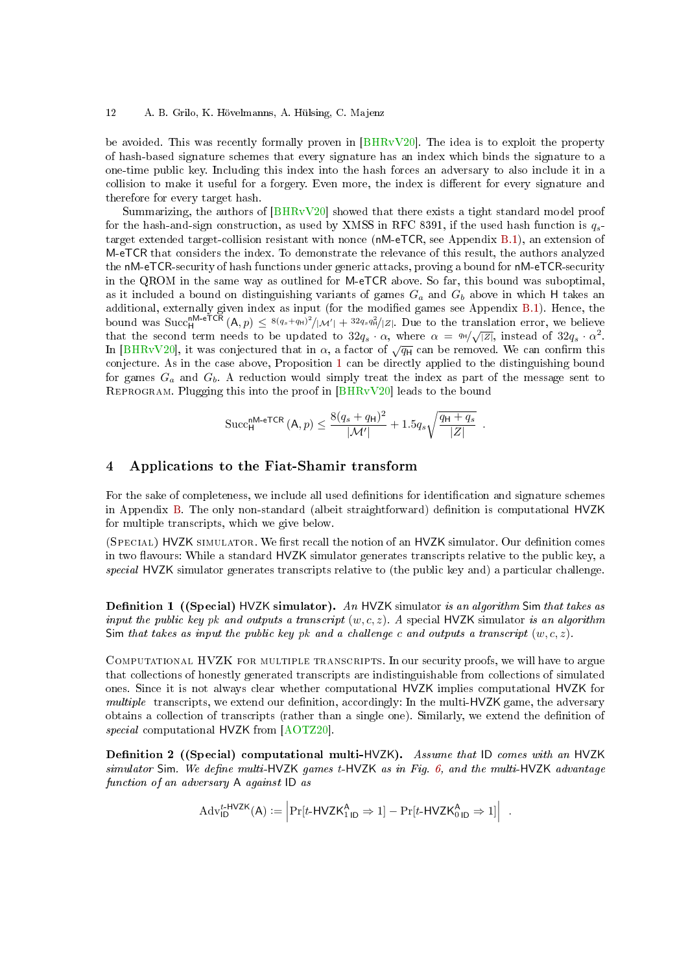#### 12 A. B. Grilo, K. Hövelmanns, A. Hülsing, C. Majenz

be avoided. This was recently formally proven in [\[BHRvV20\]](#page-24-10). The idea is to exploit the property of hash-based signature schemes that every signature has an index which binds the signature to a one-time public key. Including this index into the hash forces an adversary to also include it in a collision to make it useful for a forgery. Even more, the index is different for every signature and therefore for every target hash.

Summarizing, the authors of [\[BHRvV20\]](#page-24-10) showed that there exists a tight standard model proof for the hash-and-sign construction, as used by XMSS in RFC 8391, if the used hash function is  $q_s$ target extended target-collision resistant with nonce (nM-eTCR, see Appendix [B.1\)](#page-28-1), an extension of M-eTCR that considers the index. To demonstrate the relevance of this result, the authors analyzed the nM-eTCR-security of hash functions under generic attacks, proving a bound for nM-eTCR-security in the QROM in the same way as outlined for M-eTCR above. So far, this bound was suboptimal, as it included a bound on distinguishing variants of games  $G_a$  and  $G_b$  above in which H takes an additional, externally given index as input (for the modified games see Appendix [B.1\)](#page-28-1). Hence, the bound was  $\text{Succ}_{H}^{\textsf{nM-eTCR}}(A, p) \leq \frac{8(q_s+q_H)^2}{\mu} |\mathcal{M}'| + \frac{32q_s q_H^2}{\mu} |\mathcal{Z}|$ . Due to the translation error, we believe that the second term needs to be updated to  $32q_s \cdot \alpha$ , where  $\alpha = 44/\sqrt{|Z|}$ , instead of  $32q_s \cdot \alpha^2$ .<br>In [\[BHRvV20\]](#page-24-10), it was conjectured that in  $\alpha$ , a factor of  $\sqrt{q_H}$  can be removed. We can confirm this conjecture. As in the case above, Proposition [1](#page-5-4) can be directly applied to the distinguishing bound for games  $G_a$  and  $G_b$ . A reduction would simply treat the index as part of the message sent to Reprogram. Plugging this into the proof in [\[BHRvV20\]](#page-24-10) leads to the bound

$$
\operatorname{Succ}_{\mathsf{H}}^{\mathsf{nM}\text{-}\mathsf{ETCR}}\left(\mathsf{A},p\right) \le \frac{8(q_s+q_{\mathsf{H}})^2}{|\mathcal{M}'|} + 1.5q_s\sqrt{\frac{q_{\mathsf{H}}+q_s}{|Z|}}.
$$

### <span id="page-11-0"></span>4 Applications to the Fiat-Shamir transform

For the sake of completeness, we include all used definitions for identification and signature schemes in Appendix [B.](#page-28-0) The only non-standard (albeit straightforward) denition is computational HVZK for multiple transcripts, which we give below.

(SPECIAL) HVZK SIMULATOR. We first recall the notion of an HVZK simulator. Our definition comes in two flavours: While a standard HVZK simulator generates transcripts relative to the public key, a special HVZK simulator generates transcripts relative to (the public key and) a particular challenge.

**Definition 1** ((Special) HVZK simulator). An HVZK simulator is an algorithm Sim that takes as input the public key pk and outputs a transcript  $(w, c, z)$ . A special HVZK simulator is an algorithm Sim that takes as input the public key pk and a challenge c and outputs a transcript  $(w, c, z)$ .

Computational HVZK for multiple transcripts. In our security proofs, we will have to argue that collections of honestly generated transcripts are indistinguishable from collections of simulated ones. Since it is not always clear whether computational HVZK implies computational HVZK for multiple transcripts, we extend our definition, accordingly: In the multi- $HVZK$  game, the adversary obtains a collection of transcripts (rather than a single one). Similarly, we extend the denition of special computational HVZK from [\[AOTZ20\]](#page-23-2).

<span id="page-11-1"></span>Definition 2 ((Special) computational multi-HVZK). Assume that ID comes with an HVZK simulator Sim. We define multi-HVZK games  $t$ -HVZK as in Fig. [6,](#page-12-1) and the multi-HVZK advantage function of an adversary A against ID as

$$
\mathrm{Adv}_{\mathsf{ID}}^{t\text{-}\mathsf{HVZK}}(A) := \left| \mathrm{Pr}[t\text{-}\mathsf{HVZK}_{1\mathsf{ID}}^{A} \Rightarrow 1] - \mathrm{Pr}[t\text{-}\mathsf{HVZK}_{0\mathsf{ID}}^{A} \Rightarrow 1] \right| \; .
$$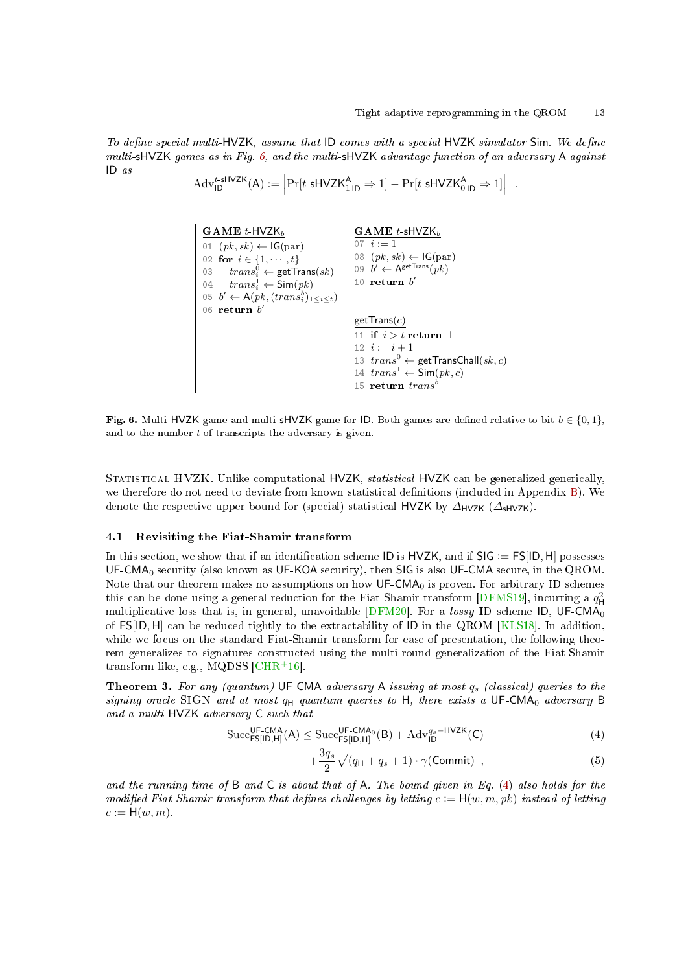To define special multi-HVZK, assume that  $ID$  comes with a special HVZK simulator Sim. We define multi-sHVZK games as in Fig. [6,](#page-12-1) and the multi-sHVZK advantage function of an adversary A against ID as

$$
\mathrm{Adv}_{\mathsf{ID}}^{t\text{-}\mathsf{sHVZK}}(\mathsf{A}) := \left| \Pr[t\text{-}\mathsf{sHVZK}_{1\,\mathsf{ID}}^{\mathsf{A}} \Rightarrow 1] - \Pr[t\text{-}\mathsf{sHVZK}_{0\,\mathsf{ID}}^{\mathsf{A}} \Rightarrow 1] \right| \; .
$$

```
GAME t-HVZK<sub>b</sub>
01 (pk, sk) \leftarrow \text{IG}(par)02 for i \in \{1, \dots, t\}03 trans_i^0 \leftarrow \texttt{getTrans}(sk)04 trans_i^1 \leftarrow \textsf{Sim}(pk)05 b' \leftarrow A(pk, (trans_i^b)_{1 \leq i \leq t})06 return b'GAME t sHVZK_b07 i := 108 (pk, sk) \leftarrow \textsf{IG}(\text{par})09 b' \leftarrow A^{\text{getTrans}}(pk)10 return b'getTrans(c)11 if i > t return \perp12 i := i + 113 trans^0 \leftarrow \text{getTransChall}(sk, c)14 trans^1 \leftarrow Sim(pk, c)15 return trans<sup>b</sup>
```
<span id="page-12-1"></span>Fig. 6. Multi-HVZK game and multi-sHVZK game for ID. Both games are defined relative to bit  $b \in \{0, 1\}$ , and to the number t of transcripts the adversary is given.

STATISTICAL HVZK. Unlike computational HVZK, *statistical* HVZK can be generalized generically, we therefore do not need to deviate from known statistical definitions (included in Appendix [B\)](#page-28-0). We denote the respective upper bound for (special) statistical HVZK by  $\Delta_{HVZK}$  ( $\Delta_{\text{HVZK}}$ ).

### <span id="page-12-0"></span>4.1 Revisiting the Fiat-Shamir transform

In this section, we show that if an identification scheme ID is HVZK, and if  $SIG := FSIID, H]$  possesses UF-CMA $_0$  security (also known as UF-KOA security), then SIG is also UF-CMA secure, in the QROM. Note that our theorem makes no assumptions on how  $\mathsf{UF-CMA}_0$  is proven. For arbitrary ID schemes this can be done using a general reduction for the Fiat-Shamir transform [\[DFMS19\]](#page-24-5), incurring a  $q_\mathsf{H}^2$ multiplicative loss that is, in general, unavoidable  $[DFM20]$ . For a lossy ID scheme ID, UF-CMA<sub>0</sub> of FS[ID, H] can be reduced tightly to the extractability of ID in the QROM [\[KLS18\]](#page-25-8). In addition, while we focus on the standard Fiat-Shamir transform for ease of presentation, the following theorem generalizes to signatures constructed using the multi-round generalization of the Fiat-Shamir transform like, e.g., MQDSS  $[CHR<sup>+</sup>16]$  $[CHR<sup>+</sup>16]$ .

<span id="page-12-3"></span>**Theorem 3.** For any (quantum) UF-CMA adversary A issuing at most  $q_s$  (classical) queries to the signing oracle SIGN and at most  $q_H$  quantum queries to H, there exists a UF-CMA<sub>0</sub> adversary B and a multi-HVZK adversary C such that<br>Succ<sup>UF-CMA</sup>(A)  $\leq$  Succ<sup>UF-CMA</sup>0

$$
\mathrm{Succ}_{\mathsf{FS}[I\mathsf{D},\mathsf{H}]}^{\mathsf{UF-CMA}}(A) \leq \mathrm{Succ}_{\mathsf{FS}[I\mathsf{D},\mathsf{H}]}^{\mathsf{UF-CMA_0}}(B) + \mathrm{Adv}_{I\mathsf{D}}^{q_s-\mathsf{HVZK}}(C) \tag{4}
$$

<span id="page-12-2"></span>
$$
+\frac{3q_s}{2}\sqrt{(q_H+q_s+1)\cdot\gamma(\text{Commit})} , \qquad (5)
$$

and the running time of  $B$  and  $C$  is about that of  $A$ . The bound given in Eq. [\(4\)](#page-12-2) also holds for the modified Fiat-Shamir transform that defines challenges by letting  $c := H(w, m, pk)$  instead of letting  $c := H(w, m)$ .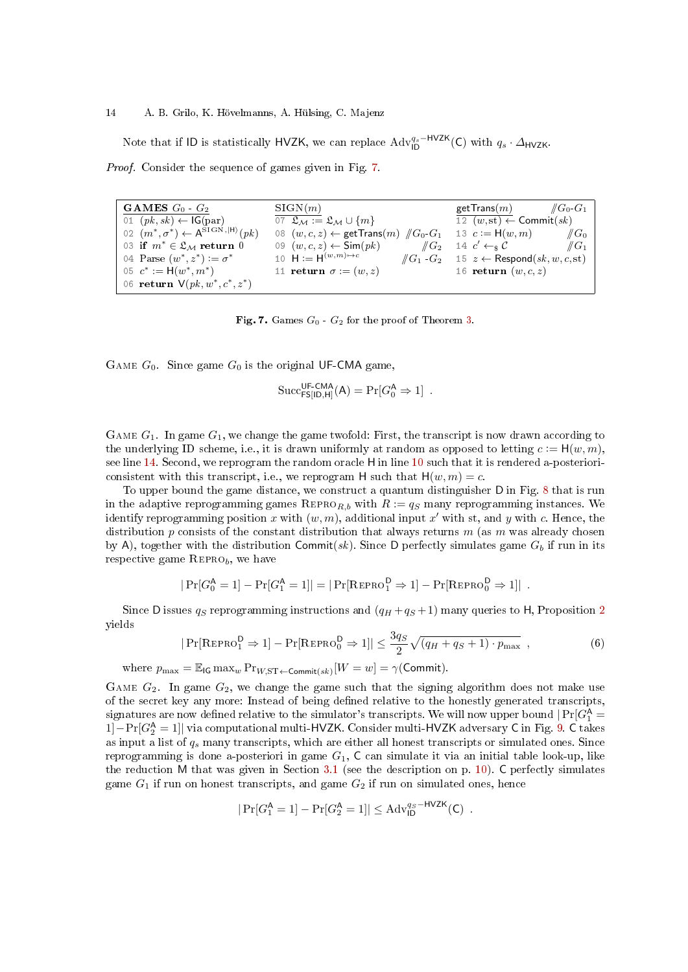#### 14 A. B. Grilo, K. Hövelmanns, A. Hülsing, C. Majenz

Note that if ID is statistically HVZK, we can replace  $\text{Adv}_{\text{ID}}^{q_s-\text{HVZK}}(C)$  with  $q_s \cdot \Delta_{\text{HVZK}}$ .

Proof. Consider the sequence of games given in Fig. [7.](#page-13-0)

<span id="page-13-4"></span>GAMES  $G_0$  -  $G_2$ 01  $(pk, sk) \leftarrow \text{IG}(par)$ 02  $(m^*, \sigma^*) \leftarrow A^{STGN,|H\rangle}(pk)$ 03 if  $m^* \in \mathfrak{L}_M$  return 0 04 Parse  $(w^*, z^*) := \sigma^*$ 05  $c^* := H(w^*, m^*)$ 06 return  $V(pk, w^*, c^*, z^*)$  $SIGN(m)$  $\overline{07 \mathcal{L}_{\mathcal{M}}}\mathrel{\mathop:}=\mathfrak{L}_{\mathcal{M}}\cup\{m\}$ 08 (*w*, *c*, *z*) ← getTrans(*m*)  $\#G_0 - G_1$ <br>09 (*w*, *c*, *z*) ← Sim(*pk*)  $\#G_2$ 09  $(w, c, z) \leftarrow \text{Sim}(pk)$ 10  $H := H^{(w,m)\to c}$  $\sqrt{G_1 \cdot G_2}$ 11 return  $\sigma := (w, z)$  $\frac{\mathsf{getTrans}(m)}{12 \ \ (w, \operatorname{st}) \leftarrow \mathsf{Commit}(sk)}$ 13  $c := H(w, m)$   $\#G_0$ <br>
14  $c' \leftarrow_{\$} C$   $\#G_1$ 14  $c' \leftarrow s C$ 14  $c' \leftarrow_{\$} C$   $\#G_1$ <br>
15  $z \leftarrow$  Respond(sk, w, c, st) 16 return  $(w, c, z)$ 

<span id="page-13-2"></span><span id="page-13-0"></span>Fig. 7. Games  $G_0$  -  $G_2$  for the proof of Theorem [3.](#page-12-3)

GAME  $G_0$ . Since game  $G_0$  is the original UF-CMA game,

<span id="page-13-3"></span><span id="page-13-1"></span>
$$
\mathrm{Succ}_{\mathsf{FS}[\mathsf{ID},\mathsf{H}]}^{\mathsf{UF}\text{-}\mathsf{CMA}}(\mathsf{A}) = \Pr[G_0^\mathsf{A} \Rightarrow 1] \enspace .
$$

GAME  $G_1$ . In game  $G_1$ , we change the game twofold: First, the transcript is now drawn according to the underlying ID scheme, i.e., it is drawn uniformly at random as opposed to letting  $c := H(w, m)$ , see line [14.](#page-13-1) Second, we reprogram the random oracle H in line [10](#page-13-2) such that it is rendered a-posterioriconsistent with this transcript, i.e., we reprogram H such that  $H(w, m) = c$ .

To upper bound the game distance, we construct a quantum distinguisher D in Fig. [8](#page-14-0) that is run in the adaptive reprogramming games  $\text{REPRO}_{R,b}$  with  $R := q_S$  many reprogramming instances. We identify reprogramming position x with  $(w, m)$ , additional input x' with st, and y with c. Hence, the distribution  $p$  consists of the constant distribution that always returns  $m$  (as  $m$  was already chosen by A), together with the distribution Commit(sk). Since D perfectly simulates game  $G_b$  if run in its respective game REPRO<sub>b</sub>, we have

$$
|\Pr[G_0^{\mathsf{A}} = 1] - \Pr[G_1^{\mathsf{A}} = 1]| = |\Pr[\text{REPRO}_1^{\mathsf{D}} \Rightarrow 1] - \Pr[\text{REPRO}_0^{\mathsf{D}} \Rightarrow 1]|.
$$

Since D issues  $q_S$  reprogramming instructions and  $(q_H + q_S + 1)$  many queries to H, Proposition [2](#page-6-2) yields

<span id="page-13-5"></span>
$$
|\Pr[\text{REPRO}_{1}^{\mathsf{D}} \Rightarrow 1] - \Pr[\text{REPRO}_{0}^{\mathsf{D}} \Rightarrow 1]| \le \frac{3q_{S}}{2} \sqrt{(q_{H} + q_{S} + 1) \cdot p_{\max}} \tag{6}
$$

where  $p_{\max} = \mathbb{E}_{\text{IG}} \max_w \Pr_{W, \text{ST} \leftarrow \text{Commit}(sk)} [W = w] = \gamma(\text{Commit}).$ 

GAME  $G_2$ . In game  $G_2$ , we change the game such that the signing algorithm does not make use of the secret key any more: Instead of being defined relative to the honestly generated transcripts, signatures are now defined relative to the simulator's transcripts. We will now upper bound  $|\Pr[G_{1}^{\mathsf{A}}=$ 1]−Pr[ $G_2^{\mathsf{A}} = 1$ ]| via computational multi-HVZK. Consider multi-HVZK adversary C in Fig. [9.](#page-14-1) C takes as input a list of  $q_s$  many transcripts, which are either all honest transcripts or simulated ones. Since reprogramming is done a-posteriori in game  $G_1$ ,  $C$  can simulate it via an initial table look-up, like the reduction M that was given in Section [3.1](#page-7-1) (see the description on p. [10\)](#page-9-0). C perfectly simulates game  $G_1$  if run on honest transcripts, and game  $G_2$  if run on simulated ones, hence

$$
|\Pr[G_1^{\mathsf{A}} = 1] - \Pr[G_2^{\mathsf{A}} = 1]| \leq \mathrm{Adv}_{\mathsf{ID}}^{qs - \mathsf{HVZK}}(\mathsf{C})
$$
.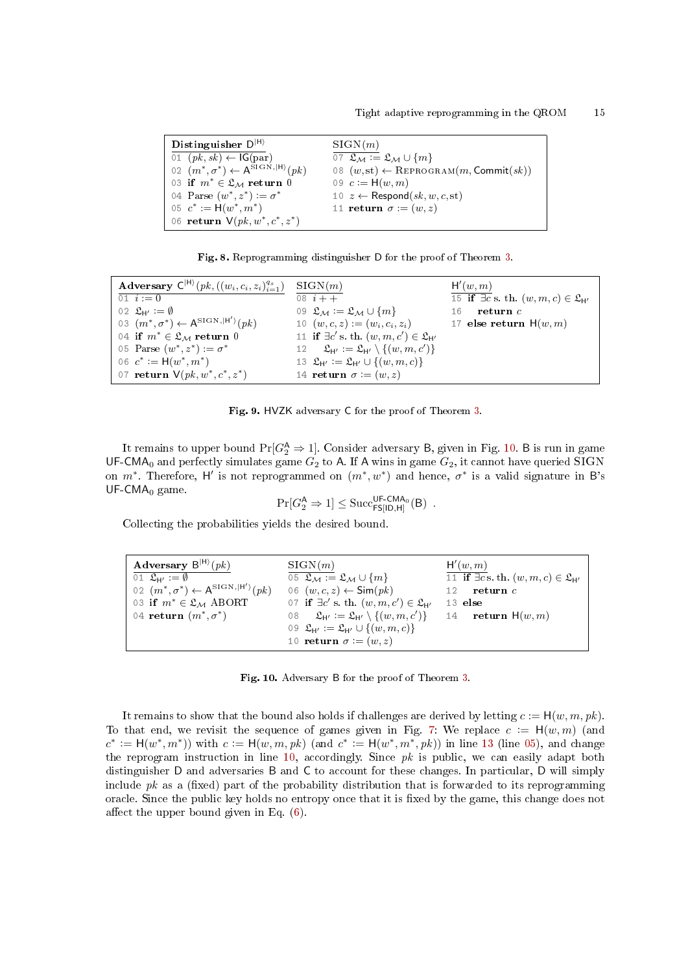| Distinguisher $D^{ H\rangle}$                                                 | SIGN(m)                                                        |
|-------------------------------------------------------------------------------|----------------------------------------------------------------|
| 01 $(pk, sk) \leftarrow IG(par)$                                              | 07 $\mathfrak{L}_M := \mathfrak{L}_M \cup \{m\}$               |
| 02 $(m^*, \sigma^*) \leftarrow A^{\text{SIGN}, \vert \mathsf{H} \rangle}(pk)$ | 08 $(w, st) \leftarrow \text{REPROGRAM}(m, \text{Commit}(sk))$ |
| 03 if $m^* \in \mathfrak{L}_M$ return 0                                       | 09 $c := H(w, m)$                                              |
| 04 Parse $(w^*, z^*) := \sigma^*$                                             | 10 $z \leftarrow$ Respond(sk, w, c, st)                        |
| 05 $c^* := H(w^*, m^*)$                                                       | 11 return $\sigma := (w, z)$                                   |
| 06 return $V(pk, w^*, c^*, z^*)$                                              |                                                                |

<span id="page-14-0"></span>

|  | Fig. 8. Reprogramming distinguisher D for the proof of Theorem 3. |  |  |  |  |
|--|-------------------------------------------------------------------|--|--|--|--|
|--|-------------------------------------------------------------------|--|--|--|--|

| Adversary $C^{ H\rangle}(pk, ((w_i, c_i, z_i)_{i=1}^{q_s})$            | SIGN(m)                                                                                | H'(w,m)                                                    |
|------------------------------------------------------------------------|----------------------------------------------------------------------------------------|------------------------------------------------------------|
| 01 $i := 0$                                                            | 08 $i + +$                                                                             | 15 if $\exists c$ s. th. $(w, m, c) \in \mathfrak{L}_{H'}$ |
| 02 $\mathfrak{L}_{H'} := \emptyset$                                    | 09 $\mathfrak{L}_M := \mathfrak{L}_M \cup \{m\}$                                       | return $c$<br>16                                           |
| 03 $(m^*, \sigma^*) \leftarrow A^{\text{SIG N}, \vert H' \rangle}(pk)$ | 10 $(w, c, z) := (w_i, c_i, z_i)$                                                      | 17 else return $H(w,m)$                                    |
| 04 if $m^* \in \mathfrak{L}_M$ return 0                                | 11 if $\exists c' \text{ s. th. } (w, m, c') \in \mathfrak{L}_{H'}$                    |                                                            |
| 05 Parse $(w^*, z^*) := \sigma^*$                                      | 12 $\mathfrak{L}_{\mathsf{H}'} := \mathfrak{L}_{\mathsf{H}'} \setminus \{(w, m, c')\}$ |                                                            |
| 06 $c^* := H(w^*, m^*)$                                                | 13 $\mathfrak{L}_{\mathsf{H}'} := \mathfrak{L}_{\mathsf{H}'} \cup \{(w, m, c)\}\$      |                                                            |
| 07 return $V(pk, w^*, c^*, z^*)$                                       | 14 return $\sigma := (w, z)$                                                           |                                                            |

<span id="page-14-1"></span>

It remains to upper bound  $\Pr[G_2^{\mathsf{A}} \Rightarrow 1]$ . Consider adversary B, given in Fig. [10.](#page-14-2) B is run in game UF-CMA<sub>0</sub> and perfectly simulates game  $G_2$  to A. If A wins in game  $G_2$ , it cannot have queried SIGN on  $m^*$ . Therefore, H' is not reprogrammed on  $(m^*, w^*)$  and hence,  $\sigma^*$  is a valid signature in B's  $UF-CMA<sub>0</sub>$  game.

<span id="page-14-3"></span>
$$
\Pr[G_2^{\mathsf{A}} \Rightarrow 1] \leq \mathrm{Succ}_{\mathsf{FS}[\mathsf{ID},\mathsf{H}]}^{\mathsf{UF}\text{-}\mathsf{CMA}_0}(\mathsf{B})\enspace.
$$

Collecting the probabilities yields the desired bound.

| Adversary $B^{ H\rangle}(pk)$                                         | SIGN(m)                                                                              | H'(w, m)                                                   |
|-----------------------------------------------------------------------|--------------------------------------------------------------------------------------|------------------------------------------------------------|
| 01 $\mathfrak{L}_{H'} := \emptyset$                                   | 05 $\mathfrak{L}_M := \mathfrak{L}_M \cup \{m\}$                                     | 11 if $\exists c$ s. th. $(w, m, c) \in \mathfrak{L}_{H'}$ |
| 02 $(m^*, \sigma^*) \leftarrow A^{\text{SIGN}, \vert H' \rangle}(pk)$ | 06 $(w, c, z) \leftarrow \textsf{Sim}(pk)$                                           | return $c$<br>12                                           |
| 03 if $m^* \in \mathfrak{L}_M$ ABORT                                  | 07 if $\exists c' \text{ s. th. } (w, m, c') \in \mathfrak{L}_{H'}$                  | $13$ else                                                  |
| 04 return $(m^*, \sigma^*)$                                           | 08 $\mathfrak{L}_{\mathsf{H}'} := \mathfrak{L}_{\mathsf{H}'} \setminus \{(w,m,c')\}$ | 14 return $H(w, m)$                                        |
|                                                                       | 09 $\mathfrak{L}_{H'} := \mathfrak{L}_{H'} \cup \{(w, m, c)\}\$                      |                                                            |
|                                                                       | 10 return $\sigma := (w, z)$                                                         |                                                            |

<span id="page-14-2"></span>Fig. 10. Adversary B for the proof of Theorem [3.](#page-12-3)

It remains to show that the bound also holds if challenges are derived by letting  $c := H(w, m, pk)$ . To that end, we revisit the sequence of games given in Fig. [7:](#page-13-0) We replace  $c := H(w, m)$  (and  $c^* := H(w^*, m^*)$  with  $c := H(w, m, pk)$  (and  $c^* := H(w^*, m^*, pk)$ ) in line [13](#page-13-3) (line [05\)](#page-13-4), and change the reprogram instruction in line [10,](#page-13-2) accordingly. Since  $pk$  is public, we can easily adapt both distinguisher D and adversaries B and C to account for these changes. In particular, D will simply include  $pk$  as a (fixed) part of the probability distribution that is forwarded to its reprogramming oracle. Since the public key holds no entropy once that it is fixed by the game, this change does not affect the upper bound given in Eq.  $(6)$ .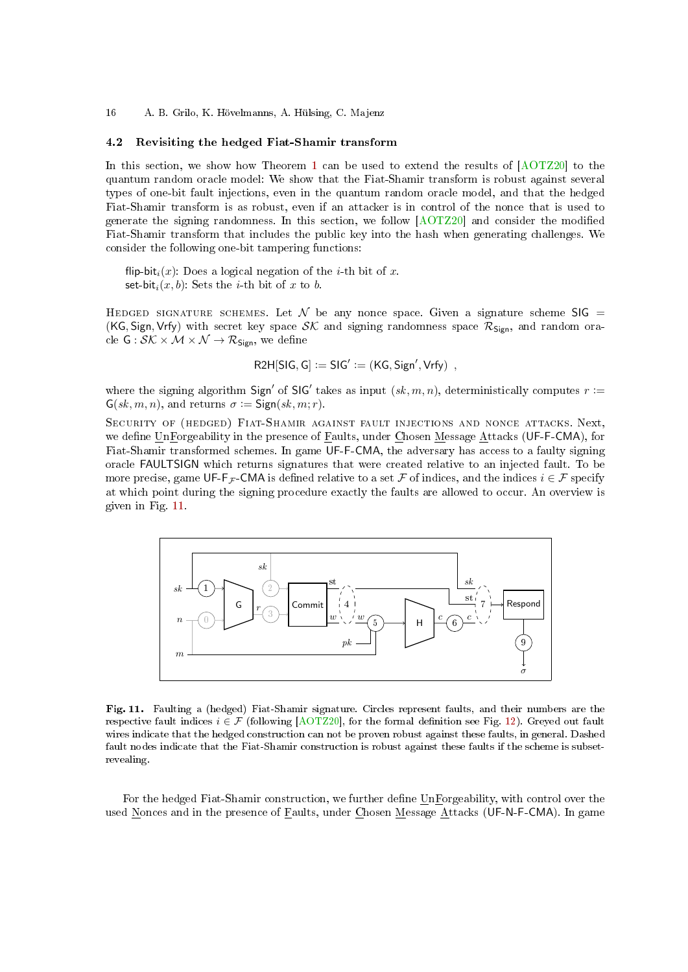#### 16 A. B. Grilo, K. Hövelmanns, A. Hülsing, C. Majenz

### <span id="page-15-0"></span>4.2 Revisiting the hedged Fiat-Shamir transform

In this section, we show how Theorem [1](#page-6-0) can be used to extend the results of [\[AOTZ20\]](#page-23-2) to the quantum random oracle model: We show that the Fiat-Shamir transform is robust against several types of one-bit fault injections, even in the quantum random oracle model, and that the hedged Fiat-Shamir transform is as robust, even if an attacker is in control of the nonce that is used to generate the signing randomness. In this section, we follow  $[ACTZ20]$  and consider the modified Fiat-Shamir transform that includes the public key into the hash when generating challenges. We consider the following one-bit tampering functions:

flip-bit<sub>i</sub> $(x)$ : Does a logical negation of the *i*-th bit of x. set-bit<sub>i</sub> $(x, b)$ : Sets the *i*-th bit of x to b.

HEDGED SIGNATURE SCHEMES. Let  $\mathcal N$  be any nonce space. Given a signature scheme SIG = (KG, Sign, Vrfy) with secret key space  $\mathcal{SK}$  and signing randomness space  $\mathcal{R}_{Sign}$ , and random oracle  $G: \mathcal{SK} \times \mathcal{M} \times \mathcal{N} \rightarrow \mathcal{R}_{Sign}$ , we define

$$
R2H[SIG, G] := SIG' := (KG, Sign', Vrfy) ,
$$

where the signing algorithm Sign' of SIG' takes as input  $(sk, m, n)$ , deterministically computes  $r :=$  $\mathsf{G}(sk,m,n)$ , and returns  $\sigma := \mathsf{Sign}(sk,m;r)$ .

Security of (hedged) Fiat-Shamir against fault injections and nonce attacks. Next, we define UnForgeability in the presence of Faults, under Chosen Message Attacks (UF-F-CMA), for Fiat-Shamir transformed schemes. In game UF-F-CMA, the adversary has access to a faulty signing oracle FAULTSIGN which returns signatures that were created relative to an injected fault. To be more precise, game UF-F<sub>F</sub>-CMA is defined relative to a set F of indices, and the indices  $i \in \mathcal{F}$  specify at which point during the signing procedure exactly the faults are allowed to occur. An overview is given in Fig. [11.](#page-15-1)



<span id="page-15-1"></span>Fig. 11. Faulting a (hedged) Fiat-Shamir signature. Circles represent faults, and their numbers are the respective fault indices  $i \in \mathcal{F}$  (following [\[AOTZ20\]](#page-23-2), for the formal definition see Fig. [12\)](#page-16-0). Greyed out fault wires indicate that the hedged construction can not be proven robust against these faults, in general. Dashed fault nodes indicate that the Fiat-Shamir construction is robust against these faults if the scheme is subsetrevealing.

For the hedged Fiat-Shamir construction, we further define UnForgeability, with control over the used Nonces and in the presence of Faults, under Chosen Message Attacks (UF-N-F-CMA). In game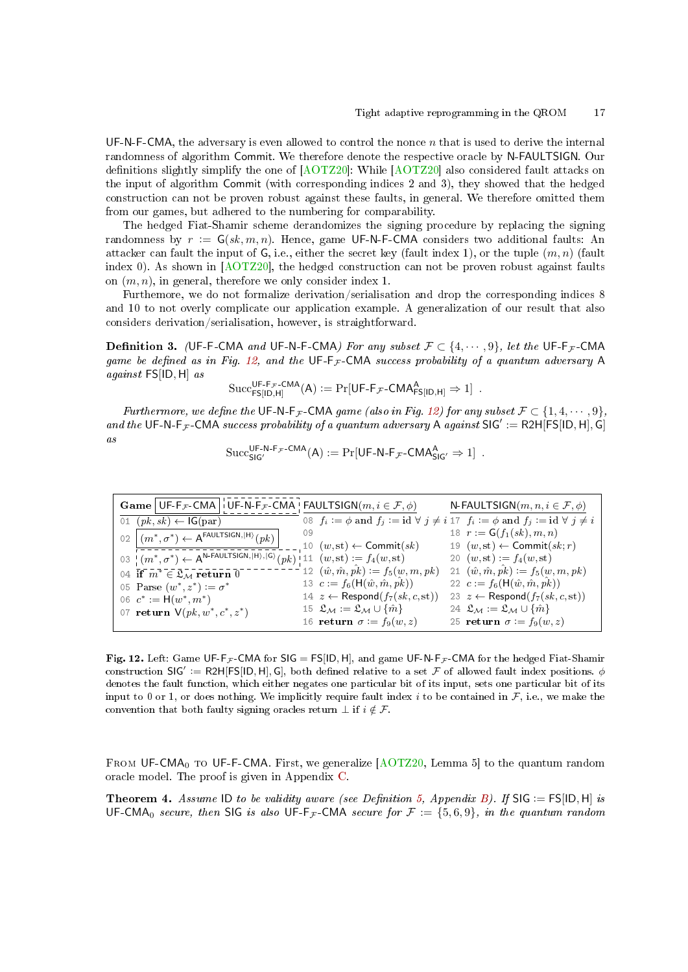UF-N-F-CMA, the adversary is even allowed to control the nonce  $n$  that is used to derive the internal randomness of algorithm Commit. We therefore denote the respective oracle by N-FAULTSIGN. Our definitions slightly simplify the one of  $[AOTZ20]$ : While  $[AOTZ20]$  also considered fault attacks on the input of algorithm Commit (with corresponding indices 2 and 3), they showed that the hedged construction can not be proven robust against these faults, in general. We therefore omitted them from our games, but adhered to the numbering for comparability.

The hedged Fiat-Shamir scheme derandomizes the signing procedure by replacing the signing randomness by  $r := G(\mathfrak{sk}, m, n)$ . Hence, game UF-N-F-CMA considers two additional faults: An attacker can fault the input of  $G$ , i.e., either the secret key (fault index 1), or the tuple  $(m, n)$  (fault index 0). As shown in [\[AOTZ20\]](#page-23-2), the hedged construction can not be proven robust against faults on  $(m, n)$ , in general, therefore we only consider index 1.

Furthemore, we do not formalize derivation/serialisation and drop the corresponding indices 8 and 10 to not overly complicate our application example. A generalization of our result that also considers derivation/serialisation, however, is straightforward.

**Definition 3.** (UF-F-CMA and UF-N-F-CMA) For any subset  $\mathcal{F} \subset \{4, \dots, 9\}$ , let the UF-F<sub>F</sub>-CMA game be defined as in Fig. [12,](#page-16-0) and the UF-F<sub>F</sub>-CMA success probability of a quantum adversary A<br>against FS[ID, H] as<br>Succ<sup>UF-F<sub>F</sub>-CMA(A) := Pr[UF-F<sub>F</sub>-CMA<sub>FSID-H]</sub>  $\Rightarrow$  1].</sup> against FS[ID, H] as

$$
\mathrm{Succ}_{\mathsf{FS}[\mathsf{ID},\mathsf{H}]}^{\mathsf{UF-F}_{\mathcal{F}}\text{-}\mathsf{CMA}}(A) := \mathrm{Pr}[\mathsf{UF-F}_{\mathcal{F}}\text{-}\mathsf{CMA}_{\mathsf{FS}[\mathsf{ID},\mathsf{H}]}^{\mathsf{A}} \Rightarrow 1] .
$$

Furthermore, we define the UF-N-F<sub>F</sub>-CMA game (also in Fig. [12\)](#page-16-0) for any subset  $\mathcal{F} \subset \{1, 4, \cdots, 9\}$ , and the UF-N-F<sub>F</sub>-CMA success probability of a quantum adversary A against  $SIG' := R2H[FS[ID, H], G]$ as  $\mathrm{Succes}^{\mathsf{UE}\text{-}\mathsf{N}\text{-}\mathsf{F}_{\mathcal{F}}\text{-}\mathsf{CMA}}$ 

$$
\mathrm{Succ}_{\mathsf{SIG}'}^{\mathsf{UF-N-F}_{\mathcal{F}}\text{-CMA}}(A) := \Pr[\mathsf{UF-N-F}_{\mathcal{F}}\text{-CMA}_{\mathsf{SIG}'}^A \Rightarrow 1] .
$$

| <b>Game</b> UF-F <sub>F</sub> -CMA I UF-N-F <sub>F</sub> -CMA FAULTSIGN $(m, i \in \mathcal{F}, \phi)$                |                                                                             | N-FAULTSIGN $(m, n, i \in \mathcal{F}, \phi)$                                                                 |
|-----------------------------------------------------------------------------------------------------------------------|-----------------------------------------------------------------------------|---------------------------------------------------------------------------------------------------------------|
| 01 $(pk, sk) \leftarrow \mathsf{IG}(\text{par})$                                                                      |                                                                             | 08 $f_i := \phi$ and $f_j := id \ \forall \ j \neq i \ 17 \ f_i := \phi$ and $f_j := id \ \forall \ j \neq i$ |
| 02 $(m^*, \sigma^*) \leftarrow A^{\text{FAULTSIGN},  H }(pk)$                                                         | 09                                                                          | 18 $r := G(f_1(sk), m, n)$                                                                                    |
|                                                                                                                       | 10 $(w, st) \leftarrow$ Commit $(sk)$                                       | 19 $(w, st) \leftarrow$ Commit $(sk; r)$                                                                      |
| 03 $(m^*, \sigma^*) \leftarrow A^{\text{N-FAULTSIGN}, \text{IH}\setminus, \text{[G)}}(pk)$ 11 $(w, st) := f_4(w, st)$ |                                                                             | 20 $(w, st) := f_4(w, st)$                                                                                    |
| 04 if $m^* \in \mathfrak{L}_M$ return 0                                                                               | 12 $(\hat{w}, \hat{m}, \hat{pk}) := f_5(w, m, pk)$                          | 21 $(\hat{w}, \hat{m}, \hat{pk}) := f_5(w, m, pk)$                                                            |
| 05 Parse $(w^*, z^*) \coloneqq \sigma^*$                                                                              | 13 $c := f_6(H(\hat{w}, \hat{m}, \hat{pk}))$                                | 22 $c := f_6(H(\hat{w}, \hat{m}, \hat{pk}))$                                                                  |
| 06 $c^* := H(w^*, m^*)$                                                                                               | 14 $z \leftarrow$ Respond $(f_7(sk, c, st))$                                | 23 $z \leftarrow$ Respond $(f_7(sk, c, st))$                                                                  |
| 07 <b>return</b> $V(pk, w^*, c^*, z^*)$                                                                               | 15 $\mathfrak{L}_\mathcal{M} := \mathfrak{L}_\mathcal{M} \cup \{\hat{m}\}\$ | 24 $\mathfrak{L}_M := \mathfrak{L}_M \cup \{\hat{m}\}\$                                                       |
|                                                                                                                       | 16 return $\sigma := f_9(w, z)$                                             | 25 return $\sigma := f_9(w, z)$                                                                               |

<span id="page-16-0"></span>Fig. 12. Left: Game UF-F<sub>F</sub>-CMA for  $SIG = FSIID, H$ , and game UF-N-F<sub>F</sub>-CMA for the hedged Fiat-Shamir construction SIG' := R2H[FS[ID, H], G], both defined relative to a set F of allowed fault index positions.  $\phi$ denotes the fault function, which either negates one particular bit of its input, sets one particular bit of its input to 0 or 1, or does nothing. We implicitly require fault index i to be contained in  $\mathcal{F}$ , i.e., we make the convention that both faulty signing oracles return  $\bot$  if  $i \notin \mathcal{F}$ .

<span id="page-16-1"></span>FROM UF-CMA<sub>0</sub> TO UF-F-CMA. First, we generalize  $[ACTZ20, Lemma 5]$  to the quantum random oracle model. The proof is given in Appendix [C.](#page-32-0)

**Theorem 4.** Assume ID to be validity aware (see Definition [5,](#page-30-0) Appendix [B\)](#page-28-0). If  $SIG := FS[ID, H]$  is UF-CMA<sub>0</sub> secure, then SIG is also UF-F<sub>F</sub>-CMA secure for  $\mathcal{F} := \{5, 6, 9\}$ , in the quantum random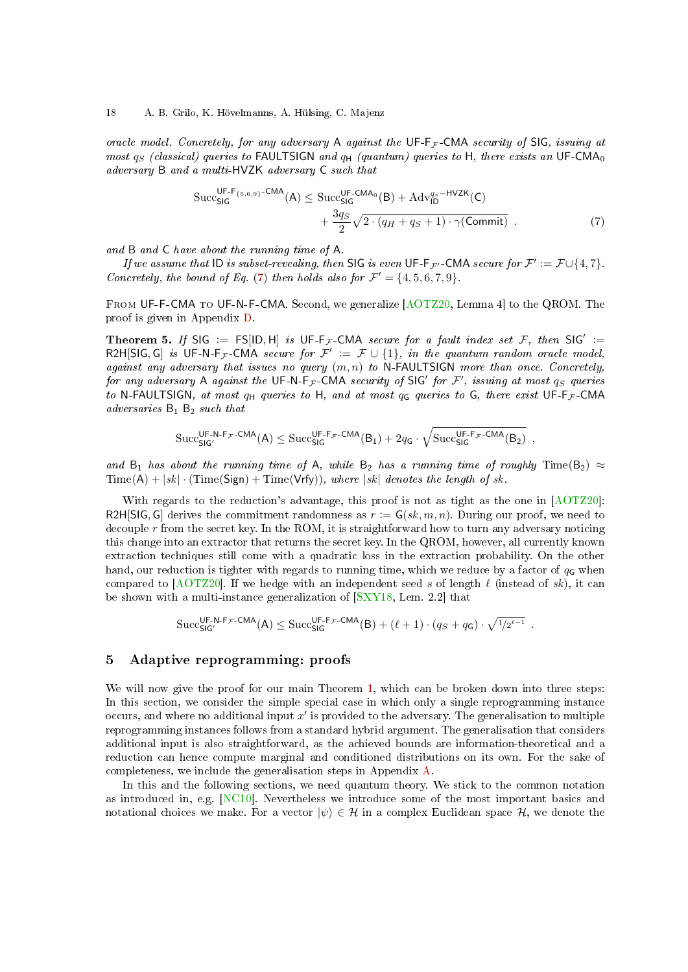oracle model. Concretely, for any adversary A against the  $\mathsf{UF-F}_{\mathcal{F}}\text{-}\mathsf{CMA}$  security of  $\mathsf{SIG}$ , issuing at most  $q_S$  (classical) queries to FAULTSIGN and  $q_H$  (quantum) queries to H, there exists an UF-CMA<sub>0</sub>

$$
adversary \, \mathsf{B} \, \text{ and } a \, \text{ multi-HVZK} \, \text{adversary} \, \mathsf{C} \, \text{ such that}
$$
\n
$$
\begin{aligned}\n\text{Succ}_{\mathsf{SIG}}^{\mathsf{UF-F}_{\{5,6,9\}} \cdot \mathsf{CMA}}(\mathsf{A}) &\leq \text{Succ}_{\mathsf{SIG}}^{\mathsf{UF-CMA}_{0}}(\mathsf{B}) + \mathsf{Adv}_{\mathsf{ID}}^{\mathsf{q}_{s} - \mathsf{HVZK}}(\mathsf{C}) \\
&\quad + \frac{3q_{S}}{2} \sqrt{2 \cdot (q_{H} + q_{S} + 1) \cdot \gamma(\mathsf{Commit})} \, .\n\end{aligned} \tag{7}
$$

and B and C have about the running time of A.

If we assume that  $ID$  is subset-revealing, then SIG is even  $UF\cdot F_{\mathcal{F}'}$  -CMA secure for  $\mathcal{F}' := \mathcal{F} \cup \{4, 7\}$ . Concretely, the bound of Eq. [\(7\)](#page-14-3) then holds also for  $\mathcal{F}' = \{4, 5, 6, 7, 9\}$ .

From UF-F-CMA to UF-N-F-CMA. Second, we generalize [\[AOTZ20,](#page-23-2) Lemma 4] to the QROM. The proof is given in Appendix [D.](#page-40-0)

Theorem 5. If SIG := FS[ID, H] is UF-F<sub>F</sub>-CMA secure for a fault index set F, then SIG' := R2H[SIG, G] is UF-N-F<sub>F</sub>-CMA secure for  $\mathcal{F}' := \mathcal{F} \cup \{1\}$ , in the quantum random oracle model, against any adversary that issues no query  $(m, n)$  to N-FAULTSIGN more than once. Concretely, for any adversary A against the UF-N-F<sub>F</sub>-CMA security of SIG' for F', issuing at most  $q_S$  queries to N-FAULTSIGN, at most  $q_H$  queries to H, and at most  $q_G$  queries to G, there exist UF-F<sub>F</sub>-CMA adversaries  $B_1$   $B_2$  such that

<span id="page-17-1"></span>
$$
\mathrm{Succ}_{\mathsf{SIG}'}^{\mathsf{UF-N-F}_{\mathcal{F}}\text{-CMA}}(A) \leq \mathrm{Succ}_{\mathsf{SIG}}^{\mathsf{UF-F}_{\mathcal{F}}\text{-CMA}}(B_1) + 2q_\mathsf{G} \cdot \sqrt{\mathrm{Succ}_{\mathsf{SIG}^{\mathsf{UF-F}_{\mathcal{F}}\text{-CMA}}(B_2)}\enspace,
$$

and B<sub>1</sub> has about the running time of A, while B<sub>2</sub> has a running time of roughly Time(B<sub>2</sub>)  $\approx$  $Time(A) + |sk| \cdot (Time(Sign) + Time(Vrfy)), where |sk| denotes the length of sk.$ 

With regards to the reduction's advantage, this proof is not as tight as the one in [\[AOTZ20\]](#page-23-2): R2H[SIG, G] derives the commitment randomness as  $r := G(\mathfrak{sk}, m, n)$ . During our proof, we need to decouple  $r$  from the secret key. In the ROM, it is straightforward how to turn any adversary noticing this change into an extractor that returns the secret key. In the QROM, however, all currently known extraction techniques still come with a quadratic loss in the extraction probability. On the other hand, our reduction is tighter with regards to running time, which we reduce by a factor of  $q<sub>G</sub>$  when compared to  $[ACTZ20]$ . If we hedge with an independent seed s of length  $\ell$  (instead of sk), it can be shown with a multi-instance generalization of [\[SXY18,](#page-25-0) Lem. 2.2] that

$$
\mathrm{Succ}_{\mathsf{SIG}'}^{\mathsf{UF-N-F}_\mathcal{F}\text{-}\mathsf{CMA}}(\mathsf{A}) \leq \mathrm{Succ}_{\mathsf{SIG}}^{\mathsf{UF-F}_\mathcal{F}\text{-}\mathsf{CMA}}(\mathsf{B}) + (\ell+1) \cdot (q_S + q_\mathsf{G}) \cdot \sqrt{^{1/2^{\ell-1}}} \enspace.
$$

#### <span id="page-17-0"></span>5 Adaptive reprogramming: proofs

We will now give the proof for our main Theorem [1,](#page-6-0) which can be broken down into three steps: In this section, we consider the simple special case in which only a single reprogramming instance occurs, and where no additional input  $x'$  is provided to the adversary. The generalisation to multiple reprogramming instances follows from a standard hybrid argument. The generalisation that considers additional input is also straightforward, as the achieved bounds are information-theoretical and a reduction can hence compute marginal and conditioned distributions on its own. For the sake of completeness, we include the generalisation steps in Appendix [A.](#page-26-2)

In this and the following sections, we need quantum theory. We stick to the common notation as introduced in, e.g. [\[NC10\]](#page-25-12). Nevertheless we introduce some of the most important basics and notational choices we make. For a vector  $|\psi\rangle \in \mathcal{H}$  in a complex Euclidean space  $\mathcal{H}$ , we denote the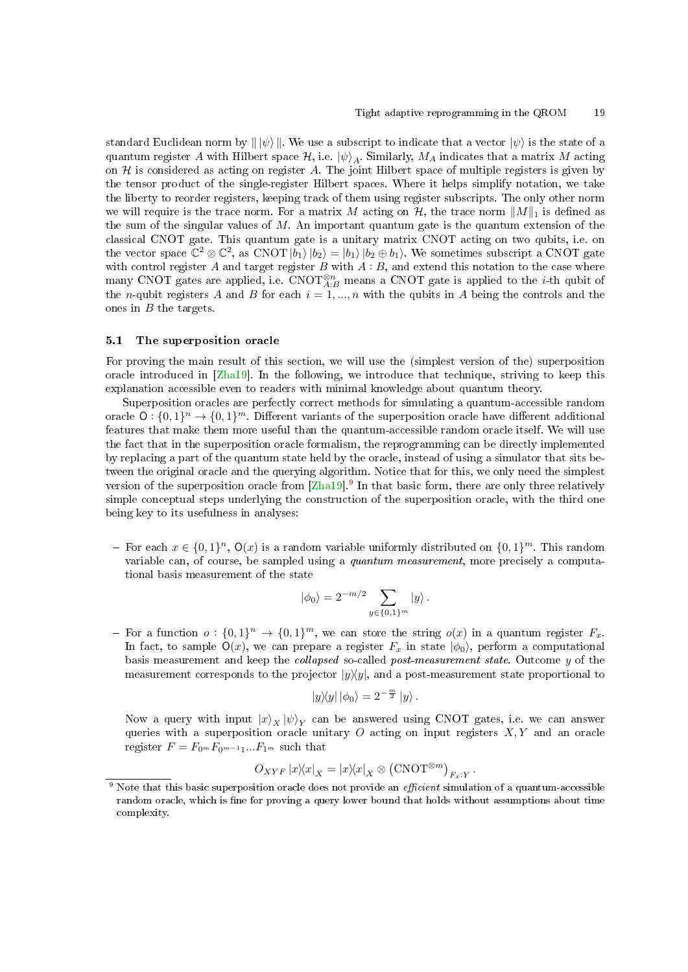standard Euclidean norm by  $\|\psi\rangle\|$ . We use a subscript to indicate that a vector  $|\psi\rangle$  is the state of a quantum register A with Hilbert space  $\mathcal{H}$ , i.e.  $|\psi\rangle_A$ . Similarly,  $M_A$  indicates that a matrix M acting on  $H$  is considered as acting on register A. The joint Hilbert space of multiple registers is given by the tensor product of the single-register Hilbert spaces. Where it helps simplify notation, we take the liberty to reorder registers, keeping track of them using register subscripts. The only other norm we will require is the trace norm. For a matrix M acting on  $\mathcal{H}$ , the trace norm  $||M||_1$  is defined as the sum of the singular values of  $M$ . An important quantum gate is the quantum extension of the classical CNOT gate. This quantum gate is a unitary matrix CNOT acting on two qubits, i.e. on the vector space  $\mathbb{C}^2 \otimes \mathbb{C}^2$ , as CNOT  $\ket{b_1}\ket{b_2} = \ket{b_1}\ket{b_2 \oplus b_1}$ . We sometimes subscript a CNOT gate with control register  $A$  and target register  $B$  with  $A : B$ , and extend this notation to the case where many CNOT gates are applied, i.e. CNOT<sup>⊗n</sup><sub>A:B</sub> means a CNOT gate is applied to the *i*-th qubit of the *n*-qubit registers A and B for each  $i = 1, ..., n$  with the qubits in A being the controls and the ones in  $B$  the targets.

#### 5.1 The superposition oracle

For proving the main result of this section, we will use the (simplest version of the) superposition oracle introduced in [\[Zha19\]](#page-26-1). In the following, we introduce that technique, striving to keep this explanation accessible even to readers with minimal knowledge about quantum theory.

Superposition oracles are perfectly correct methods for simulating a quantum-accessible random oracle  $\mathsf{O}: \{0,1\}^n \to \{0,1\}^m$ . Different variants of the superposition oracle have different additional features that make them more useful than the quantum-accessible random oracle itself. We will use the fact that in the superposition oracle formalism, the reprogramming can be directly implemented by replacing a part of the quantum state held by the oracle, instead of using a simulator that sits between the original oracle and the querying algorithm. Notice that for this, we only need the simplest version of the superposition oracle from [\[Zha19\]](#page-26-1).<sup>[9](#page-18-0)</sup> In that basic form, there are only three relatively simple conceptual steps underlying the construction of the superposition oracle, with the third one being key to its usefulness in analyses:

- For each  $x \in \{0,1\}^n$ ,  $\mathsf{O}(x)$  is a random variable uniformly distributed on  $\{0,1\}^m$ . This random variable can, of course, be sampled using a quantum measurement, more precisely a computational basis measurement of the state

$$
|\phi_0\rangle = 2^{-m/2} \sum_{y \in \{0,1\}^m} |y\rangle.
$$

- For a function  $o: \{0,1\}^n \to \{0,1\}^m$ , we can store the string  $o(x)$  in a quantum register  $F_x$ . In fact, to sample  $\mathsf{O}(x)$ , we can prepare a register  $F_x$  in state  $|\phi_0\rangle$ , perform a computational basis measurement and keep the collapsed so-called post-measurement state. Outcome y of the measurement corresponds to the projector  $|y\rangle\langle y|$ , and a post-measurement state proportional to

$$
|y\rangle\langle y| \, |\phi_0\rangle = 2^{-\frac{m}{2}} \, |y\rangle \, .
$$

Now a query with input  $\ket{x}_X\ket{\psi}_Y$  can be answered using CNOT gates, i.e. we can answer queries with a superposition oracle unitary  $O$  acting on input registers  $X, Y$  and an oracle register  $F = F_{0m}F_{0m-1}...F_{1m}$  such that

$$
O_{XYF} |x\rangle\!\langle x|_X = |x\rangle\!\langle x|_X \otimes (\text{CNOT}^{\otimes m})_{F_x:Y}.
$$

<span id="page-18-0"></span>Note that this basic superposition oracle does not provide an efficient simulation of a quantum-accessible random oracle, which is fine for proving a query lower bound that holds without assumptions about time complexity.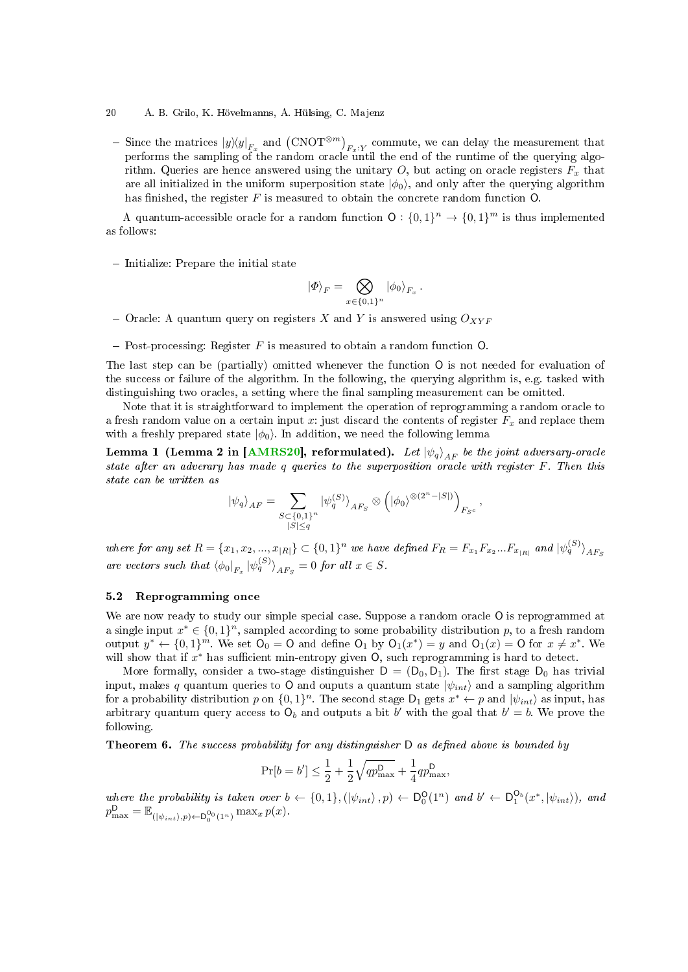- 20 A. B. Grilo, K. Hövelmanns, A. Hülsing, C. Majenz
- Since the matrices  $|y\rangle\langle y|_{F_x}$  and  $(\text{CNOT}^{\otimes m})_{F_x:Y}$  commute, we can delay the measurement that performs the sampling of the random oracle until the end of the runtime of the querying algorithm. Queries are hence answered using the unitary  $O$ , but acting on oracle registers  $F_x$  that are all initialized in the uniform superposition state  $|\phi_0\rangle$ , and only after the querying algorithm has finished, the register  $F$  is measured to obtain the concrete random function  $O$ .

A quantum-accessible oracle for a random function  $\mathsf{O}: \{0,1\}^n \to \{0,1\}^m$  is thus implemented as follows:

- Initialize: Prepare the initial state

<span id="page-19-0"></span>
$$
\ket{\varPhi}_F = \bigotimes_{x \in \{0,1\}^n} \ket{\phi_0}_{F_x}.
$$

- Oracle: A quantum query on registers X and Y is answered using  $O_{XYF}$
- Post-processing: Register  $F$  is measured to obtain a random function  $O$ .

The last step can be (partially) omitted whenever the function O is not needed for evaluation of the success or failure of the algorithm. In the following, the querying algorithm is, e.g. tasked with distinguishing two oracles, a setting where the final sampling measurement can be omitted.

Note that it is straightforward to implement the operation of reprogramming a random oracle to a fresh random value on a certain input x: just discard the contents of register  $F_x$  and replace them with a freshly prepared state  $|\phi_0\rangle$ . In addition, we need the following lemma

Lemma 1 (Lemma 2 in [\[AMRS20\]](#page-23-6), reformulated). Let  $|\psi_q\rangle_{AF}$  be the joint adversary-oracle state after an adverary has made q queries to the superposition oracle with register F. Then this state can be written as

$$
|\psi_q\rangle_{AF} = \sum_{\substack{S \subset \{0,1\}^n \\ |S| \le q}} |\psi_q^{(S)}\rangle_{AF_S} \otimes (|\phi_0\rangle^{\otimes (2^n - |S|)})_{F_{S^c}},
$$

where for any set  $R = \{x_1, x_2, ..., x_{|R|}\} \subset \{0,1\}^n$  we have defined  $F_R = F_{x_1} F_{x_2} ... F_{x_{|R|}}$  and  $|\psi_q^{(S)}\rangle_{AF_S}$ are vectors such that  $\langle \phi_0|_{F_x} |\psi_q^{(S)} \rangle_{AF_S} = 0$  for all  $x \in S$ .

### 5.2 Reprogramming once

We are now ready to study our simple special case. Suppose a random oracle O is reprogrammed at a single input  $x^* \in \{0,1\}^n$ , sampled according to some probability distribution p, to a fresh random output  $y^* \leftarrow \{0,1\}^m$ . We set  $\mathsf{O}_0 = \mathsf{O}$  and define  $\mathsf{O}_1$  by  $\mathsf{O}_1(x^*) = y$  and  $\mathsf{O}_1(x) = \mathsf{O}$  for  $x \neq x^*$ . We will show that if  $x^*$  has sufficient min-entropy given  $O$ , such reprogramming is hard to detect.

More formally, consider a two-stage distinguisher  $D = (D_0, D_1)$ . The first stage  $D_0$  has trivial input, makes q quantum queries to O and ouputs a quantum state  $|\psi_{int}\rangle$  and a sampling algorithm for a probability distribution p on  $\{0,1\}^n$ . The second stage  $\mathsf{D}_1$  gets  $x^* \leftarrow p$  and  $|\psi_{int}\rangle$  as input, has arbitrary quantum query access to  $O_b$  and outputs a bit b' with the goal that  $b' = b$ . We prove the following.

<span id="page-19-1"></span>**Theorem 6.** The success probability for any distinguisher  $D$  as defined above is bounded by

$$
\Pr[b = b'] \le \frac{1}{2} + \frac{1}{2}\sqrt{qp_{\max}^{\mathsf{D}}} + \frac{1}{4}qp_{\max}^{\mathsf{D}},
$$

where the probability is taken over  $b \leftarrow \{0,1\}, (\ket{\psi_{int}}, p) \leftarrow D_0^{\mathsf{O}}(1^n)$  and  $b' \leftarrow D_1^{\mathsf{O}_b}(x^*, \ket{\psi_{int}})$ , and  $p_{\max}^{\mathsf{D}} = \mathbb{E}_{(|\psi_{int}\rangle, p) \leftarrow \mathsf{D}_0^{O_0}(1^n)} \max_x p(x).$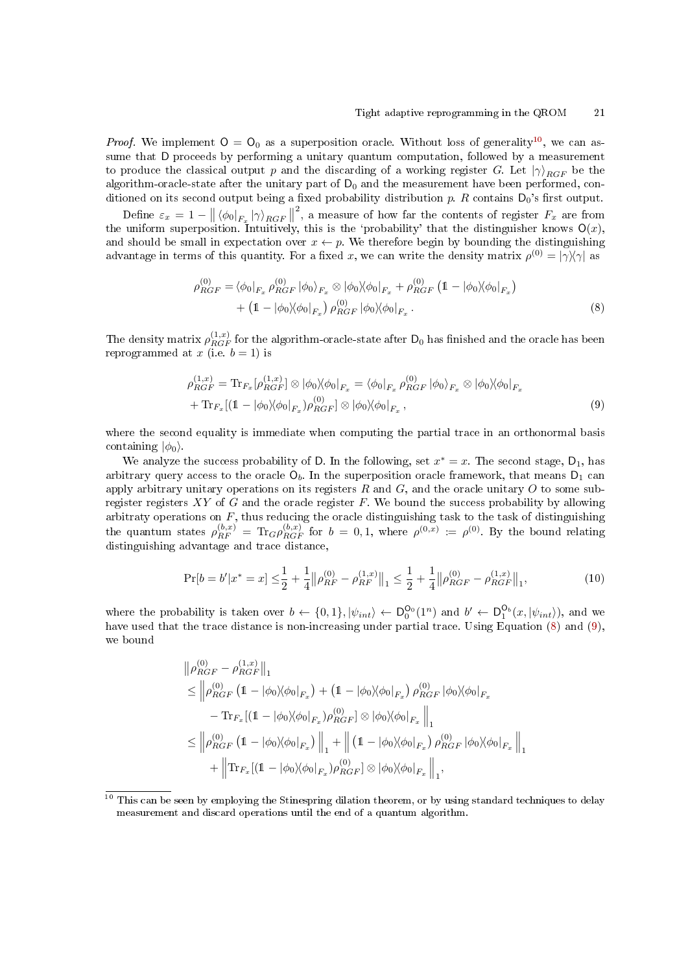*Proof.* We implement  $O = O_0$  as a superposition oracle. Without loss of generality<sup>[10](#page-20-0)</sup>, we can assume that D proceeds by performing a unitary quantum computation, followed by a measurement to produce the classical output p and the discarding of a working register G. Let  $|\gamma\rangle_{RGF}$  be the algorithm-oracle-state after the unitary part of  $D_0$  and the measurement have been performed, conditioned on its second output being a fixed probability distribution p. R contains  $D_0$ 's first output.

Define  $\varepsilon_x = 1 - || \langle \phi_0 |_{F_x} | \gamma \rangle_{RGF} ||$  $^{2}$ , a measure of how far the contents of register  $F_{x}$  are from the uniform superposition. Intuitively, this is the 'probability' that the distinguisher knows  $O(x)$ , and should be small in expectation over  $x \leftarrow p$ . We therefore begin by bounding the distinguishing advantage in terms of this quantity. For a fixed x, we can write the density matrix  $\rho^{(0)} = |\gamma\rangle\langle\gamma|$  as

<span id="page-20-1"></span>
$$
\rho_{RGF}^{(0)} = \langle \phi_0 |_{F_x} \rho_{RGF}^{(0)} | \phi_0 \rangle_{F_x} \otimes | \phi_0 \rangle \langle \phi_0 |_{F_x} + \rho_{RGF}^{(0)} (1 - | \phi_0 \rangle \langle \phi_0 |_{F_x}) + (1 - | \phi_0 \rangle \langle \phi_0 |_{F_x}) \rho_{RGF}^{(0)} | \phi_0 \rangle \langle \phi_0 |_{F_x} .
$$
\n(8)

The density matrix  $\rho^{(1,x)}_{RGF}$  for the algorithm-oracle-state after  $\mathsf{D}_0$  has finished and the oracle has been reprogrammed at x (i.e.  $b = 1$ ) is

<span id="page-20-2"></span>
$$
\rho_{RGF}^{(1,x)} = \text{Tr}_{F_x} [\rho_{RGF}^{(1,x)}] \otimes |\phi_0\rangle\langle\phi_0|_{F_x} = \langle\phi_0|_{F_x} \rho_{RGF}^{(0)} |\phi_0\rangle_{F_x} \otimes |\phi_0\rangle\langle\phi_0|_{F_x} \n+ \text{Tr}_{F_x} [(1 - |\phi_0\rangle\langle\phi_0|_{F_x})\rho_{RGF}^{(0)}] \otimes |\phi_0\rangle\langle\phi_0|_{F_x},
$$
\n(9)

where the second equality is immediate when computing the partial trace in an orthonormal basis containing  $|\phi_0\rangle$ .

We analyze the success probability of D. In the following, set  $x^* = x$ . The second stage,  $D_1$ , has arbitrary query access to the oracle  $O_b$ . In the superposition oracle framework, that means  $D_1$  can apply arbitrary unitary operations on its registers  $R$  and  $G$ , and the oracle unitary  $O$  to some subregister registers  $XY$  of  $G$  and the oracle register  $F$ . We bound the success probability by allowing arbitraty operations on  $F$ , thus reducing the oracle distinguishing task to the task of distinguishing the quantum states  $\rho_{RF}^{(b,x)} = \text{Tr}_G \rho_{RGF}^{(b,x)}$  for  $b = 0,1$ , where  $\rho^{(0,x)} := \rho^{(0)}$ . By the bound relating distinguishing advantage and trace distance,

<span id="page-20-3"></span>
$$
\Pr[b = b'|x^* = x] \le \frac{1}{2} + \frac{1}{4} \|\rho_{RF}^{(0)} - \rho_{RF}^{(1,x)}\|_1 \le \frac{1}{2} + \frac{1}{4} \|\rho_{RGF}^{(0)} - \rho_{RGF}^{(1,x)}\|_1,\tag{10}
$$

where the probability is taken over  $b \leftarrow \{0,1\}, |\psi_{int}\rangle \leftarrow D_0^{O_0}(1^n)$  and  $b' \leftarrow D_1^{O_b}(x, |\psi_{int}\rangle)$ , and we have used that the trace distance is non-increasing under partial trace. Using Equation [\(8\)](#page-20-1) and [\(9\)](#page-20-2), we bound

$$
\|\rho_{RGF}^{(0)} - \rho_{RGF}^{(1,x)}\|_1
$$
\n
$$
\leq \|\rho_{RGF}^{(0)} (1 - |\phi_0| \langle \phi_0|_{F_x}) + (1 - |\phi_0| \langle \phi_0|_{F_x}) \rho_{RGF}^{(0)} |\phi_0| \langle \phi_0|_{F_x}
$$
\n
$$
- \text{Tr}_{F_x} [(1 - |\phi_0| \langle \phi_0|_{F_x}) \rho_{RGF}^{(0)}] \otimes |\phi_0| \langle \phi_0|_{F_x}] \|_1
$$
\n
$$
\leq \|\rho_{RGF}^{(0)} (1 - |\phi_0| \langle \phi_0|_{F_x}) \|_1 + \| (1 - |\phi_0| \langle \phi_0|_{F_x}) \rho_{RGF}^{(0)} |\phi_0| \langle \phi_0|_{F_x} \|_1 + \| \text{Tr}_{F_x} [(1 - |\phi_0| \langle \phi_0|_{F_x}) \rho_{RGF}^{(0)}] \otimes |\phi_0| \langle \phi_0|_{F_x} \|_1,
$$

<span id="page-20-0"></span><sup>&</sup>lt;sup>10</sup> This can be seen by employing the Stinespring dilation theorem, or by using standard techniques to delay measurement and discard operations until the end of a quantum algorithm.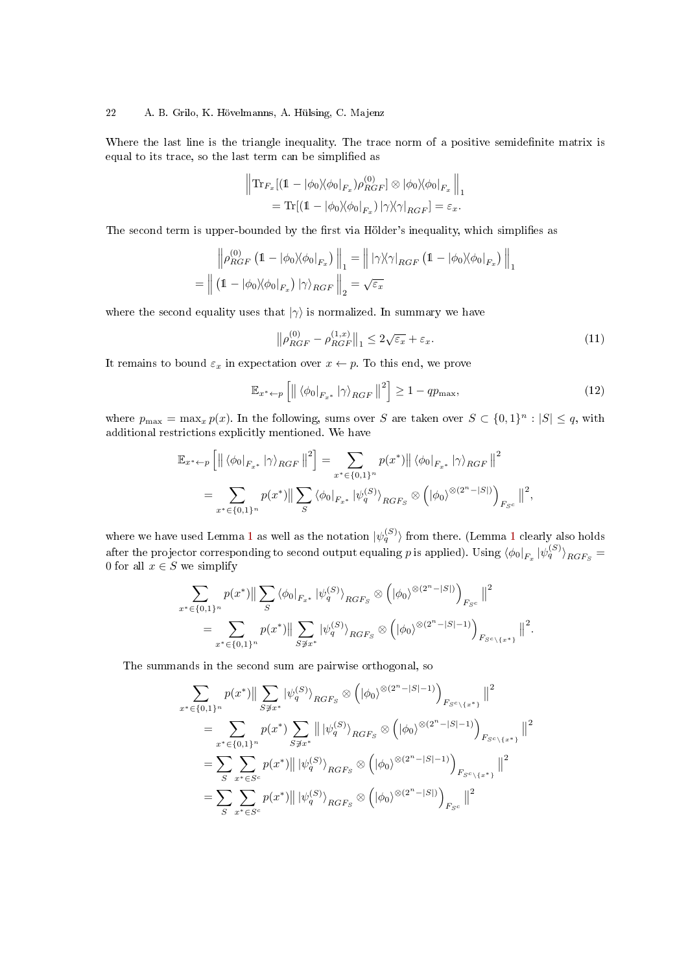### 22 A. B. Grilo, K. Hövelmanns, A. Hülsing, C. Majenz

Where the last line is the triangle inequality. The trace norm of a positive semidefinite matrix is equal to its trace, so the last term can be simplied as

$$
\begin{aligned} \left\| \text{Tr}_{F_x} [(1-|\phi_0\rangle\!\langle \phi_0|_{F_x}) \rho_{RGF}^{(0)}] \otimes |\phi_0\rangle\!\langle \phi_0|_{F_x} \right\|_1 \\ = \text{Tr} [(1-|\phi_0\rangle\!\langle \phi_0|_{F_x}) \left| \gamma \rangle\!\langle \gamma|_{RGF} ] = \varepsilon_x. \end{aligned}
$$

The second term is upper-bounded by the first via Hölder's inequality, which simplifies as

$$
\left\| \rho_{RGF}^{(0)} \left( 1 - |\phi_0\rangle\langle\phi_0|_{F_x} \right) \right\|_1 = \left\| |\gamma\rangle\langle\gamma|_{RGF} \left( 1 - |\phi_0\rangle\langle\phi_0|_{F_x} \right) \right\|_1
$$

$$
= \left\| \left( 1 - |\phi_0\rangle\langle\phi_0|_{F_x} \right) |\gamma\rangle_{RGF} \right\|_2 = \sqrt{\varepsilon_x}
$$

where the second equality uses that  $|\gamma\rangle$  is normalized. In summary we have

<span id="page-21-1"></span>
$$
\left\|\rho_{RGF}^{(0)} - \rho_{RGF}^{(1,x)}\right\|_1 \le 2\sqrt{\varepsilon_x} + \varepsilon_x.
$$
\n(11)

It remains to bound  $\varepsilon_x$  in expectation over  $x \leftarrow p$ . To this end, we prove

<span id="page-21-0"></span>
$$
\mathbb{E}_{x^* \leftarrow p} \left[ \left\| \left\langle \phi_0 \right|_{F_{x^*}} \left| \gamma \right\rangle_{RGF} \right\|^2 \right] \ge 1 - qp_{\text{max}},\tag{12}
$$

where  $p_{\max} = \max_x p(x)$ . In the following, sums over S are taken over  $S \subset \{0,1\}^n : |S| \leq q$ , with additional restrictions explicitly mentioned. We have

$$
\mathbb{E}_{x^* \leftarrow p} \left[ \left\| \left\langle \phi_0 \right|_{F_{x^*}} |\gamma \rangle_{RGF} \right\|^2 \right] = \sum_{x^* \in \{0,1\}^n} p(x^*) \left\| \left\langle \phi_0 \right|_{F_{x^*}} |\gamma \rangle_{RGF} \right\|^2
$$
  
= 
$$
\sum_{x^* \in \{0,1\}^n} p(x^*) \left\| \sum_S \left\langle \phi_0 \right|_{F_{x^*}} |\psi_q^{(S)} \rangle_{RGF_S} \otimes \left( |\phi_0 \rangle^{\otimes (2^n - |S|)} \right)_{F_{Sc}} \right\|^2,
$$

where we have used Lemma [1](#page-19-0) as well as the notation  $|\psi_q^{(S)}\rangle$  from there. (Lemma 1 clearly also holds after the projector corresponding to second output equaling  $p$  is applied). Using  $\braket{\phi_0|_{F_x}|\psi_q^{(S)}}_{RGF_S}=$ 0 for all  $x \in S$  we simplify

$$
\sum_{x^* \in \{0,1\}^n} p(x^*) \|\sum_{S} \langle \phi_0|_{F_{x^*}} |\psi_g^{(S)} \rangle_{RGF_S} \otimes \left( |\phi_0\rangle^{\otimes (2^n - |S|)} \right)_{F_{Sc}} \|^2
$$
  
= 
$$
\sum_{x^* \in \{0,1\}^n} p(x^*) \|\sum_{S \not\ni x^*} |\psi_g^{(S)} \rangle_{RGF_S} \otimes \left( |\phi_0\rangle^{\otimes (2^n - |S| - 1)} \right)_{F_{Sc} \setminus \{x^*\}} \|^2.
$$

The summands in the second sum are pairwise orthogonal, so

$$
\sum_{x^* \in \{0,1\}^n} p(x^*) \|\sum_{S \not\ni x^*} |\psi_q^{(S)}\rangle_{RGF_S} \otimes (|\phi_0\rangle^{\otimes (2^n - |S| - 1)})_{F_{S^c \setminus \{x^*\}}} \|^2
$$
\n
$$
= \sum_{x^* \in \{0,1\}^n} p(x^*) \sum_{S \not\ni x^*} \|\ket{\psi_q^{(S)}}_{RGF_S} \otimes (|\phi_0\rangle^{\otimes (2^n - |S| - 1)})_{F_{S^c \setminus \{x^*\}}} \|^2
$$
\n
$$
= \sum_{S} \sum_{x^* \in S^c} p(x^*) \|\ket{\psi_q^{(S)}}_{RGF_S} \otimes (|\phi_0\rangle^{\otimes (2^n - |S| - 1)})_{F_{S^c \setminus \{x^*\}}} \|^2
$$
\n
$$
= \sum_{S} \sum_{x^* \in S^c} p(x^*) \|\ket{\psi_q^{(S)}}_{RGF_S} \otimes (|\phi_0\rangle^{\otimes (2^n - |S|)})_{F_{S^c}} \|^2
$$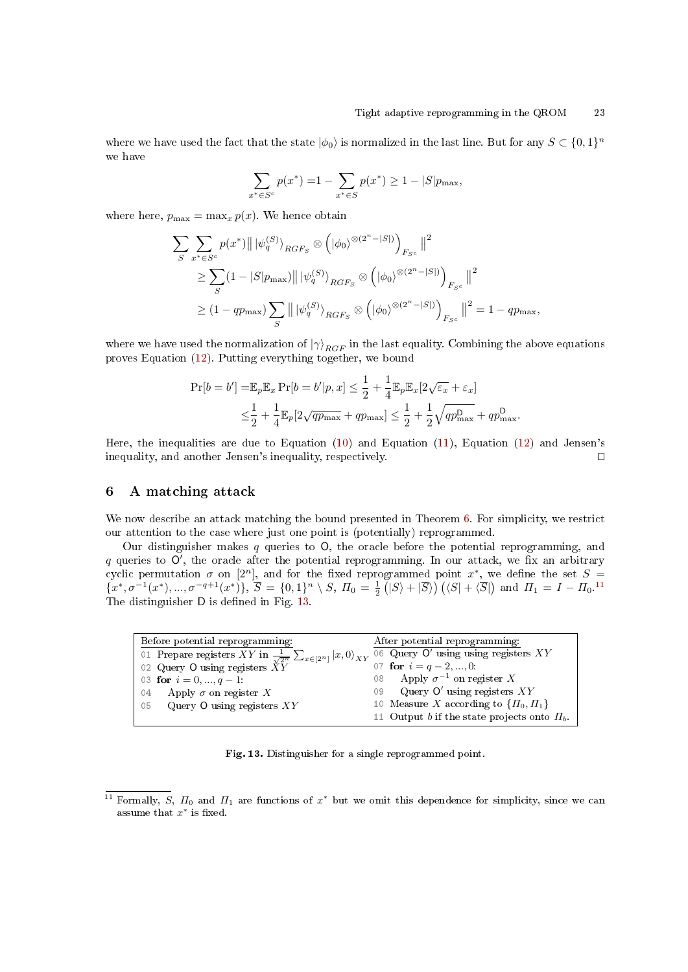where we have used the fact that the state  $|\phi_0\rangle$  is normalized in the last line. But for any  $S \subset \{0,1\}^n$ we have

$$
\sum_{x^* \in S^c} p(x^*) = 1 - \sum_{x^* \in S} p(x^*) \ge 1 - |S| p_{\text{max}},
$$

where here,  $p_{\text{max}} = \max_x p(x)$ . We hence obtain

$$
\sum_{S} \sum_{x^* \in S^c} p(x^*) \|\|\psi_q^{(S)}\rangle_{RGF_S} \otimes \left( |\phi_0\rangle^{\otimes (2^n - |S|)} \right)_{F_{S^c}} \|^2
$$
  
\n
$$
\geq \sum_{S} (1 - |S|p_{\text{max}}) \|\|\psi_q^{(S)}\rangle_{RGF_S} \otimes \left( |\phi_0\rangle^{\otimes (2^n - |S|)} \right)_{F_{S^c}} \|^2
$$
  
\n
$$
\geq (1 - qp_{\text{max}}) \sum_{S} \|\|\psi_q^{(S)}\rangle_{RGF_S} \otimes \left( |\phi_0\rangle^{\otimes (2^n - |S|)} \right)_{F_{S^c}} \|^2 = 1 - qp_{\text{max}},
$$

where we have used the normalization of  $|\gamma\rangle_{RGF}$  in the last equality. Combining the above equations proves Equation [\(12\)](#page-21-0). Putting everything together, we bound

$$
\Pr[b = b'] = \mathbb{E}_p \mathbb{E}_x \Pr[b = b'|p, x] \le \frac{1}{2} + \frac{1}{4} \mathbb{E}_p \mathbb{E}_x [2\sqrt{\varepsilon_x} + \varepsilon_x]
$$
  

$$
\le \frac{1}{2} + \frac{1}{4} \mathbb{E}_p [2\sqrt{q p_{\text{max}}} + q p_{\text{max}}] \le \frac{1}{2} + \frac{1}{2} \sqrt{q p_{\text{max}}^D + q p_{\text{max}}^D}.
$$

Here, the inequalities are due to Equation [\(10\)](#page-20-3) and Equation [\(11\)](#page-21-1), Equation [\(12\)](#page-21-0) and Jensen's inequality, and another Jensen's inequality, respectively.  $\Box$ 

# <span id="page-22-0"></span>6 A matching attack

We now describe an attack matching the bound presented in Theorem [6.](#page-19-1) For simplicity, we restrict our attention to the case where just one point is (potentially) reprogrammed.

Our distinguisher makes q queries to  $O$ , the oracle before the potential reprogramming, and  $q$  queries to  $O'$ , the oracle after the potential reprogramming. In our attack, we fix an arbitrary cyclic permutation  $\sigma$  on  $[2^n]$ , and for the fixed reprogrammed point  $x^*$ , we define the set  $S =$  $\{(x^*,\sigma^{-1}(x^*),...,\sigma^{-q+1}(x^*)\},\ \overline{S}=\{0,1\}^n \setminus S,\ \Pi_0=\frac{1}{2}(\vert S \rangle + \vert \overline{S} \rangle)\ (\langle S \vert + \langle \overline{S} \vert) \text{ and } \Pi_1 = I - \Pi_0.$ <sup>[11](#page-22-1)</sup> The distinguisher D is defined in Fig. [13.](#page-22-2)

| Before potential reprogramming:                                                       | After potential reprogramming:                   |
|---------------------------------------------------------------------------------------|--------------------------------------------------|
| 01 Prepare registers XY in $\frac{1}{\sqrt{2^n}} \sum_{x \in [2^n]}  x,0\rangle_{XY}$ | 06 Query $O'$ using using registers $XY$         |
| 02 Query O using registers $\check{X}\check{Y}$                                       | 07 for $i = q - 2, , 0$ :                        |
| 03 for $i = 0, , q - 1$                                                               | 08 Apply $\sigma^{-1}$ on register X             |
| Apply $\sigma$ on register X<br>04                                                    | 09 Query O' using registers $XY$                 |
| Query $O$ using registers $XY$<br>05                                                  | 10 Measure X according to $\{\Pi_0, \Pi_1\}$     |
|                                                                                       | 11 Output b if the state projects onto $\Pi_b$ . |

<span id="page-22-2"></span>Fig. 13. Distinguisher for a single reprogrammed point.

<span id="page-22-3"></span><span id="page-22-1"></span><sup>&</sup>lt;sup>11</sup> Formally, S,  $\Pi_0$  and  $\Pi_1$  are functions of  $x^*$  but we omit this dependence for simplicity, since we can assume that  $x^*$  is fixed.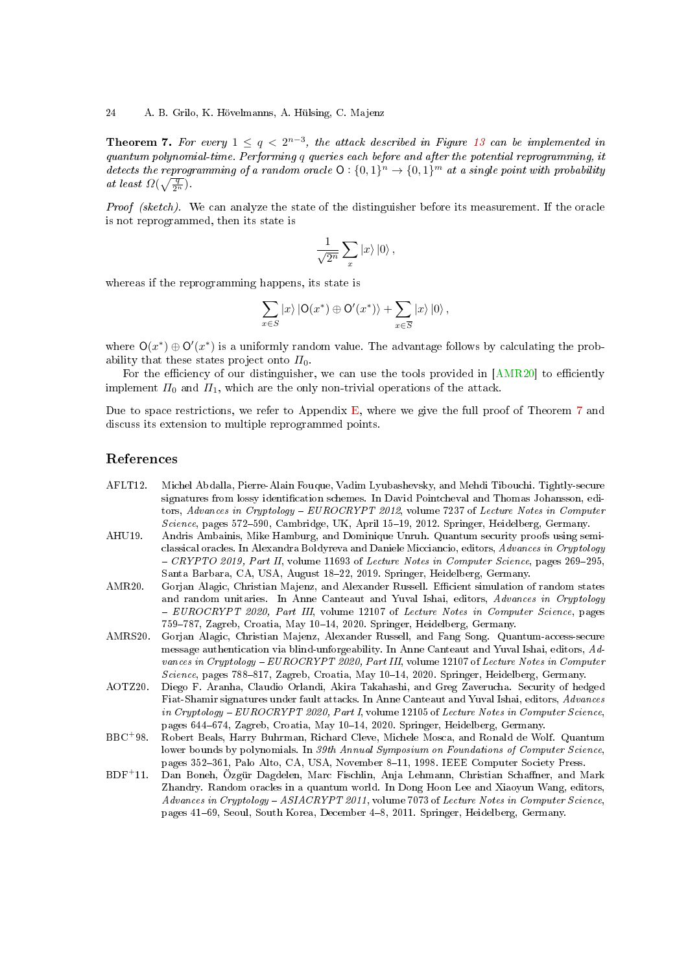24 A. B. Grilo, K. Hövelmanns, A. Hülsing, C. Majenz

**Theorem 7.** For every  $1 \leq q < 2^{n-3}$ , the attack described in Figure [13](#page-22-2) can be implemented in quantum polynomial-time. Performing q queries each before and after the potential reprogramming, it detects the reprogramming of a random oracle  $O: \{0,1\}^n \to \{0,1\}^m$  at a single point with probability at least  $\Omega(\sqrt{\frac{q}{2^n}})$ .

Proof (sketch). We can analyze the state of the distinguisher before its measurement. If the oracle is not reprogrammed, then its state is

$$
\frac{1}{\sqrt{2^n}}\sum_x |x\rangle\,|0\rangle\,,
$$

whereas if the reprogramming happens, its state is

$$
\sum_{x \in S} |x\rangle |O(x^*) \oplus O'(x^*)\rangle + \sum_{x \in \overline{S}} |x\rangle |0\rangle ,
$$

where  $O(x^*) \oplus O'(x^*)$  is a uniformly random value. The advantage follows by calculating the probability that these states project onto  $\Pi_0$ .

For the efficiency of our distinguisher, we can use the tools provided in  $[AMR20]$  to efficiently implement  $\Pi_0$  and  $\Pi_1$ , which are the only non-trivial operations of the attack.

Due to space restrictions, we refer to Appendix [E,](#page-44-0) where we give the full proof of Theorem [7](#page-22-3) and discuss its extension to multiple reprogrammed points.

# References

- <span id="page-23-3"></span>AFLT12. Michel Abdalla, Pierre-Alain Fouque, Vadim Lyubashevsky, and Mehdi Tibouchi. Tightly-secure signatures from lossy identification schemes. In David Pointcheval and Thomas Johansson, editors, Advances in Cryptology - EUROCRYPT 2012, volume 7237 of Lecture Notes in Computer Science, pages 572–590, Cambridge, UK, April 15–19, 2012. Springer, Heidelberg, Germany.
- <span id="page-23-1"></span>AHU19. Andris Ambainis, Mike Hamburg, and Dominique Unruh. Quantum security proofs using semiclassical oracles. In Alexandra Boldyreva and Daniele Micciancio, editors, Advances in Cryptology  $-$  CRYPTO 2019, Part II, volume 11693 of Lecture Notes in Computer Science, pages 269-295, Santa Barbara, CA, USA, August 18-22, 2019. Springer, Heidelberg, Germany.
- <span id="page-23-4"></span>AMR20. Gorjan Alagic, Christian Majenz, and Alexander Russell. Efficient simulation of random states and random unitaries. In Anne Canteaut and Yuval Ishai, editors, Advances in Cryptology - EUROCRYPT 2020, Part III, volume 12107 of Lecture Notes in Computer Science, pages 759-787, Zagreb, Croatia, May 10-14, 2020. Springer, Heidelberg, Germany.
- <span id="page-23-6"></span>AMRS20. Gorjan Alagic, Christian Majenz, Alexander Russell, and Fang Song. Quantum-access-secure message authentication via blind-unforgeability. In Anne Canteaut and Yuval Ishai, editors, Advances in Cryptology - EUROCRYPT 2020, Part III, volume 12107 of Lecture Notes in Computer  $Science$ , pages 788-817, Zagreb, Croatia, May 10-14, 2020. Springer, Heidelberg, Germany.
- <span id="page-23-2"></span>AOTZ20. Diego F. Aranha, Claudio Orlandi, Akira Takahashi, and Greg Zaverucha. Security of hedged Fiat-Shamir signatures under fault attacks. In Anne Canteaut and Yuval Ishai, editors, Advances in Cryptology - EUROCRYPT 2020, Part I, volume 12105 of Lecture Notes in Computer Science, pages 644-674, Zagreb, Croatia, May 10-14, 2020. Springer, Heidelberg, Germany.
- <span id="page-23-5"></span>BBC<sup>+</sup>98. Robert Beals, Harry Buhrman, Richard Cleve, Michele Mosca, and Ronald de Wolf. Quantum lower bounds by polynomials. In 39th Annual Symposium on Foundations of Computer Science, pages 352-361, Palo Alto, CA, USA, November 8-11, 1998. IEEE Computer Society Press.
- <span id="page-23-0"></span>BDF<sup>+</sup>11. Dan Boneh, Özgür Dagdelen, Marc Fischlin, Anja Lehmann, Christian Schaner, and Mark Zhandry. Random oracles in a quantum world. In Dong Hoon Lee and Xiaoyun Wang, editors, Advances in Cryptology - ASIACRYPT 2011, volume 7073 of Lecture Notes in Computer Science, pages 41-69, Seoul, South Korea, December 4-8, 2011. Springer, Heidelberg, Germany.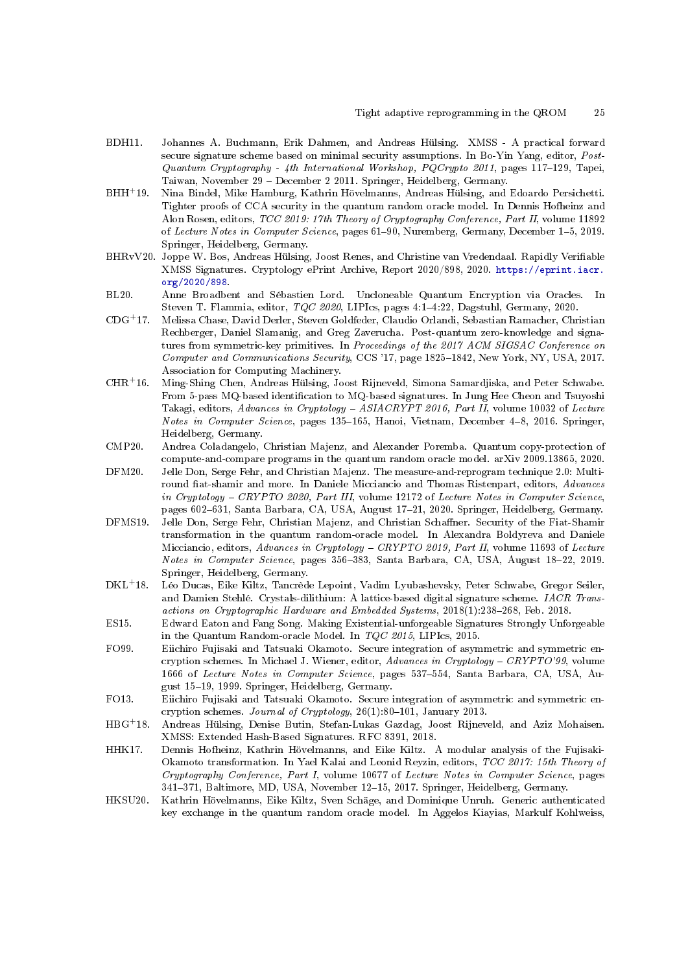- <span id="page-24-11"></span>BDH11. Johannes A. Buchmann, Erik Dahmen, and Andreas Hülsing. XMSS - A practical forward secure signature scheme based on minimal security assumptions. In Bo-Yin Yang, editor, Post-Quantum Cryptography - 4th International Workshop, PQCrypto 2011, pages 117-129, Tapei, Taiwan, November 29 December 2 2011. Springer, Heidelberg, Germany.
- <span id="page-24-0"></span>BHH<sup>+</sup>19. Nina Bindel, Mike Hamburg, Kathrin Hövelmanns, Andreas Hülsing, and Edoardo Persichetti. Tighter proofs of CCA security in the quantum random oracle model. In Dennis Hofheinz and Alon Rosen, editors, TCC 2019: 17th Theory of Cryptography Conference, Part II, volume 11892 of Lecture Notes in Computer Science, pages 61-90, Nuremberg, Germany, December 1-5, 2019. Springer, Heidelberg, Germany.
- <span id="page-24-10"></span>BHRvV20. Joppe W. Bos, Andreas Hülsing, Joost Renes, and Christine van Vredendaal. Rapidly Veriable XMSS Signatures. Cryptology ePrint Archive, Report 2020/898, 2020. [https://eprint.iacr.](https://eprint.iacr.org/2020/898) [org/2020/898.](https://eprint.iacr.org/2020/898)
- <span id="page-24-6"></span>BL20. Anne Broadbent and Sébastien Lord. Uncloneable Quantum Encryption via Oracles. In Steven T. Flammia, editor, TQC 2020, LIPIcs, pages 4:14:22, Dagstuhl, Germany, 2020.
- <span id="page-24-12"></span>CDG<sup>+</sup>17. Melissa Chase, David Derler, Steven Goldfeder, Claudio Orlandi, Sebastian Ramacher, Christian Rechberger, Daniel Slamanig, and Greg Zaverucha. Post-quantum zero-knowledge and signatures from symmetric-key primitives. In Proceedings of the 2017 ACM SIGSAC Conference on Computer and Communications Security, CCS '17, page 1825-1842, New York, NY, USA, 2017. Association for Computing Machinery.
- <span id="page-24-15"></span>CHR<sup>+</sup>16. Ming-Shing Chen, Andreas Hülsing, Joost Rijneveld, Simona Samardjiska, and Peter Schwabe. From 5-pass MQ-based identification to MQ-based signatures. In Jung Hee Cheon and Tsuyoshi Takagi, editors, Advances in Cryptology - ASIACRYPT 2016, Part II, volume 10032 of Lecture Notes in Computer Science, pages 135-165, Hanoi, Vietnam, December 4-8, 2016. Springer, Heidelberg, Germany.
- <span id="page-24-7"></span>CMP20. Andrea Coladangelo, Christian Majenz, and Alexander Poremba. Quantum copy-protection of compute-and-compare programs in the quantum random oracle model. arXiv 2009.13865, 2020.
- <span id="page-24-14"></span>DFM20. Jelle Don, Serge Fehr, and Christian Majenz. The measure-and-reprogram technique 2.0: Multiround fiat-shamir and more. In Daniele Micciancio and Thomas Ristenpart, editors, Advances in Cryptology - CRYPTO 2020, Part III, volume 12172 of Lecture Notes in Computer Science, pages 602-631, Santa Barbara, CA, USA, August 17-21, 2020. Springer, Heidelberg, Germany.
- <span id="page-24-5"></span>DFMS19. Jelle Don, Serge Fehr, Christian Majenz, and Christian Schaffner. Security of the Fiat-Shamir transformation in the quantum random-oracle model. In Alexandra Boldyreva and Daniele Micciancio, editors, Advances in Cryptology - CRYPTO 2019, Part II, volume 11693 of Lecture Notes in Computer Science, pages 356-383, Santa Barbara, CA, USA, August 18-22, 2019. Springer, Heidelberg, Germany.
- <span id="page-24-13"></span>DKL<sup>+</sup>18. Léo Ducas, Eike Kiltz, Tancrède Lepoint, Vadim Lyubashevsky, Peter Schwabe, Gregor Seiler, and Damien Stehlé. Crystals-dilithium: A lattice-based digital signature scheme. IACR Transactions on Cryptographic Hardware and Embedded Systems,  $2018(1):238-268$ , Feb. 2018.
- <span id="page-24-8"></span>ES15. Edward Eaton and Fang Song. Making Existential-unforgeable Signatures Strongly Unforgeable in the Quantum Random-oracle Model. In TQC 2015, LIPIcs, 2015.
- <span id="page-24-2"></span>FO99. Eiichiro Fujisaki and Tatsuaki Okamoto. Secure integration of asymmetric and symmetric encryption schemes. In Michael J. Wiener, editor, Advances in Cryptology - CRYPTO'99, volume 1666 of Lecture Notes in Computer Science, pages 537-554, Santa Barbara, CA, USA, August 15-19, 1999. Springer, Heidelberg, Germany.
- <span id="page-24-3"></span>FO13. Eiichiro Fujisaki and Tatsuaki Okamoto. Secure integration of asymmetric and symmetric encryption schemes. Journal of Cryptology,  $26(1):80-101$ , January 2013.
- <span id="page-24-9"></span>HBG<sup>+</sup>18. Andreas Hülsing, Denise Butin, Stefan-Lukas Gazdag, Joost Rijneveld, and Aziz Mohaisen. XMSS: Extended Hash-Based Signatures. RFC 8391, 2018.
- <span id="page-24-4"></span>HHK17. Dennis Hofheinz, Kathrin Hövelmanns, and Eike Kiltz. A modular analysis of the Fujisaki-Okamoto transformation. In Yael Kalai and Leonid Reyzin, editors, TCC 2017: 15th Theory of Cryptography Conference, Part I, volume 10677 of Lecture Notes in Computer Science, pages 341-371, Baltimore, MD, USA, November 12-15, 2017. Springer, Heidelberg, Germany.
- <span id="page-24-1"></span>HKSU20. Kathrin Hövelmanns, Eike Kiltz, Sven Schäge, and Dominique Unruh. Generic authenticated key exchange in the quantum random oracle model. In Aggelos Kiayias, Markulf Kohlweiss,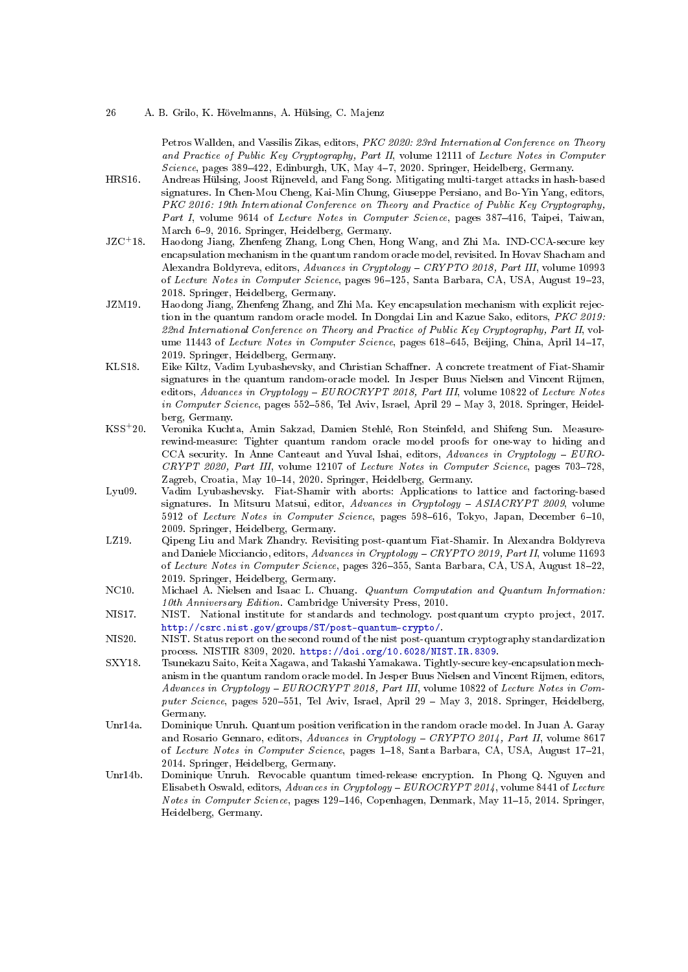Petros Wallden, and Vassilis Zikas, editors, PKC 2020: 23rd International Conference on Theory and Practice of Public Key Cryptography, Part II, volume 12111 of Lecture Notes in Computer Science, pages  $389-422$ , Edinburgh, UK, May  $4-7$ , 2020. Springer, Heidelberg, Germany.

- <span id="page-25-7"></span>HRS16. Andreas Hülsing, Joost Rijneveld, and Fang Song. Mitigating multi-target attacks in hash-based signatures. In Chen-Mou Cheng, Kai-Min Chung, Giuseppe Persiano, and Bo-Yin Yang, editors, PKC 2016: 19th International Conference on Theory and Practice of Public Key Cryptography, Part I, volume 9614 of Lecture Notes in Computer Science, pages 387-416, Taipei, Taiwan, March 6-9, 2016. Springer, Heidelberg, Germany.
- <span id="page-25-1"></span>JZC<sup>+</sup>18. Haodong Jiang, Zhenfeng Zhang, Long Chen, Hong Wang, and Zhi Ma. IND-CCA-secure key encapsulation mechanism in the quantum random oracle model, revisited. In Hovav Shacham and Alexandra Boldyreva, editors, Advances in Cryptology CRYPTO 2018, Part III, volume 10993 of Lecture Notes in Computer Science, pages 96-125, Santa Barbara, CA, USA, August 19-23, 2018. Springer, Heidelberg, Germany.
- <span id="page-25-2"></span>JZM19. Haodong Jiang, Zhenfeng Zhang, and Zhi Ma. Key encapsulation mechanism with explicit rejection in the quantum random oracle model. In Dongdai Lin and Kazue Sako, editors, PKC 2019: 22nd International Conference on Theory and Practice of Public Key Cryptography, Part II, volume 11443 of Lecture Notes in Computer Science, pages 618-645, Beijing, China, April 14-17, 2019. Springer, Heidelberg, Germany.
- <span id="page-25-8"></span>KLS18. Eike Kiltz, Vadim Lyubashevsky, and Christian Schaffner. A concrete treatment of Fiat-Shamir signatures in the quantum random-oracle model. In Jesper Buus Nielsen and Vincent Rijmen, editors, Advances in Cryptology -  $EUROCRYPT 2018$ , Part III, volume 10822 of Lecture Notes in Computer Science, pages  $552-586$ , Tel Aviv, Israel, April 29 – May 3, 2018. Springer, Heidelberg, Germany.
- <span id="page-25-3"></span>KSS<sup>+</sup>20. Veronika Kuchta, Amin Sakzad, Damien Stehlé, Ron Steinfeld, and Shifeng Sun. Measurerewind-measure: Tighter quantum random oracle model proofs for one-way to hiding and CCA security. In Anne Canteaut and Yuval Ishai, editors, Advances in Cryptology - EURO- $CRYPT 2020$ , Part III, volume 12107 of Lecture Notes in Computer Science, pages 703-728, Zagreb, Croatia, May 10-14, 2020. Springer, Heidelberg, Germany.
- <span id="page-25-11"></span>Lyu09. Vadim Lyubashevsky. Fiat-Shamir with aborts: Applications to lattice and factoring-based signatures. In Mitsuru Matsui, editor, Advances in Cryptology - ASIACRYPT 2009, volume 5912 of Lecture Notes in Computer Science, pages 598-616, Tokyo, Japan, December 6-10, 2009. Springer, Heidelberg, Germany.
- <span id="page-25-5"></span>LZ19. Qipeng Liu and Mark Zhandry. Revisiting post-quantum Fiat-Shamir. In Alexandra Boldyreva and Daniele Micciancio, editors, Advances in Cryptology - CRYPTO 2019, Part II, volume 11693 of Lecture Notes in Computer Science, pages 326-355, Santa Barbara, CA, USA, August 18-22, 2019. Springer, Heidelberg, Germany.
- <span id="page-25-12"></span>NC10. Michael A. Nielsen and Isaac L. Chuang. Quantum Computation and Quantum Information: 10th Anniversary Edition. Cambridge University Press, 2010.
- <span id="page-25-9"></span>NIS17. NIST. National institute for standards and technology. postquantum crypto project, 2017. [http://csrc.nist.gov/groups/ST/post-quantum-crypto/.](http://csrc.nist.gov/groups/ST/post-quantum-crypto/)
- <span id="page-25-10"></span>NIS20. NIST. Status report on the second round of the nist post-quantum cryptography standardization process. NISTIR 8309, 2020. [https://doi.org/10.6028/NIST.IR.8309.](https://doi.org/10.6028/NIST.IR.8309)
- <span id="page-25-0"></span>SXY18. Tsunekazu Saito, Keita Xagawa, and Takashi Yamakawa. Tightly-secure key-encapsulation mechanism in the quantum random oracle model. In Jesper Buus Nielsen and Vincent Rijmen, editors, Advances in Cryptology EUROCRYPT 2018, Part III, volume 10822 of Lecture Notes in Computer Science, pages 520-551, Tel Aviv, Israel, April 29 - May 3, 2018. Springer, Heidelberg, Germany.
- <span id="page-25-6"></span>Unr14a. Dominique Unruh. Quantum position verication in the random oracle model. In Juan A. Garay and Rosario Gennaro, editors, Advances in Cryptology - CRYPTO 2014, Part II, volume 8617 of Lecture Notes in Computer Science, pages 1-18, Santa Barbara, CA, USA, August 17-21, 2014. Springer, Heidelberg, Germany.
- <span id="page-25-4"></span>Unr14b. Dominique Unruh. Revocable quantum timed-release encryption. In Phong Q. Nguyen and Elisabeth Oswald, editors, Advances in Cryptology EUROCRYPT 2014, volume 8441 of Lecture Notes in Computer Science, pages 129-146, Copenhagen, Denmark, May 11-15, 2014. Springer, Heidelberg, Germany.

<sup>26</sup> A. B. Grilo, K. Hövelmanns, A. Hülsing, C. Majenz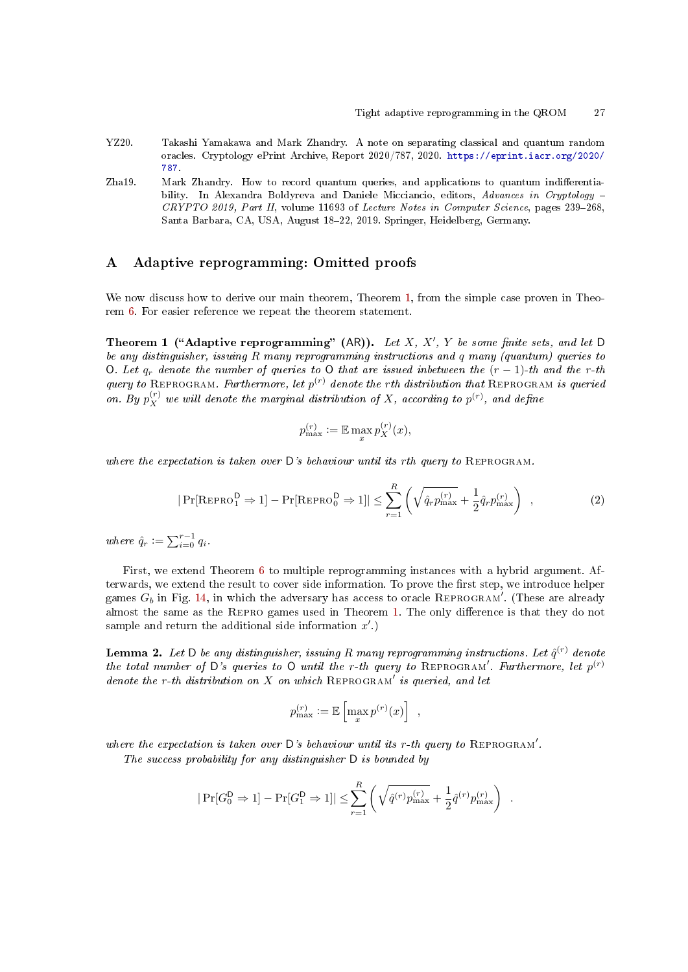- <span id="page-26-0"></span>YZ20. Takashi Yamakawa and Mark Zhandry. A note on separating classical and quantum random oracles. Cryptology ePrint Archive, Report 2020/787, 2020. [https://eprint.iacr.org/2020/](https://eprint.iacr.org/2020/787) [787.](https://eprint.iacr.org/2020/787)
- <span id="page-26-1"></span>Zha19. Mark Zhandry. How to record quantum queries, and applications to quantum indifferentiability. In Alexandra Boldyreva and Daniele Micciancio, editors, Advances in Cryptology - $CRYPTO 2019$ , Part II, volume 11693 of Lecture Notes in Computer Science, pages 239-268, Santa Barbara, CA, USA, August 18-22, 2019. Springer, Heidelberg, Germany.

# <span id="page-26-2"></span>A Adaptive reprogramming: Omitted proofs

We now discuss how to derive our main theorem, Theorem [1,](#page-6-0) from the simple case proven in Theorem [6.](#page-19-1) For easier reference we repeat the theorem statement.

Theorem 1 ("Adaptive reprogramming" (AR)). Let X, X', Y be some finite sets, and let D be any distinguisher, issuing R many reprogramming instructions and q many (quantum) queries to O. Let  $q_r$  denote the number of queries to O that are issued inbetween the  $(r-1)$ -th and the r-th query to REPROGRAM. Furthermore, let  $p^{(r)}$  denote the rth distribution that REPROGRAM is queried on. By  $p_X^{(r)}$  we will denote the marginal distribution of X, according to  $p^{(r)}$ , and define

$$
p_{\max}^{(r)} := \mathbb{E} \max_x p_X^{(r)}(x),
$$

where the expectation is taken over  $D$ 's behaviour until its rth query to REPROGRAM.

$$
|\Pr[\text{REPRO}_{1}^{\mathsf{D}} \Rightarrow 1] - \Pr[\text{REPRO}_{0}^{\mathsf{D}} \Rightarrow 1]| \leq \sum_{r=1}^{R} \left(\sqrt{\hat{q}_{r} p_{\max}^{(r)}} + \frac{1}{2} \hat{q}_{r} p_{\max}^{(r)}\right) , \qquad (2)
$$

where  $\hat{q}_r := \sum_{i=0}^{r-1} q_i$ .

First, we extend Theorem [6](#page-19-1) to multiple reprogramming instances with a hybrid argument. Afterwards, we extend the result to cover side information. To prove the first step, we introduce helper games  $G_b$  in Fig. [14,](#page-27-0) in which the adversary has access to oracle REPROGRAM'. (These are already almost the same as the REPRO games used in Theorem [1.](#page-6-0) The only difference is that they do not sample and return the additional side information  $x'.$ 

**Lemma 2.** Let D be any distinguisher, issuing R many reprogramming instructions. Let  $\hat{q}^{(r)}$  denote the total number of D's queries to O until the r-th query to REPROGRAM'. Furthermore, let  $p^{(r)}$ denote the r-th distribution on  $X$  on which REPROGRAM' is queried, and let

<span id="page-26-3"></span>
$$
p^{(r)}_{\max} := \mathbb{E}\left[\max_x p^{(r)}(x)\right] ,
$$

where the expectation is taken over  $D$ 's behaviour until its r-th query to REPROGRAM'.

The success probability for any distinguisher D is bounded by

$$
|\Pr[G_0^D \Rightarrow 1] - \Pr[G_1^D \Rightarrow 1]| \le \sum_{r=1}^R \left(\sqrt{\hat{q}^{(r)} p_{\text{max}}^{(r)}} + \frac{1}{2} \hat{q}^{(r)} p_{\text{max}}^{(r)}\right) .
$$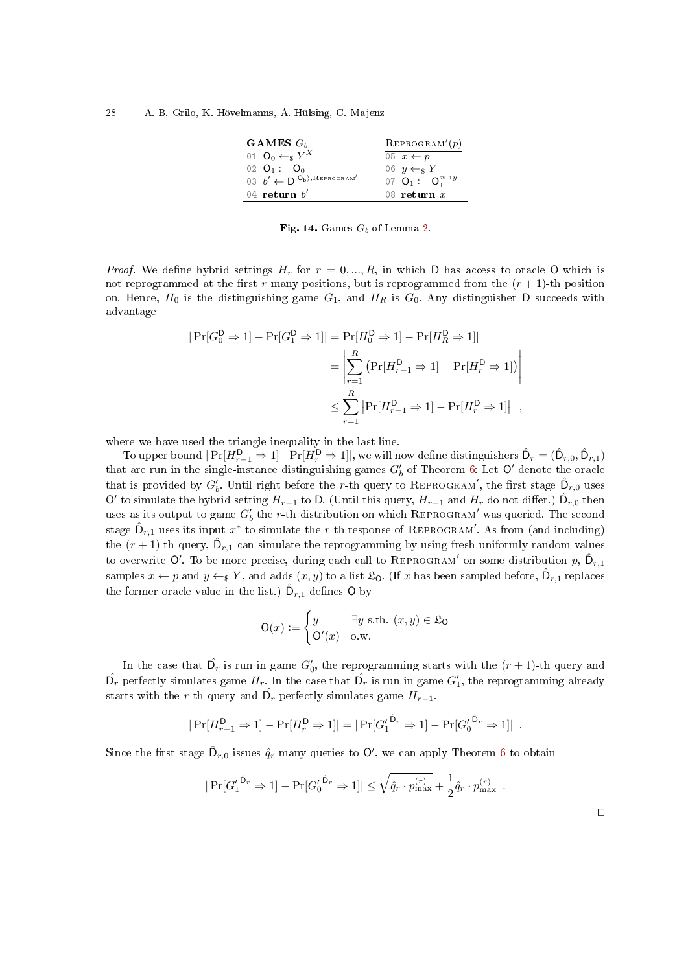| GAMES $G_h$                                                                               | REPROGRAM'(p)                 |
|-------------------------------------------------------------------------------------------|-------------------------------|
| 01 $\mathbf{O}_0 \leftarrow_s Y^X$                                                        | 05 $x \leftarrow p$           |
| 02 $Q_1 := Q_0$                                                                           | 06 $y \leftarrow_s Y$         |
| $\overline{b}$ $\overline{b'}$ $\leftarrow$ $\overline{D}$ $\overline{[O_b]},$ Reprogram' | 07 $Q_1 := Q_1^{x \mapsto y}$ |
| $\vert$ 04 return $b'$                                                                    | 08 return $x$                 |

<span id="page-27-0"></span>Fig. 14. Games  $G_b$  of Lemma [2.](#page-26-3)

*Proof.* We define hybrid settings  $H_r$  for  $r = 0, ..., R$ , in which D has access to oracle O which is not reprogrammed at the first r many positions, but is reprogrammed from the  $(r + 1)$ -th position on. Hence,  $H_0$  is the distinguishing game  $G_1$ , and  $H_R$  is  $G_0$ . Any distinguisher D succeeds with advantage

$$
|\Pr[G_0^D \Rightarrow 1] - \Pr[G_1^D \Rightarrow 1]| = \Pr[H_0^D \Rightarrow 1] - \Pr[H_R^D \Rightarrow 1]|
$$
  
= 
$$
\left| \sum_{r=1}^R (\Pr[H_{r-1}^D \Rightarrow 1] - \Pr[H_r^D \Rightarrow 1]) \right|
$$
  

$$
\leq \sum_{r=1}^R |\Pr[H_{r-1}^D \Rightarrow 1] - \Pr[H_r^D \Rightarrow 1]|,
$$

where we have used the triangle inequality in the last line.

To upper bound  $|\Pr[H_{r-1}^{\textsf{D}} \Rightarrow 1]-\Pr[H_{r}^{\textsf{D}} \Rightarrow 1]|,$  we will now define distinguishers  $\hat{\mathsf{D}}_r=(\hat{\mathsf{D}}_{r,0},\hat{\mathsf{D}}_{r,1})$ that are run in the single-instance distinguishing games  $G'_{b}$  of Theorem [6:](#page-19-1) Let  $\mathsf{O}'$  denote the oracle that is provided by  $G'_b$ . Until right before the r-th query to REPROGRAM', the first stage  $\hat{\mathsf{D}}_{r,0}$  uses O' to simulate the hybrid setting  $H_{r-1}$  to D. (Until this query,  $H_{r-1}$  and  $H_r$  do not differ.)  $\hat{D}_{r,0}$  then uses as its output to game  $G'_{b}$  the r-th distribution on which REPROGRAM' was queried. The second stage  $\hat{\mathsf{D}}_{r,1}$  uses its input  $x^*$  to simulate the r-th response of REPROGRAM $'$ . As from (and including) the  $(r+1)$ -th query,  $\hat{\mathsf{D}}_{r,1}$  can simulate the reprogramming by using fresh uniformly random values to overwrite O'. To be more precise, during each call to REPROGRAM $'$  on some distribution  $p$ ,  $\hat{\mathsf{D}}_{r,1}$ samples  $x \leftarrow p$  and  $y \leftarrow_{\$} Y$ , and adds  $(x, y)$  to a list  $\mathfrak{L}_{\mathsf{O}}$ . (If x has been sampled before,  $\hat{\mathsf{D}}_{r,1}$  replaces the former oracle value in the list.)  $\hat{\mathsf{D}}_{r,1}$  defines  $\mathsf{O}$  by

$$
\mathsf{O}(x) := \begin{cases} y & \exists y \text{ s.th. } (x, y) \in \mathfrak{L}_{\mathsf{O}} \\ \mathsf{O}'(x) & \text{o.w.} \end{cases}
$$

In the case that  $\hat{\mathsf{D}_r}$  is run in game  $G_0'$ , the reprogramming starts with the  $(r+1)$ -th query and  $\hat{\mathsf{D}_r}$  perfectly simulates game  $H_r$ . In the case that  $\hat{\mathsf{D}_r}$  is run in game  $G'_1$ , the reprogramming already starts with the *r*-th query and  $\hat{\mathsf{D}}_r$  perfectly simulates game  $H_{r-1}$ .

$$
|\Pr[H_{r-1}^{\mathsf{D}} \Rightarrow 1] - \Pr[H_r^{\mathsf{D}} \Rightarrow 1]| = |\Pr[G_1^{\prime}^{\hat{\mathsf{D}}_r} \Rightarrow 1] - \Pr[G_0^{\prime}^{\hat{\mathsf{D}}_r} \Rightarrow 1]|.
$$

Since the first stage  $\hat{\mathsf{D}}_{r,0}$  issues  $\hat{q}_r$  many queries to  $\mathsf{O}',$  we can apply Theorem  $6$  to obtain

$$
|\Pr[G_1^{'\hat{D}_r} \Rightarrow 1] - \Pr[G_0^{'\hat{D}_r} \Rightarrow 1]| \leq \sqrt{\hat{q}_r \cdot p_{\max}^{(r)}} + \frac{1}{2} \hat{q}_r \cdot p_{\max}^{(r)}.
$$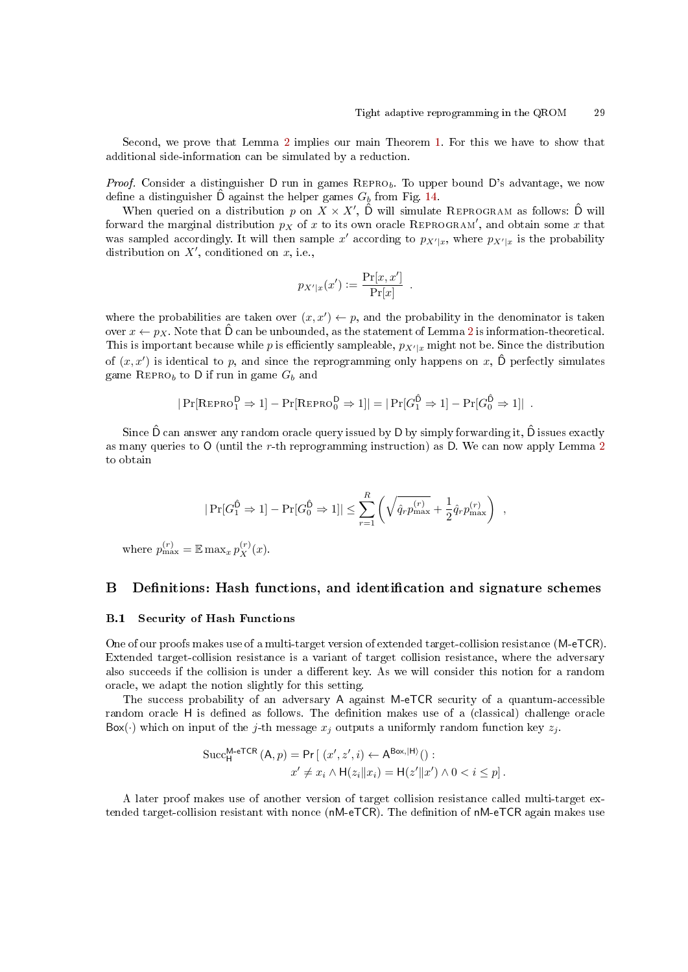Second, we prove that Lemma [2](#page-26-3) implies our main Theorem [1.](#page-6-0) For this we have to show that additional side-information can be simulated by a reduction.

Proof. Consider a distinguisher  $D$  run in games  $REPRO_b$ . To upper bound  $D$ 's advantage, we now define a distinguisher  $\ddot{\text{D}}$  against the helper games  $G_b$  from Fig. [14.](#page-27-0)

When queried on a distribution p on  $X \times X'$ ,  $\hat{D}$  will simulate REPROGRAM as follows:  $\hat{D}$  will forward the marginal distribution  $p_X$  of  $x$  to its own oracle REPROGRAM', and obtain some  $x$  that was sampled accordingly. It will then sample x' according to  $p_{X'|x}$ , where  $p_{X'|x}$  is the probability distribution on  $X'$ , conditioned on  $x$ , i.e.,

$$
p_{X'|x}(x') := \frac{\Pr[x, x']}{\Pr[x]}.
$$

where the probabilities are taken over  $(x, x') \leftarrow p$ , and the probability in the denominator is taken over  $x \leftarrow p_X$ . Note that  $\hat{D}$  can be unbounded, as the statement of Lemma [2](#page-26-3) is information-theoretical. This is important because while p is efficiently sampleable,  $p_{X'|x}$  might not be. Since the distribution of  $(x, x')$  is identical to p, and since the reprogramming only happens on x,  $\hat{D}$  perfectly simulates game REPRO<sub>b</sub> to D if run in game  $G_b$  and

$$
|\Pr[\text{REPRO}_1^D \Rightarrow 1] - \Pr[\text{REPRO}_0^D \Rightarrow 1]| = |\Pr[G_1^{\hat{D}} \Rightarrow 1] - \Pr[G_0^{\hat{D}} \Rightarrow 1]|
$$
.

Since  $\hat{D}$  can answer any random oracle query issued by D by simply forwarding it,  $\hat{D}$  issues exactly as many queries to  $O$  (until the r-th reprogramming instruction) as D. We can now apply Lemma [2](#page-26-3) to obtain

$$
|\Pr[G_1^{\hat{\mathsf{D}}}\Rightarrow 1] - \Pr[G_0^{\hat{\mathsf{D}}}\Rightarrow 1]| \leq \sum_{r=1}^R \left(\sqrt{\hat{q}_r p_{\max}^{(r)}} + \frac{1}{2} \hat{q}_r p_{\max}^{(r)}\right) ,
$$

where  $p_{\max}^{(r)} = \mathbb{E} \max_x p_X^{(r)}(x)$ .

# <span id="page-28-0"></span>B Definitions: Hash functions, and identification and signature schemes

### <span id="page-28-1"></span>B.1 Security of Hash Functions

One of our proofs makes use of a multi-target version of extended target-collision resistance (M-eTCR). Extended target-collision resistance is a variant of target collision resistance, where the adversary also succeeds if the collision is under a different key. As we will consider this notion for a random oracle, we adapt the notion slightly for this setting.

The success probability of an adversary A against M-eTCR security of a quantum-accessible random oracle H is defined as follows. The definition makes use of a (classical) challenge oracle  $Box(\cdot)$  which on input of the j-th message  $x_j$  outputs a uniformly random function key  $z_j$ .

$$
\begin{aligned} \text{Succ}_{\mathsf{H}}^{\mathsf{M}\text{-}\mathsf{eTCR}}\left(\mathsf{A},p\right) &= \mathsf{Pr}\left[\ (x',z',i) \leftarrow \mathsf{A}^{\mathsf{Box},\left|\mathsf{H}\right\rangle}(\right) : \\ x' &\neq x_i \land \mathsf{H}(z_i \| x_i) = \mathsf{H}(z' \| x') \land 0 < i \leq p \right]. \end{aligned}
$$

A later proof makes use of another version of target collision resistance called multi-target extended target-collision resistant with nonce (nM-eTCR). The definition of nM-eTCR again makes use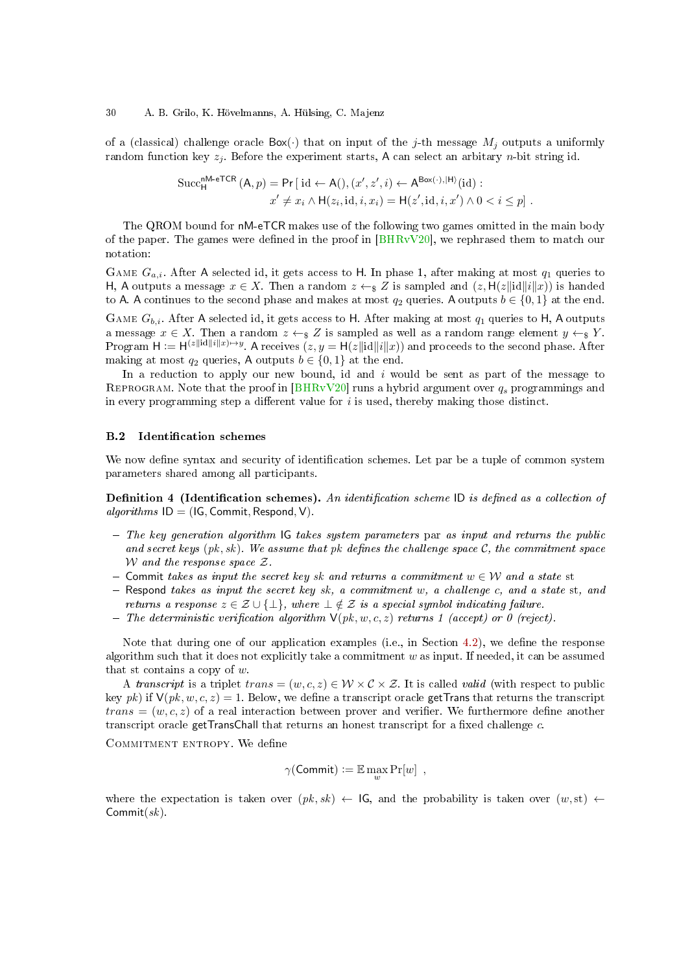of a (classical) challenge oracle  $Box(\cdot)$  that on input of the j-th message  $M_j$  outputs a uniformly random function key  $z_i$ . Before the experiment starts, A can select an arbitary *n*-bit string id.

$$
\text{Succ}_{\mathsf{H}}^{\mathsf{n}\mathsf{M}\text{-}\mathsf{e}\mathsf{T}\mathsf{C}\mathsf{R}}\left(\mathsf{A},p\right) = \mathsf{Pr}\left[\text{ id } \leftarrow \mathsf{A}(), (x', z', i) \leftarrow \mathsf{A}^{\mathsf{Box}(\cdot),|\mathsf{H}\rangle}(\text{id}) : \\ x' \neq x_i \land \mathsf{H}(z_i, \text{id}, i, x_i) = \mathsf{H}(z', \text{id}, i, x') \land 0 < i \leq p\right].
$$

The QROM bound for nM-eTCR makes use of the following two games omitted in the main body of the paper. The games were defined in the proof in  $BHRvV20$ , we rephrased them to match our notation:

GAME  $G_{a,i}$ . After A selected id, it gets access to H. In phase 1, after making at most  $q_1$  queries to H, A outputs a message  $x \in X$ . Then a random  $z \leftarrow_{\mathcal{S}} Z$  is sampled and  $(z, H(z||id||i||x))$  is handed to A. A continues to the second phase and makes at most  $q_2$  queries. A outputs  $b \in \{0, 1\}$  at the end.

GAME  $G_{b,i}$ . After A selected id, it gets access to H. After making at most  $q_1$  queries to H, A outputs a message  $x \in X$ . Then a random  $z \leftarrow_{\S} Z$  is sampled as well as a random range element  $y \leftarrow_{\S} Y$ . Program  $H := H^{(z||id||i||x) \mapsto y}$ . A receives  $(z, y = H(z||id||i||x))$  and proceeds to the second phase. After making at most  $q_2$  queries, A outputs  $b \in \{0, 1\}$  at the end.

In a reduction to apply our new bound, id and  $i$  would be sent as part of the message to REPROGRAM. Note that the proof in [\[BHRvV20\]](#page-24-10) runs a hybrid argument over  $q_s$  programmings and in every programming step a different value for  $i$  is used, thereby making those distinct.

### **B.2** Identification schemes

We now define syntax and security of identification schemes. Let par be a tuple of common system parameters shared among all participants.

**Definition 4** (Identification schemes). An identification scheme ID is defined as a collection of algorithms  $ID = (IG, Commit, Respond, V)$ .

- $-$  The key generation algorithm IG takes system parameters par as input and returns the public and secret keys  $(pk, sk)$ . We assume that pk defines the challenge space C, the commitment space W and the response space  $\mathcal{Z}$ .
- $\mathcal{C}$  = Commit takes as input the secret key sk and returns a commitment  $w \in \mathcal{W}$  and a state st
- $-$  Respond takes as input the secret key sk, a commitment w, a challenge c, and a state st, and returns a response  $z \in \mathcal{Z} \cup \{\perp\}$ , where  $\perp \notin \mathcal{Z}$  is a special symbol indicating failure.
- The deterministic verification algorithm  $V(pk, w, c, z)$  returns 1 (accept) or 0 (reject).

Note that during one of our application examples (i.e., in Section [4.2\)](#page-15-0), we define the response algorithm such that it does not explicitly take a commitment  $w$  as input. If needed, it can be assumed that st contains a copy of  $w$ .

A transcript is a triplet trans =  $(w, c, z) \in W \times C \times Z$ . It is called valid (with respect to public key pk) if  $V(pk, w, c, z) = 1$ . Below, we define a transcript oracle getTrans that returns the transcript  $trans = (w, c, z)$  of a real interaction between prover and verifier. We furthermore define another transcript oracle getTransChall that returns an honest transcript for a fixed challenge  $c$ .

COMMITMENT ENTROPY. We define

$$
\gamma(\mathsf{Commit}) := \mathbb{E} \max_w \Pr[w] \enspace,
$$

where the expectation is taken over  $(pk, sk) \leftarrow$  IG, and the probability is taken over  $(w, st) \leftarrow$  $Commit(sk)$ .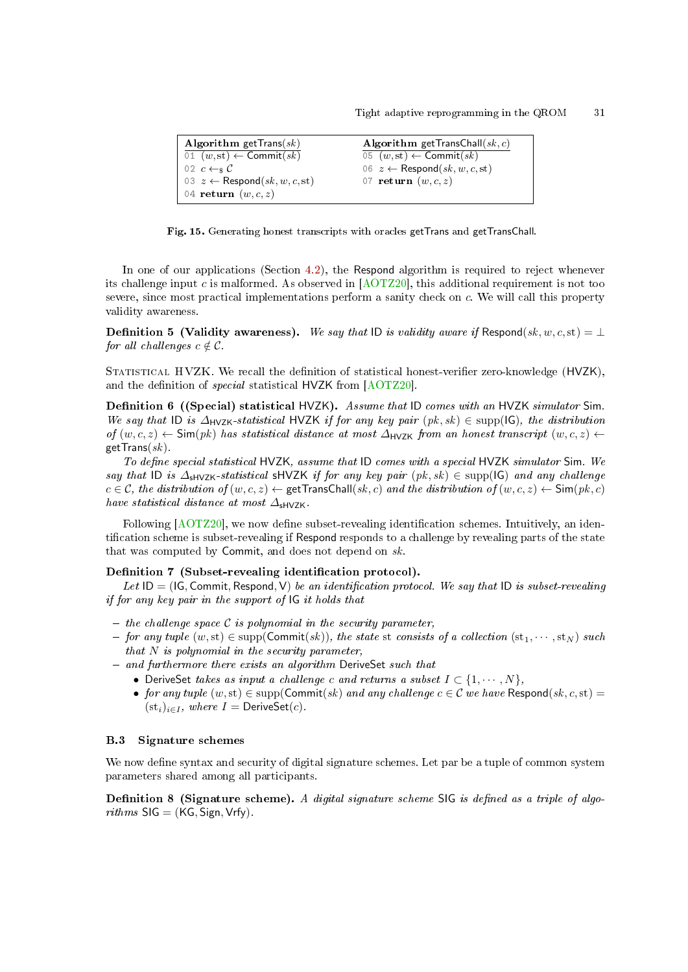```
Algorithm getTrans(sk)\overline{01 (w, st)} \leftarrow Commit(sk)02 c \leftarrow s C03 z \leftarrow Respond(sk, w, c, st)
04 return (w, c, z)Algorithm getTransChall(sk, c)05 (w, st) \leftarrow Commit(sk)06 z \leftarrow Respond(sk, w, c, st)
                                              07 return (w, c, z)
```
<span id="page-30-0"></span>Fig. 15. Generating honest transcripts with oracles getTrans and getTransChall.

In one of our applications (Section [4.2\)](#page-15-0), the Respond algorithm is required to reject whenever its challenge input c is malformed. As observed in  $[AOTZ20]$ , this additional requirement is not too severe, since most practical implementations perform a sanity check on c. We will call this property validity awareness.

**Definition 5 (Validity awareness).** We say that ID is validity aware if Respond(sk, w, c, st) =  $\perp$ for all challenges  $c \notin \mathcal{C}$ .

STATISTICAL HVZK. We recall the definition of statistical honest-verifier zero-knowledge (HVZK), and the definition of *special* statistical HVZK from [\[AOTZ20\]](#page-23-2).

**Definition 6** ((Special) statistical HVZK). Assume that ID comes with an HVZK simulator Sim. We say that ID is  $\Delta_{\text{HVZK}}$ -statistical HVZK if for any key pair  $(pk, sk) \in \text{supp}(\mathsf{IG})$ , the distribution of  $(w, c, z)$  ← Sim(pk) has statistical distance at most  $\Delta$ <sub>HVZK</sub> from an honest transcript</sub>  $(w, c, z)$  ←  $getTrans(sk)$ .

To define special statistical HVZK, assume that ID comes with a special HVZK simulator Sim. We say that ID is  $\Delta_{\text{shVZK}}$ -statistical sHVZK if for any key pair  $(pk, sk) \in \text{supp}(\mathsf{IG})$  and any challenge  $c \in \mathcal{C}$ , the distribution of  $(w, c, z) \leftarrow$  getTransChall $(s, c)$  and the distribution of  $(w, c, z) \leftarrow$  Sim $(pk, c)$ have statistical distance at most  $\Delta$ <sub>sHVZK</sub>.

<span id="page-30-1"></span>Following  $[AOTZ20]$ , we now define subset-revealing identification schemes. Intuitively, an identification scheme is subset-revealing if Respond responds to a challenge by revealing parts of the state that was computed by Commit, and does not depend on  $sk$ .

# Definition 7 (Subset-revealing identification protocol).

Let  $ID = (IG, Commit, Respond, V)$  be an identification protocol. We say that  $ID$  is subset-revealing if for any key pair in the support of IG it holds that

- the challenge space  $\mathcal C$  is polynomial in the security parameter,
- for any tuple  $(w, st) \in \text{supp}(\text{Commit}(sk))$ , the state st consists of a collection  $(st_1, \dots, st_N)$  such that  $N$  is polynomial in the security parameter,
- $-$  and furthermore there exists an algorithm DeriveSet such that
	- DeriveSet takes as input a challenge c and returns a subset  $I \subset \{1, \cdots, N\}$ ,
	- for any tuple  $(w, st) \in \text{supp}(\text{Commit}(sk) \text{ and any challenge } c \in \mathcal{C} \text{ we have Respond}(sk, c, st)$  $(\text{st}_i)_{i\in I}$ , where  $I = \text{DeriveSet}(c)$ .

#### B.3 Signature schemes

We now define syntax and security of digital signature schemes. Let par be a tuple of common system parameters shared among all participants.

**Definition 8 (Signature scheme).** A digital signature scheme  $\text{SIG}$  is defined as a triple of algo $rithms$  SIG = (KG, Sign, Vrfy).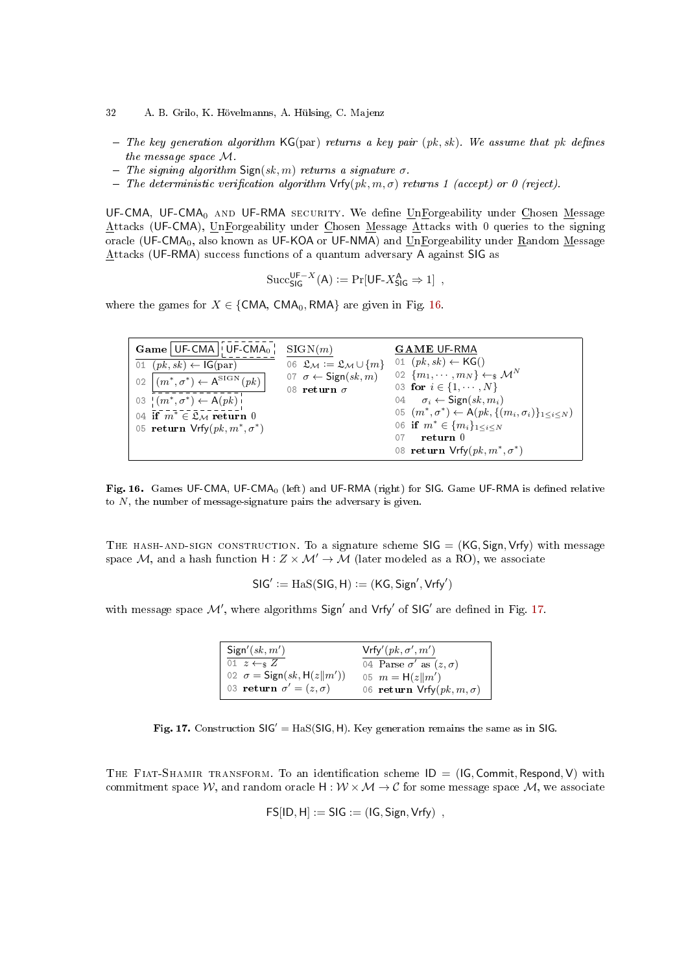- 32 A. B. Grilo, K. Hövelmanns, A. Hülsing, C. Majenz
- $T$  The key generation algorithm KG(par) returns a key pair (pk, sk). We assume that pk defines the message space M.
- The signing algorithm  $Sign(sk, m)$  returns a signature  $\sigma$ .
- $T$  The deterministic verification algorithm  $\mathsf{Vrfv}(pk, m, \sigma)$  returns 1 (accept) or 0 (reject).

UF-CMA, UF-CMA<sub>0</sub> AND UF-RMA SECURITY. We define UnForgeability under Chosen Message Attacks (UF-CMA), UnForgeability under Chosen Message Attacks with 0 queries to the signing oracle (UF-CMA<sub>0</sub>, also known as UF-KOA or UF-NMA) and UnForgeability under Random Message Attacks (UF-RMA) success functions of a quantum adversary A against SIG as

$$
\mathrm{Succ}_{\mathsf{SIG}}^{\mathsf{UF}-X}(\mathsf{A}) := \Pr[\mathsf{UF-}X^{\mathsf{A}}_{\mathsf{SIG}} \Rightarrow 1],
$$

where the games for  $X \in \{CMA, CMA_0, RMA\}$  are given in Fig. [16.](#page-31-0)

| $Game$   UF-CMA   UF-CMA <sub>0</sub>                            | SIGN(m)                                          | <b>GAME UF RMA</b>                                                           |
|------------------------------------------------------------------|--------------------------------------------------|------------------------------------------------------------------------------|
| 01 $(pk, sk) \leftarrow IG(par)$                                 | 06 $\mathfrak{L}_M := \mathfrak{L}_M \cup \{m\}$ | 01 $(pk, sk) \leftarrow KG()$                                                |
| 02 $\left( m^*, \sigma^* \right) \leftarrow A^{\text{SIGN}}(pk)$ | 07 $\sigma \leftarrow$ Sign(sk, m)               | 02 $\{m_1, \cdots, m_N\} \leftarrow_\$ \mathcal{M}^N$                        |
|                                                                  | 08 return $\sigma$                               | 03 for $i \in \{1, \cdots, N\}$                                              |
| 03 $(m^*, \sigma^*) \leftarrow A(pk)$                            |                                                  | 04 $\sigma_i \leftarrow$ Sign(sk, $m_i$ )                                    |
| 04 if $m^* \in \mathfrak{L}_M$ return 0                          |                                                  | 05 $(m^*, \sigma^*) \leftarrow A(pk, \{(m_i, \sigma_i)\}_{1 \leq i \leq N})$ |
| 05 return $Vrfy(pk, m^*, \sigma^*)$                              |                                                  | 06 if $m^* \in \{m_i\}_{1 \leq i \leq N}$<br>return 0                        |
|                                                                  |                                                  |                                                                              |
|                                                                  |                                                  | 08 return $Vrfy(pk, m^*, \sigma^*)$                                          |

<span id="page-31-0"></span>Fig. 16. Games UF-CMA, UF-CMA<sub>0</sub> (left) and UF-RMA (right) for SIG. Game UF-RMA is defined relative to  $N$ , the number of message-signature pairs the adversary is given.

THE HASH-AND-SIGN CONSTRUCTION. To a signature scheme  $\text{SIG} = (\text{KG}, \text{Sign}, \text{Vrfy})$  with message space M, and a hash function  $H: Z \times M' \rightarrow M$  (later modeled as a RO), we associate

$$
SIG' := \text{Has}(SIG, H) := (KG, Sign', Vrfy')
$$

with message space  $\mathcal{M}'$ , where algorithms Sign' and Vrfy' of SIG' are defined in Fig. [17.](#page-31-1)

| Sign'(sk, m')                     | $Vrfy'(pk, \sigma', m')$           |
|-----------------------------------|------------------------------------|
| 01 $z \leftarrow_s Z$             | 04 Parse $\sigma'$ as $(z,\sigma)$ |
| 02 $\sigma =$ Sign(sk, H(z  m'))  | 05 $m = H(z  m')$                  |
| 03 return $\sigma' = (z, \sigma)$ | 06 return $Vrfy(pk, m, \sigma)$    |

<span id="page-31-1"></span>Fig. 17. Construction  $SIG' = HaS(SIG, H)$ . Key generation remains the same as in SIG.

THE FIAT-SHAMIR TRANSFORM. To an identification scheme  $ID = (IG, Commit, Respond, V)$  with commitment space W, and random oracle  $H : W \times M \rightarrow C$  for some message space M, we associate

$$
\mathsf{FS}[\mathsf{ID},\mathsf{H}]:= \mathsf{SIG}:= (\mathsf{IG},\mathsf{Sign},\mathsf{Vrfy})\ ,
$$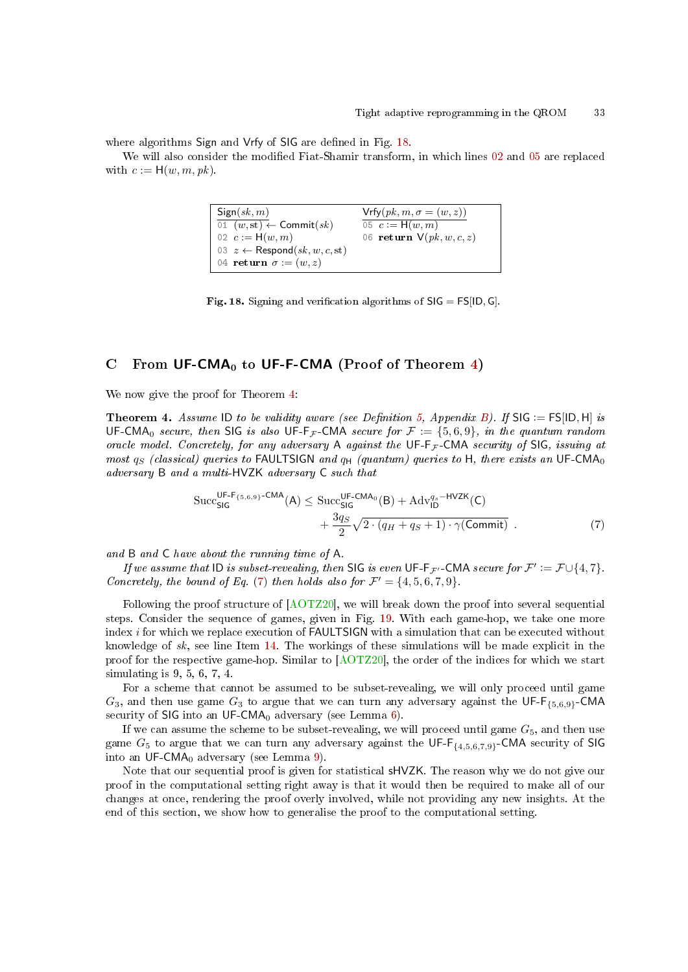where algorithms Sign and Vrfy of SIG are defined in Fig. [18.](#page-32-1)

We will also consider the modified Fiat-Shamir transform, in which lines [02](#page-32-2) and [05](#page-32-3) are replaced with  $c := H(w, m, pk)$ .

```
Sign(sk, m)\overline{01^-(w,\operatorname{st})} \leftarrow \mathsf{Commit}(sk)02 c := H(w, m)03 z \leftarrow Respond(sk, w, c, st)04 return \sigma := (w, z)Vrfy(pk, m, \sigma = (w, z))05 \, c := H(w, m)06 return V(pk, w, c, z)
```
<span id="page-32-1"></span>Fig. 18. Signing and verification algorithms of  $SIG = FS[ID, G]$ .

# <span id="page-32-0"></span>C From  $UF-CMA_0$  to UF-F-CMA (Proof of Theorem [4\)](#page-16-1)

We now give the proof for Theorem [4:](#page-16-1)

**Theorem 4.** Assume ID to be validity aware (see Definition [5,](#page-30-0) Appendix [B\)](#page-28-0). If SIG  $:=$  FS[ID, H] is UF-CMA<sub>0</sub> secure, then SIG is also UF-F<sub>F</sub>-CMA secure for  $\mathcal{F} := \{5, 6, 9\}$ , in the quantum random oracle model. Concretely, for any adversary A against the UF-F<sub>F</sub>-CMA security of SIG, issuing at most  $q_S$  (classical) queries to FAULTSIGN and  $q_H$  (quantum) queries to H, there exists an UF-CMA<sub>0</sub> adversary B and a multi-HVZK adversary C such that<br>Succ<sub>SIG</sub><sup>UF-F<sub>{5,6,9}</sub>-CMA<sub>(A)</sub>  $\leq$  Succ<sub>SIG</sub><sup>UF-CMA</sup><sub>(B)</sub></sup>

$$
\operatorname{Succ}_{\mathsf{SIG}}^{\mathsf{UF-F}_{\{5,6,9\}}\text{-CMA}}(A) \leq \operatorname{Succ}_{\mathsf{SIG}}^{\mathsf{UF-CMA}_0}(B) + \operatorname{Adv}_{\mathsf{ID}}^{q_s-\mathsf{HVZK}}(C) + \frac{3q_s}{2}\sqrt{2\cdot(q_H+q_S+1)\cdot\gamma(\mathsf{Commit})} \tag{7}
$$

and B and C have about the running time of A.

If we assume that  $ID$  is subset-revealing, then SIG is even  $UF\cdot F_{\mathcal{F}'}$  -CMA secure for  $\mathcal{F}':=\mathcal{F}\cup\{4,7\}$ . Concretely, the bound of Eq. [\(7\)](#page-14-3) then holds also for  $\mathcal{F}' = \{4, 5, 6, 7, 9\}$ .

Following the proof structure of [\[AOTZ20\]](#page-23-2), we will break down the proof into several sequential steps. Consider the sequence of games, given in Fig. [19.](#page-33-0) With each game-hop, we take one more index i for which we replace execution of FAULTSIGN with a simulation that can be executed without knowledge of  $sk$ , see line Item [14.](#page-33-1) The workings of these simulations will be made explicit in the proof for the respective game-hop. Similar to [\[AOTZ20\]](#page-23-2), the order of the indices for which we start simulating is 9, 5, 6, 7, 4.

For a scheme that cannot be assumed to be subset-revealing, we will only proceed until game  $G_3$ , and then use game  $G_3$  to argue that we can turn any adversary against the UF-F<sub>{5,6,9}</sub>-CMA security of SIG into an UF-CMA<sub>0</sub> adversary (see Lemma  $6$ ).

If we can assume the scheme to be subset-revealing, we will proceed until game  $G_5$ , and then use game  $G_5$  to argue that we can turn any adversary against the UF-F $_{\{4,5,6,7,9\}}$ -CMA security of SIG into an UF-CMA $_0$  adversary (see Lemma [9\)](#page-34-1).

Note that our sequential proof is given for statistical **sHVZK**. The reason why we do not give our proof in the computational setting right away is that it would then be required to make all of our changes at once, rendering the proof overly involved, while not providing any new insights. At the end of this section, we show how to generalise the proof to the computational setting.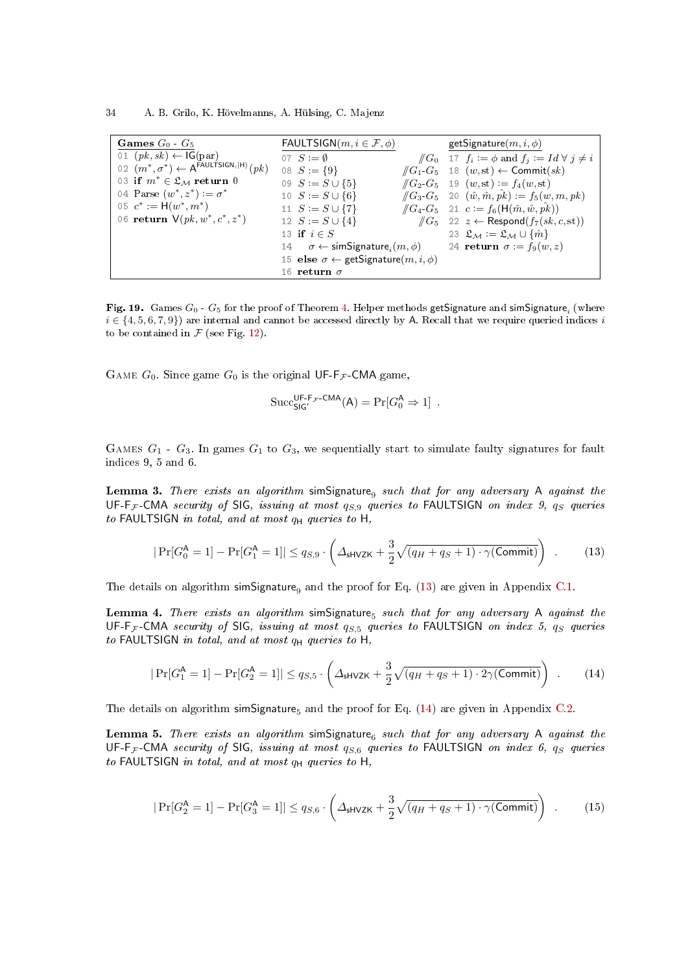34 A. B. Grilo, K. Hövelmanns, A. Hülsing, C. Majenz

| Games $G_0$ $\cdot$ $G_5$                                    | FAULTSIGN $(m, i \in \mathcal{F}, \phi)$                | getSignature $(m, i, \phi)$                                                  |
|--------------------------------------------------------------|---------------------------------------------------------|------------------------------------------------------------------------------|
| 01 $(pk, sk) \leftarrow IG(par)$                             | 07 $S := \emptyset$                                     | $\sqrt{G_0}$ 17 $f_i := \phi$ and $f_j := Id \ \forall j \neq i$             |
| 02 $(m^*, \sigma^*) \leftarrow A^{FAULTSIGN,  H\rangle}(pk)$ | 08 $S := \{9\}$                                         | $\sqrt{G_1 \cdot G_5}$ 18 $(w, st) \leftarrow$ Commit $(sk)$                 |
| 03 if $m^* \in \mathfrak{L}_M$ return 0                      | 09 $S := S \cup \{5\}$                                  | $\sqrt{G_2 \cdot G_5}$ 19 $(w, st) := f_4(w, st)$                            |
| 04 Parse $(w^*, z^*) \coloneqq \sigma^*$                     | 10 $S := S \cup \{6\}$                                  | $\sqrt{G_3 \cdot G_5}$ 20 $(\hat{w}, \hat{m}, \hat{pk}) := f_5(w, m, pk)$    |
| 05 $c^* := H(w^*, m^*)$                                      | 11 $S := S \cup \{7\}$                                  | $\sqrt{G_4 \cdot G_5}$ 21 $c := f_6(\mathsf{H}(\hat{m}, \hat{w}, \hat{pk}))$ |
| 06 return $V(pk, w^*, c^*, z^*)$                             | 12 $S := S \cup \{4\}$                                  | $\sqrt{G_5}$ 22 $z \leftarrow$ Respond $(f_7(sk, c, st))$                    |
|                                                              | 13 if $i \in S$                                         | 23 $\mathfrak{L}_M := \mathfrak{L}_M \cup \{\hat{m}\}\$                      |
|                                                              | 14 $\sigma \leftarrow$ simSignature, $(m, \phi)$        | 24 return $\sigma := f_9(w, z)$                                              |
|                                                              | 15 else $\sigma \leftarrow$ getSignature $(m, i, \phi)$ |                                                                              |
|                                                              | 16 return $\sigma$                                      |                                                                              |

<span id="page-33-0"></span>**Fig. 19.** Games  $G_0$  -  $G_5$  for the proof of Theorem [4.](#page-16-1) Helper methods getSignature and simSignature $_i$  (where  $i \in \{4, 5, 6, 7, 9\}$  are internal and cannot be accessed directly by A. Recall that we require queried indices i to be contained in  $\mathcal F$  (see Fig. [12\)](#page-16-0).

GAME  $G_0$ . Since game  $G_0$  is the original UF-F<sub>F</sub>-CMA game,

<span id="page-33-6"></span><span id="page-33-3"></span><span id="page-33-2"></span><span id="page-33-1"></span>
$$
\mathrm{Succ}_{\mathsf{SIG}'}^{\mathsf{UF-F}_{\mathcal{F}}\text{-}\mathsf{CMA}}(\mathsf{A}) = \mathrm{Pr}[G_0^\mathsf{A} \Rightarrow 1] \enspace .
$$

GAMES  $G_1$  -  $G_3$ . In games  $G_1$  to  $G_3$ , we sequentially start to simulate faulty signatures for fault indices 9, 5 and 6.

<span id="page-33-5"></span>**Lemma 3.** There exists an algorithm simSignature<sub>9</sub> such that for any adversary A against the UF-F<sub>F</sub>-CMA security of SIG, issuing at most  $q_{S,9}$  queries to FAULTSIGN on index 9,  $q_S$  queries to FAULTSIGN in total, and at most  $q_H$  queries to H,

$$
|\Pr[G_0^{\mathsf{A}} = 1] - \Pr[G_1^{\mathsf{A}} = 1]| \le q_{S,9} \cdot \left(\Delta_{\mathsf{SHVZK}} + \frac{3}{2}\sqrt{(q_H + q_S + 1) \cdot \gamma(\mathsf{Commit})}\right) \tag{13}
$$

The details on algorithm simSignature<sub>9</sub> and the proof for Eq. [\(13\)](#page-33-2) are given in Appendix [C.1.](#page-35-0)

**Lemma 4.** There exists an algorithm simSignature<sub>5</sub> such that for any adversary A against the UF-F<sub>F</sub>-CMA security of SIG, issuing at most  $q_{S,5}$  queries to FAULTSIGN on index 5,  $q_S$  queries to FAULTSIGN in total, and at most  $q_H$  queries to H,

<span id="page-33-7"></span>
$$
|\Pr[G_1^{\mathsf{A}} = 1] - \Pr[G_2^{\mathsf{A}} = 1]| \le q_{S,5} \cdot \left(\Delta_{\mathsf{SHVZK}} + \frac{3}{2}\sqrt{(q_H + q_S + 1) \cdot 2\gamma(\mathsf{Commit})}\right) \tag{14}
$$

The details on algorithm simSignature<sub>5</sub> and the proof for Eq.  $(14)$  are given in Appendix [C.2.](#page-36-0)

**Lemma 5.** There exists an algorithm simSignature<sub>6</sub> such that for any adversary A against the UF-F<sub>F</sub>-CMA security of SIG, issuing at most  $q_{S,6}$  queries to FAULTSIGN on index 6,  $q_S$  queries to FAULTSIGN in total, and at most  $q_H$  queries to H,

<span id="page-33-4"></span>
$$
|\Pr[G_2^{\mathsf{A}} = 1] - \Pr[G_3^{\mathsf{A}} = 1]| \le q_{S,6} \cdot \left(\Delta_{\mathsf{sHVZK}} + \frac{3}{2}\sqrt{(q_H + q_S + 1) \cdot \gamma(\mathsf{Commit})}\right) \tag{15}
$$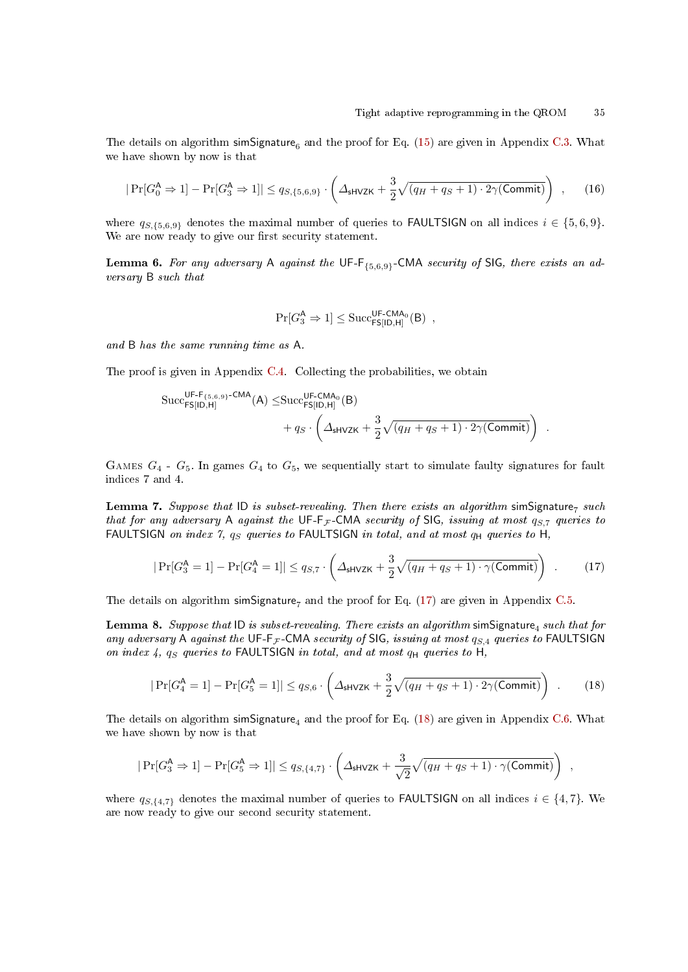The details on algorithm simSignature<sub>6</sub> and the proof for Eq. [\(15\)](#page-33-4) are given in Appendix [C.3.](#page-36-1) What we have shown by now is that

$$
|\Pr[G_0^{\mathsf{A}} \Rightarrow 1] - \Pr[G_3^{\mathsf{A}} \Rightarrow 1]| \le q_{S,\{5,6,9\}} \cdot \left(\Delta_{\mathsf{sHVZK}} + \frac{3}{2}\sqrt{(q_H + q_S + 1) \cdot 2\gamma(\mathsf{Commit})}\right) ,\tag{16}
$$

where  $q_{S,\{5,6,9\}}$  denotes the maximal number of queries to **FAULTSIGN** on all indices  $i \in \{5,6,9\}$ . We are now ready to give our first security statement.

<span id="page-34-0"></span>**Lemma 6.** For any adversary A against the UF-F<sub>{5,6,9}</sub>-CMA security of SIG, there exists an adversary B such that

$$
\Pr[G_3^{\mathsf{A}} \Rightarrow 1] \leq \mathrm{Succ}_{\mathsf{FS}[\mathsf{ID},\mathsf{H}]}^{\mathsf{UF}\text{-}\mathsf{CMA}_0}(\mathsf{B}) \ ,
$$

and B has the same running time as A.

The proof is given in Appendix [C.4.](#page-37-0) Collecting the probabilities, we obtain

$$
\begin{aligned} \text{Succ}_{\mathsf{FS}[\mathsf{ID},\mathsf{H}]}^{\mathsf{UF-F}_{\{5,6,9\}}\text{-}\mathsf{CMA}}(\mathsf{A}) \leq & \text{Succ}_{\mathsf{FS}[\mathsf{ID},\mathsf{H}]}^{\mathsf{UF-CMA}_0}(\mathsf{B}) \\ &+q_S\cdot\left(\varDelta_{\mathsf{sHVZK}}+\frac{3}{2}\sqrt{(q_H+q_S+1)\cdot 2\gamma(\mathsf{Commit})}\right) \end{aligned}.
$$

GAMES  $G_4$  -  $G_5$ . In games  $G_4$  to  $G_5$ , we sequentially start to simulate faulty signatures for fault indices 7 and 4.

<span id="page-34-4"></span>**Lemma 7.** Suppose that ID is subset-revealing. Then there exists an algorithm simSignature<sub>7</sub> such that for any adversary A against the UF-F<sub>F</sub>-CMA security of SIG, issuing at most  $q_{S,7}$  queries to FAULTSIGN on index 7,  $q_S$  queries to FAULTSIGN in total, and at most  $q_H$  queries to H,

$$
|\Pr[G_3^{\mathsf{A}} = 1] - \Pr[G_4^{\mathsf{A}} = 1]| \le q_{S,7} \cdot \left(\Delta_{\mathsf{SHVZK}} + \frac{3}{2}\sqrt{(q_H + q_S + 1) \cdot \gamma(\mathsf{Commit})}\right) \tag{17}
$$

The details on algorithm simSignature, and the proof for Eq. [\(17\)](#page-34-2) are given in Appendix [C.5.](#page-37-1)

**Lemma 8.** Suppose that ID is subset-revealing. There exists an algorithm  $\mathsf{simSignature_4}$  such that for any adversary A against the UF-F<sub>F</sub>-CMA security of SIG, issuing at most  $q_{S,4}$  queries to FAULTSIGN on index 4,  $q_S$  queries to FAULTSIGN in total, and at most  $q_H$  queries to H,

$$
|\Pr[G_4^{\mathsf{A}} = 1] - \Pr[G_5^{\mathsf{A}} = 1]| \le q_{S,6} \cdot \left(\Delta_{\mathsf{sHVZK}} + \frac{3}{2}\sqrt{(q_H + q_S + 1) \cdot 2\gamma(\mathsf{Commit})}\right) \tag{18}
$$

<span id="page-34-5"></span><span id="page-34-3"></span><span id="page-34-2"></span><span id="page-34-1"></span>,

The details on algorithm simSignature<sub>4</sub> and the proof for Eq. [\(18\)](#page-34-3) are given in Appendix [C.6.](#page-39-0) What we have shown by now is that

$$
|\Pr[G_3^{\mathsf{A}} \Rightarrow 1] - \Pr[G_5^{\mathsf{A}} \Rightarrow 1]| \leq q_{S,\{4,7\}} \cdot \left(\varDelta_{\mathsf{sHVZK}} + \frac{3}{\sqrt{2}}\sqrt{(q_H + q_S + 1) \cdot \gamma(\mathsf{Commit})}\right)
$$

where  $q_{S,\{4,7\}}$  denotes the maximal number of queries to **FAULTSIGN** on all indices  $i \in \{4,7\}$ . We are now ready to give our second security statement.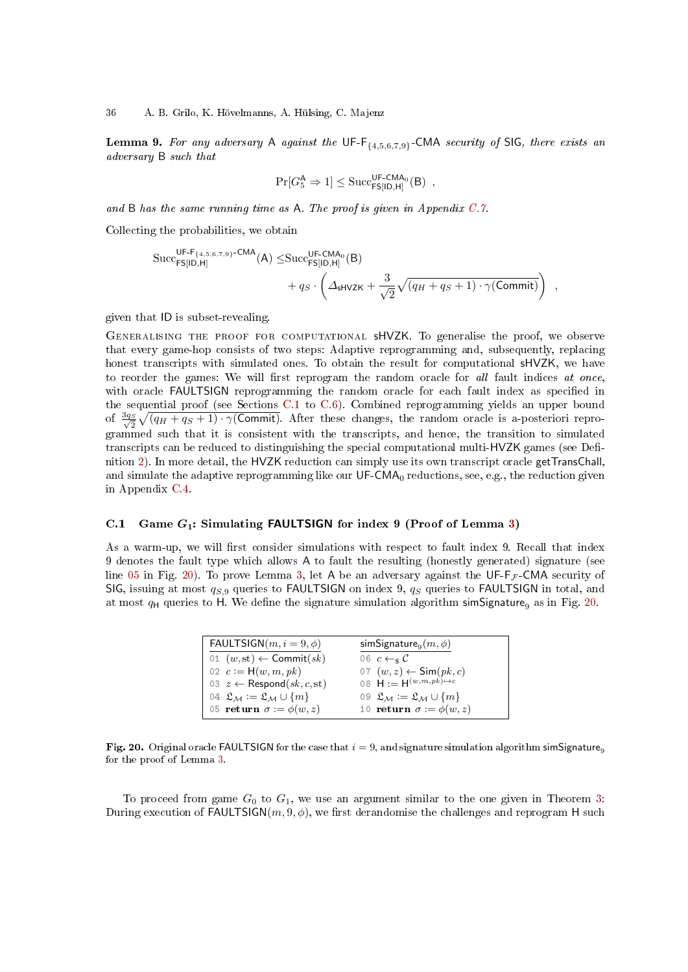**Lemma 9.** For any adversary A against the UF-F $_{\{4,5,6,7,9\}}$ -CMA security of SIG, there exists an adversary B such that

$$
\Pr[G_5^{\mathsf{A}} \Rightarrow 1] \leq \text{Succ}_{\mathsf{FS}[\mathsf{ID},\mathsf{H}]}^{\mathsf{UF}\text{-}\mathsf{CMA}_0}(\mathsf{B}) \ ,
$$

and B has the same running time as A. The proof is given in Appendix [C.7.](#page-39-1)

Collecting the probabilities, we obtain

$$
\begin{aligned} \text{Succ}_{\mathsf{FS}[\mathsf{ID},\mathsf{H}]}^{\mathsf{UF-F}_{\{4,5,6,7,9\}}\text{-}\mathsf{CMA}}(\mathsf{A}) \leq & \text{Succ}_{\mathsf{FS}[\mathsf{ID},\mathsf{H}]}^{\mathsf{UF-}\mathsf{CMA}_0}(\mathsf{B}) \\ &+q_S\cdot\left(\varDelta_{\mathsf{sHVZK}}+\frac{3}{\sqrt{2}}\sqrt{(q_H+q_S+1)\cdot\gamma(\mathsf{Commit})}\right) \end{aligned}
$$

,

given that ID is subset-revealing.

Generalising the proof for computational sHVZK. To generalise the proof, we observe that every game-hop consists of two steps: Adaptive reprogramming and, subsequently, replacing honest transcripts with simulated ones. To obtain the result for computational sHVZK, we have to reorder the games: We will first reprogram the random oracle for all fault indices at once, with oracle FAULTSIGN reprogramming the random oracle for each fault index as specified in the sequential proof (see Sections [C.1](#page-35-0) to [C.6\)](#page-39-0). Combined reprogramming yields an upper bound of  $\frac{3q_S}{\sqrt{2}}\sqrt{(q_H+q_S+1)\cdot\gamma(\textsf{Commit})}$ . After these changes, the random oracle is a-posteriori reprogrammed such that it is consistent with the transcripts, and hence, the transition to simulated transcripts can be reduced to distinguishing the special computational multi-HVZK games (see Definition [2\)](#page-11-1). In more detail, the HVZK reduction can simply use its own transcript oracle getTransChall, and simulate the adaptive reprogramming like our  $UF\text{-}CMA_0$  reductions, see, e.g., the reduction given in Appendix [C.4.](#page-37-0)

### <span id="page-35-0"></span>C.1 Game  $G_1$ : Simulating FAULTSIGN for index 9 (Proof of Lemma [3\)](#page-33-5)

As a warm-up, we will first consider simulations with respect to fault index 9. Recall that index 9 denotes the fault type which allows A to fault the resulting (honestly generated) signature (see line [05](#page-35-1) in Fig. [20\)](#page-35-2). To prove Lemma [3,](#page-33-5) let A be an adversary against the UF-F<sub>F</sub>-CMA security of SIG, issuing at most  $q_{S,9}$  queries to FAULTSIGN on index 9,  $q_S$  queries to FAULTSIGN in total, and at most  $q_H$  queries to H. We define the signature simulation algorithm simSignature<sub>9</sub> as in Fig. [20.](#page-35-2)

<span id="page-35-1"></span>

| FAULTSIGN $(m, i = 9, \phi)$                     | simSignature <sub>9</sub> $(m, \phi)$            |
|--------------------------------------------------|--------------------------------------------------|
| 01 $(w, st) \leftarrow$ Commit $(sk)$            | 06 $c \leftarrow s C$                            |
| 02 $c := H(w, m, pk)$                            | 07 $(w, z) \leftarrow \textsf{Sim}(pk, c)$       |
| 03 $z \leftarrow$ Respond(sk, c, st)             | 08 $H := H^{(w,m,pk) \mapsto c}$                 |
| 04 $\mathfrak{L}_M := \mathfrak{L}_M \cup \{m\}$ | 09 $\mathfrak{L}_M := \mathfrak{L}_M \cup \{m\}$ |
| 05 return $\sigma := \phi(w, z)$                 | 10 return $\sigma := \phi(w, z)$                 |

<span id="page-35-2"></span>Fig. 20. Original oracle FAULTSIGN for the case that  $i = 9$ , and signature simulation algorithm simSignature<sub>9</sub> for the proof of Lemma [3.](#page-33-5)

To proceed from game  $G_0$  to  $G_1$ , we use an argument similar to the one given in Theorem [3:](#page-12-3) During execution of FAULTSIGN( $m$ ,  $9$ ,  $\phi$ ), we first derandomise the challenges and reprogram H such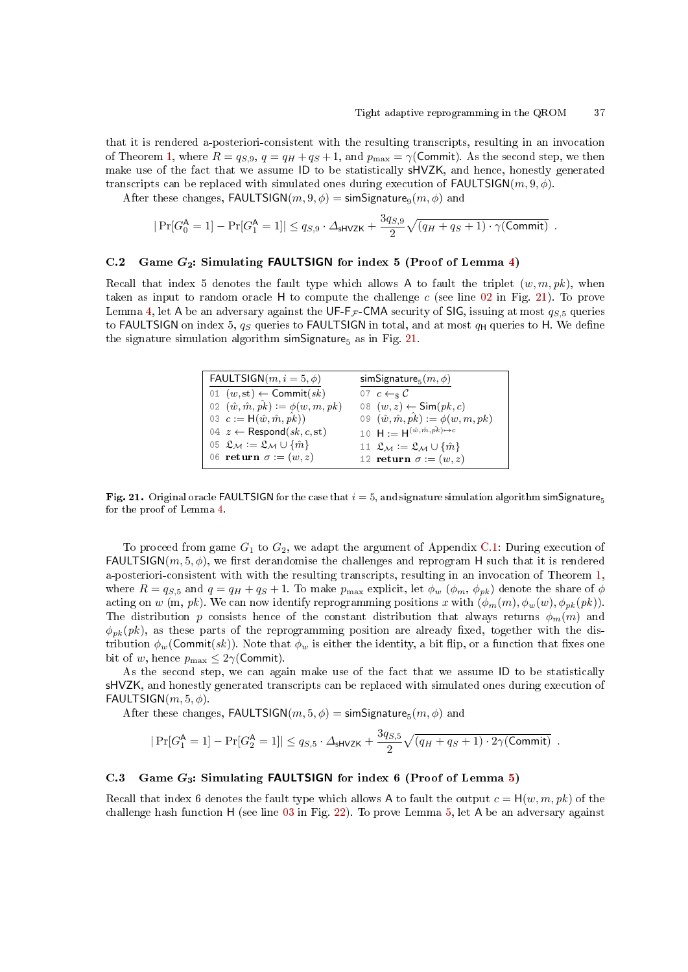that it is rendered a-posteriori-consistent with the resulting transcripts, resulting in an invocation of Theorem [1,](#page-6-0) where  $R = q_{S,9}$ ,  $q = q_H + q_S + 1$ , and  $p_{\text{max}} = \gamma$ (Commit). As the second step, we then make use of the fact that we assume ID to be statistically sHVZK, and hence, honestly generated transcripts can be replaced with simulated ones during execution of  $FAULTSIGN(m, 9, \phi)$ .

After these changes,  $\textsf{FAULTSIGN}(m, 9, \phi) = \textsf{simSignature}_9(m, \phi)$  and

$$
|\Pr[G_0^{\mathsf{A}} = 1] - \Pr[G_1^{\mathsf{A}} = 1]| \le q_{S,9} \cdot \Delta_{\mathsf{SHVZK}} + \frac{3q_{S,9}}{2} \sqrt{(q_H + q_S + 1) \cdot \gamma(\mathsf{Commit})}.
$$

# <span id="page-36-0"></span>C.2 Game  $G_2$ : Simulating FAULTSIGN for index 5 (Proof of Lemma [4\)](#page-33-6)

Recall that index 5 denotes the fault type which allows A to fault the triplet  $(w, m, pk)$ , when taken as input to random oracle H to compute the challenge c (see line  $02$  in Fig. [21\)](#page-36-3). To prove Lemma [4,](#page-33-6) let A be an adversary against the UF-F<sub>F</sub>-CMA security of SIG, issuing at most  $q_{S,5}$  queries to FAULTSIGN on index 5,  $q_S$  queries to FAULTSIGN in total, and at most  $q_H$  queries to H. We define the signature simulation algorithm simSignature<sub>5</sub> as in Fig. [21.](#page-36-3)

<span id="page-36-2"></span>

| FAULTSIGN $(m, i = 5, \phi)$                                                | simSignature <sub>5</sub> $(m, \phi)$                   |
|-----------------------------------------------------------------------------|---------------------------------------------------------|
| 01 $(w, st) \leftarrow$ Commit $(sk)$                                       | 07 $c \leftarrow s C$                                   |
| 02 $(\hat{w}, \hat{m}, \hat{pk}) := \phi(w, m, pk)$                         | 08 $(w, z) \leftarrow \textsf{Sim}(pk, c)$              |
| 03 $c := H(\hat{w}, \hat{m}, \hat{pk})$                                     | 09 $(\hat{w}, \hat{m}, \hat{pk}) := \phi(w, m, pk)$     |
| 04 $z \leftarrow$ Respond(sk, c, st)                                        | 10 $H := H^{(\hat{w}, \hat{m}, \hat{pk}) \mapsto c}$    |
| 05 $\mathfrak{L}_\mathcal{M} := \mathfrak{L}_\mathcal{M} \cup \{\hat{m}\}\$ | 11 $\mathfrak{L}_M := \mathfrak{L}_M \cup \{\hat{m}\}\$ |
| 06 return $\sigma := (w, z)$                                                | 12 return $\sigma := (w, z)$                            |

<span id="page-36-3"></span>Fig. 21. Original oracle FAULTSIGN for the case that  $i = 5$ , and signature simulation algorithm simSignature<sub>5</sub> for the proof of Lemma [4.](#page-33-6)

To proceed from game  $G_1$  to  $G_2$ , we adapt the argument of Appendix [C.1:](#page-35-0) During execution of FAULTSIGN( $m, 5, \phi$ ), we first derandomise the challenges and reprogram H such that it is rendered a-posteriori-consistent with with the resulting transcripts, resulting in an invocation of Theorem [1,](#page-6-0) where  $R = q_{S,5}$  and  $q = q_H + q_S + 1$ . To make  $p_{\text{max}}$  explicit, let  $\phi_w$  ( $\phi_m$ ,  $\phi_{pk}$ ) denote the share of  $\phi$ acting on w (m, pk). We can now identify reprogramming positions x with  $(\phi_m(m), \phi_w(m), \phi_{pk}(pk))$ . The distribution p consists hence of the constant distribution that always returns  $\phi_m(m)$  and  $\phi_{pk}(pk)$ , as these parts of the reprogramming position are already fixed, together with the distribution  $\phi_w(\text{Commit}(sk))$ . Note that  $\phi_w$  is either the identity, a bit flip, or a function that fixes one bit of w, hence  $p_{\text{max}} \leq 2\gamma$ (Commit).

As the second step, we can again make use of the fact that we assume ID to be statistically sHVZK, and honestly generated transcripts can be replaced with simulated ones during execution of FAULTSIGN $(m, 5, \phi)$ .

After these changes,  $\textsf{FAULTSIGN}(m,5,\phi) = \textsf{simSignature}_5(m,\phi)$  and

$$
|\Pr[G_1^{\mathsf{A}} = 1] - \Pr[G_2^{\mathsf{A}} = 1]| \leq q_{S,5} \cdot \Delta_{\mathsf{shVZK}} + \frac{3q_{S,5}}{2} \sqrt{(q_H + q_S + 1) \cdot 2\gamma(\text{Commit})}.
$$

# <span id="page-36-1"></span>C.3 Game  $G_3$ : Simulating FAULTSIGN for index 6 (Proof of Lemma [5\)](#page-33-7)

Recall that index 6 denotes the fault type which allows A to fault the output  $c = H(w, m, pk)$  of the challenge hash function  $H$  (see line [03](#page-37-2) in Fig. [22\)](#page-37-3). To prove Lemma [5,](#page-33-7) let A be an adversary against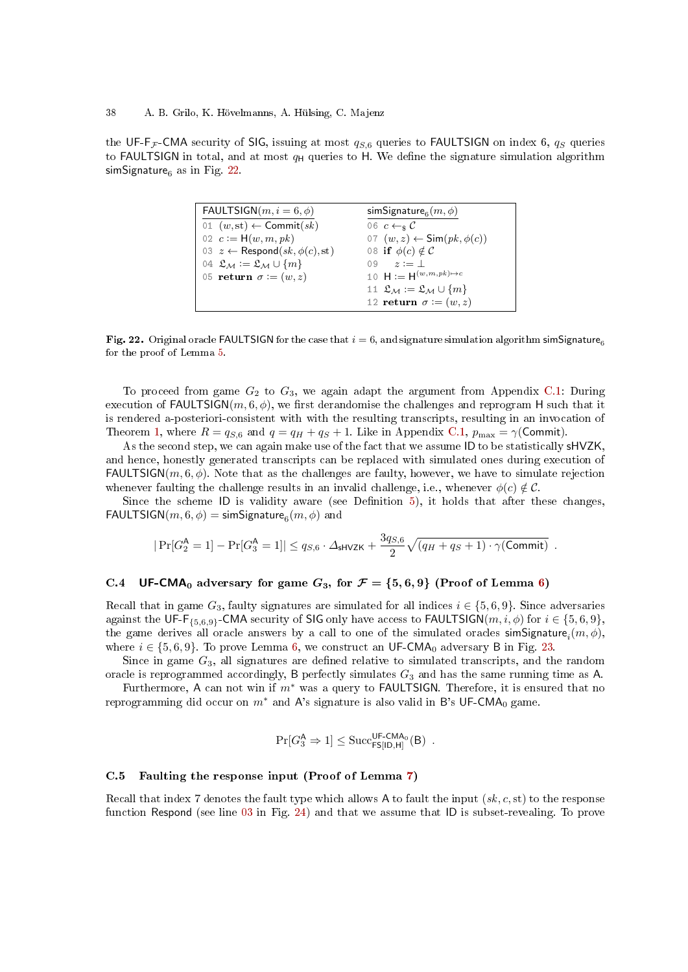the UF-F<sub>F</sub>-CMA security of SIG, issuing at most  $q_{S,6}$  queries to FAULTSIGN on index 6,  $q_S$  queries to FAULTSIGN in total, and at most  $q_H$  queries to H. We define the signature simulation algorithm simSignature $_6$  as in Fig. [22.](#page-37-3)

<span id="page-37-2"></span>

| FAULTSIGN $(m, i = 6, \phi)$                     | simSignature <sub>6</sub> $(m, \phi)$            |
|--------------------------------------------------|--------------------------------------------------|
| 01 $(w, st) \leftarrow$ Commit $(sk)$            | 06 $c \leftarrow s C$                            |
| 02 $c := H(w, m, pk)$                            | 07 $(w, z) \leftarrow \text{Sim}(pk, \phi(c))$   |
| 03 $z \leftarrow$ Respond(sk, $\phi(c)$ , st)    | 08 if $\phi(c) \notin C$                         |
| 04 $\mathfrak{L}_M := \mathfrak{L}_M \cup \{m\}$ | $0.9 \t z := 1$                                  |
| 05 return $\sigma := (w, z)$                     | 10 $H := H^{(w,m,pk)\to c}$                      |
|                                                  | 11 $\mathfrak{L}_M := \mathfrak{L}_M \cup \{m\}$ |
|                                                  | 12 return $\sigma := (w, z)$                     |

<span id="page-37-3"></span>Fig. 22. Original oracle FAULTSIGN for the case that  $i = 6$ , and signature simulation algorithm simSignature<sub>6</sub> for the proof of Lemma [5.](#page-33-7)

To proceed from game  $G_2$  to  $G_3$ , we again adapt the argument from Appendix [C.1:](#page-35-0) During execution of FAULTSIGN(m, 6,  $\phi$ ), we first derandomise the challenges and reprogram H such that it is rendered a-posteriori-consistent with with the resulting transcripts, resulting in an invocation of Theorem [1,](#page-6-0) where  $R = q_{S,6}$  and  $q = q_H + q_S + 1$ . Like in Appendix [C.1,](#page-35-0)  $p_{\text{max}} = \gamma(\text{Commit}).$ 

As the second step, we can again make use of the fact that we assume ID to be statistically sHVZK, and hence, honestly generated transcripts can be replaced with simulated ones during execution of  $FAULTSIGN(m, 6, \phi)$ . Note that as the challenges are faulty, however, we have to simulate rejection whenever faulting the challenge results in an invalid challenge, i.e., whenever  $\phi(c) \notin \mathcal{C}$ .

Since the scheme  $ID$  is validity aware (see Definition [5\)](#page-30-0), it holds that after these changes, FAULTSIGN $(m, 6, \phi) = \textsf{simSignature}_6(m, \phi)$  and

$$
|\Pr[G_2^{\mathsf{A}} = 1] - \Pr[G_3^{\mathsf{A}} = 1]| \leq q_{S,6} \cdot \Delta_{\mathsf{SHVZK}} + \frac{3q_{S,6}}{2} \sqrt{(q_H + q_S + 1) \cdot \gamma(\text{Commit})}.
$$

# <span id="page-37-0"></span>C.4 UF-CMA<sub>0</sub> adversary for game  $G_3$ , for  $\mathcal{F} = \{5,6,9\}$  (Proof of Lemma [6\)](#page-34-0)

Recall that in game  $G_3$ , faulty signatures are simulated for all indices  $i \in \{5, 6, 9\}$ . Since adversaries against the UF-F<sub>{5,6,9}</sub>-CMA security of SIG only have access to FAULTSIGN( $m, i, \phi$ ) for  $i \in \{5, 6, 9\}$ , the game derives all oracle answers by a call to one of the simulated oracles  $\mathsf{simSignature}_i(m, \phi),$ where  $i \in \{5, 6, 9\}$  $i \in \{5, 6, 9\}$  $i \in \{5, 6, 9\}$ . To prove Lemma 6, we construct an UF-CMA<sub>0</sub> adversary B in Fig. [23.](#page-38-0)

Since in game  $G_3$ , all signatures are defined relative to simulated transcripts, and the random oracle is reprogrammed accordingly, B perfectly simulates  $G_3$  and has the same running time as A.

Furthermore, A can not win if  $m^*$  was a query to FAULTSIGN. Therefore, it is ensured that no reprogramming did occur on  $m^*$  and A's signature is also valid in B's UF-CMA<sub>0</sub> game.

$$
\Pr[G_3^{\mathsf{A}} \Rightarrow 1] \leq \mathrm{Succ}_{\mathsf{FS}[\mathsf{ID},\mathsf{H}]}^{\mathsf{UF}\text{-}\mathsf{CMA}_0}(\mathsf{B})\enspace.
$$

# <span id="page-37-1"></span>C.5 Faulting the response input (Proof of Lemma [7\)](#page-34-4)

Recall that index 7 denotes the fault type which allows A to fault the input  $(s_k, c, st)$  to the response function Respond (see line [03](#page-39-2) in Fig. [24\)](#page-39-3) and that we assume that ID is subset-revealing. To prove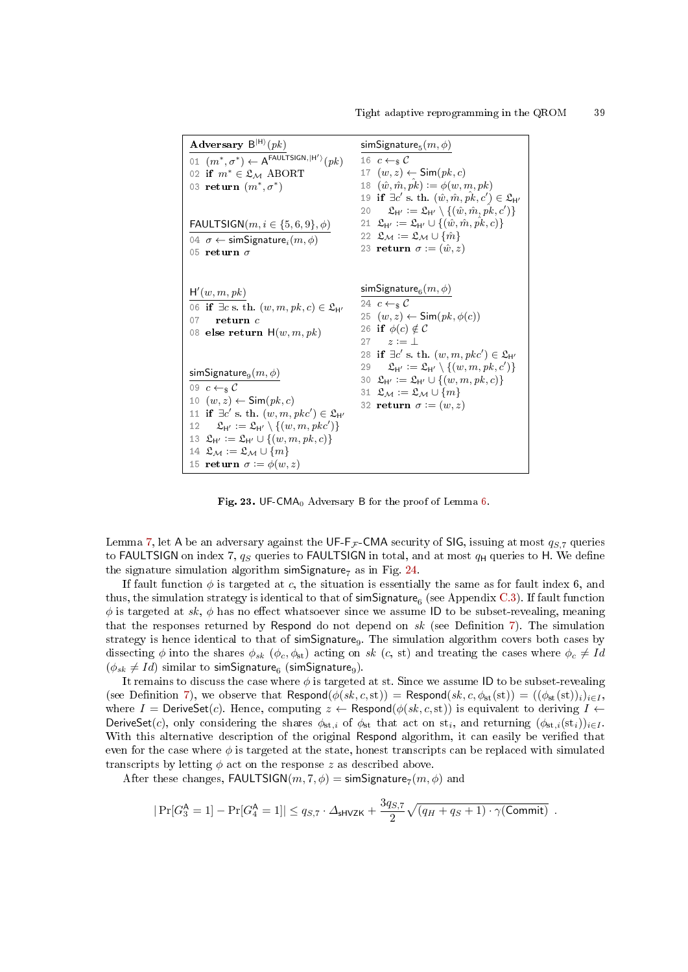| Adversary $B^{ H\rangle}(pk)$                                                                                                                                                                                                                                                                                                                                                                                                                      | simSignature <sub>5</sub> $(m, \phi)$                                                                                                                                                                                                                                                                                            |
|----------------------------------------------------------------------------------------------------------------------------------------------------------------------------------------------------------------------------------------------------------------------------------------------------------------------------------------------------------------------------------------------------------------------------------------------------|----------------------------------------------------------------------------------------------------------------------------------------------------------------------------------------------------------------------------------------------------------------------------------------------------------------------------------|
| 01 $(m^*, \sigma^*) \leftarrow A^{\text{FAULTSIGN}, \vert H' \rangle}(pk)$<br>02 if $m^* \in \mathfrak{L}_M$ ABORT<br>03 return $(m^*, \sigma^*)$                                                                                                                                                                                                                                                                                                  | 16 $c \leftarrow_s C$<br>17 $(w, z) \leftarrow \textsf{Sim}(pk, c)$<br>18 $(\hat{w}, \hat{m}, \hat{pk}) := \phi(w, m, pk)$<br>19 if $\exists c'$ s. th. $(\hat{w}, \hat{m}, \hat{pk}, c') \in \mathfrak{L}_{H'}$<br>20 $\mathfrak{L}_{\mathsf{H}'} := \mathfrak{L}_{\mathsf{H}'} \setminus \{(\hat{w}, \hat{m}, \hat{pk}, c')\}$ |
| FAULTSIGN $(m, i \in \{5, 6, 9\}, \phi)$<br>04 $\sigma \leftarrow$ simSignature, $(m, \phi)$<br>05 return $\sigma$                                                                                                                                                                                                                                                                                                                                 | 21 $\mathfrak{L}_{\mathsf{H}'} := \mathfrak{L}_{\mathsf{H}'} \cup \{(\hat{w}, \hat{m}, \hat{pk}, c)\}\$<br>22 $\mathfrak{L}_M := \mathfrak{L}_M \cup \{\hat{m}\}\$<br>23 return $\sigma := (\hat{w}, z)$                                                                                                                         |
| H'(w, m, pk)<br>06 if $\exists c \text{ s. th. } (w, m, pk, c) \in \mathfrak{L}_{H'}$<br>return c<br>07<br>08 else return $H(w, m, pk)$                                                                                                                                                                                                                                                                                                            | simSignature $_{6}(m,\phi)$<br>24 $c \leftarrow s C$<br>25 $(w, z) \leftarrow \textsf{Sim}(pk, \phi(c))$<br>26 if $\phi(c) \notin C$<br>$27 \t z := 1$<br>28 if $\exists c'$ s. th. $(w, m, pkc') \in \mathfrak{L}_{H'}$                                                                                                         |
| simSignature $_{9}(m, \phi)$<br>09 $c \leftarrow_s C$<br>10 $(w, z) \leftarrow \textsf{Sim}(pk, c)$<br>11 if $\exists c'$ s. th. $(w, m, pkc') \in \mathfrak{L}_{H'}$<br>12 $\mathfrak{L}_{\mathsf{H}'} := \mathfrak{L}_{\mathsf{H}'} \setminus \{(w, m, pkc')\}$<br>13 $\mathfrak{L}_{\mathsf{H}'} := \mathfrak{L}_{\mathsf{H}'} \cup \{(w, m, pk, c)\}\$<br>14 $\mathfrak{L}_M := \mathfrak{L}_M \cup \{m\}$<br>15 return $\sigma := \phi(w, z)$ | 29 $\mathfrak{L}_{\mathsf{H}'} := \mathfrak{L}_{\mathsf{H}'} \setminus \{(w,m,pk,c')\}$<br>30 $\mathfrak{L}_{H'} := \mathfrak{L}_{H'} \cup \{(w, m, pk, c)\}\;$<br>31 $\mathfrak{L}_M := \mathfrak{L}_M \cup \{m\}$<br>32 return $\sigma := (w, z)$                                                                              |

<span id="page-38-0"></span>Fig. 23. UF-CMA<sup>0</sup> Adversary B for the proof of Lemma [6.](#page-34-0)

Lemma [7,](#page-34-4) let A be an adversary against the UF-F<sub>F</sub>-CMA security of SIG, issuing at most  $q_{S,7}$  queries to FAULTSIGN on index 7,  $q_S$  queries to FAULTSIGN in total, and at most  $q_H$  queries to H. We define the signature simulation algorithm simSignature<sub>7</sub> as in Fig. [24.](#page-39-3)

If fault function  $\phi$  is targeted at c, the situation is essentially the same as for fault index 6, and thus, the simulation strategy is identical to that of  $\sf simSignature_6$  (see  $\sf Appendix~C.3)$  $\sf Appendix~C.3)$ . If fault function  $\phi$  is targeted at sk,  $\phi$  has no effect whatsoever since we assume ID to be subset-revealing, meaning that the responses returned by Respond do not depend on  $sk$  (see Definition [7\)](#page-30-1). The simulation strategy is hence identical to that of simSignature<sub>9</sub>. The simulation algorithm covers both cases by dissecting  $\phi$  into the shares  $\phi_{sk}$  ( $\phi_c, \phi_{st}$ ) acting on sk (c, st) and treating the cases where  $\phi_c \neq Id$  $(\phi_{sk} \neq Id)$  similar to simSignature<sub>6</sub> (simSignature<sub>9</sub>).

It remains to discuss the case where  $\phi$  is targeted at st. Since we assume ID to be subset-revealing (see Definition [7\)](#page-30-1), we observe that Respond $(\phi(s,k,c,\text{st})) = \text{Respond}(s k, c, \phi_{\text{st}}(\text{st})) = ((\phi_{\text{st}}(\text{st}))_i)_{i\in I}$ , where  $I =$  DeriveSet $(c)$ . Hence, computing  $z \leftarrow$  Respond $(\phi(s, k, c, st))$  is equivalent to deriving  $I \leftarrow$ DeriveSet(c), only considering the shares  $\phi_{st,i}$  of  $\phi_{st}$  that act on  $st_i$ , and returning  $(\phi_{st,i}(st_i))_{i\in I}$ . With this alternative description of the original Respond algorithm, it can easily be verified that even for the case where  $\phi$  is targeted at the state, honest transcripts can be replaced with simulated transcripts by letting  $\phi$  act on the response z as described above.

After these changes,  $\textsf{FAULTSIGN}(m, 7, \phi) = \textsf{simSignature}_7(m, \phi)$  and

$$
|\Pr[G_3^{\mathsf{A}} = 1] - \Pr[G_4^{\mathsf{A}} = 1]| \leq q_{S,7} \cdot \Delta_{\mathsf{SHVZK}} + \frac{3q_{S,7}}{2} \sqrt{(q_H + q_S + 1) \cdot \gamma(\text{Commit})}.
$$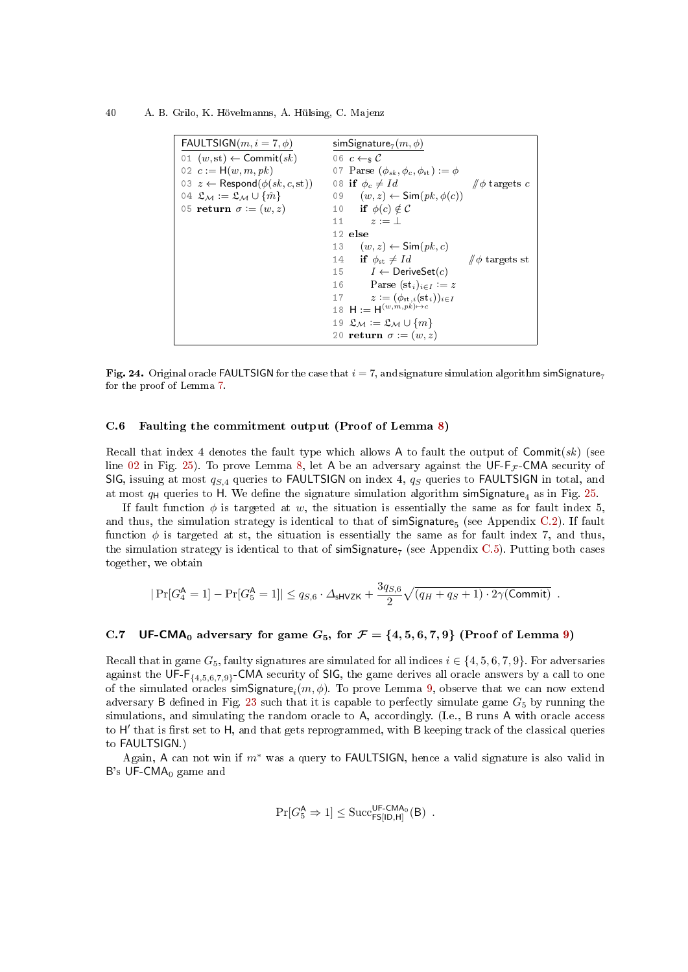40 A. B. Grilo, K. Hövelmanns, A. Hülsing, C. Majenz

<span id="page-39-2"></span>

| FAULTSIGN $(m, i = 7, \phi)$                            | simSignature <sub>7</sub> $(m, \phi)$               |
|---------------------------------------------------------|-----------------------------------------------------|
| 01 $(w, st) \leftarrow$ Commit $(sk)$                   | 06 $c \leftarrow_s C$                               |
| 02 $c := H(w, m, pk)$                                   | 07 Parse $(\phi_{sk}, \phi_c, \phi_{st}) := \phi$   |
| 03 $z \leftarrow$ Respond $(\phi(sk, c, st))$           | 08 if $\phi_c \neq Id$<br>$\sin \phi$ targets c     |
| 04 $\mathfrak{L}_M := \mathfrak{L}_M \cup \{\hat{m}\}\$ | 09 $(w, z) \leftarrow \text{Sim}(pk, \phi(c))$      |
| 05 return $\sigma := (w, z)$                            | 10 if $\phi(c) \notin C$                            |
|                                                         | 11 $z := \perp$                                     |
|                                                         | 12 else                                             |
|                                                         | 13 $(w, z) \leftarrow \textsf{Sim}(pk, c)$          |
|                                                         | 14 if $\phi_{st} \neq Id$<br>$\sin \phi$ targets st |
|                                                         | 15 $I \leftarrow$ DeriveSet(c)                      |
|                                                         | Parse $(st_i)_{i\in I} := z$<br>16                  |
|                                                         | 17 $z := (\phi_{st,i}(\mathrm{st}_i))_{i \in I}$    |
|                                                         | 18 $H := H^{(w,m,pk) \rightarrow c}$                |
|                                                         | 19 $\mathfrak{L}_M := \mathfrak{L}_M \cup \{m\}$    |
|                                                         | 20 return $\sigma := (w, z)$                        |

<span id="page-39-3"></span>Fig. 24. Original oracle FAULTSIGN for the case that  $i = 7$ , and signature simulation algorithm simSignature<sub>7</sub> for the proof of Lemma [7.](#page-34-4)

### <span id="page-39-0"></span>C.6 Faulting the commitment output (Proof of Lemma [8\)](#page-34-5)

Recall that index 4 denotes the fault type which allows A to fault the output of  $\text{Commit}(sk)$  (see line [02](#page-40-1) in Fig. [25\)](#page-40-2). To prove Lemma [8,](#page-34-5) let A be an adversary against the UF-F<sub>F</sub>-CMA security of SIG, issuing at most  $q_{S,4}$  queries to FAULTSIGN on index 4,  $q_{S}$  queries to FAULTSIGN in total, and at most  $q_H$  queries to H. We define the signature simulation algorithm simSignature<sub>4</sub> as in Fig. [25.](#page-40-2)

If fault function  $\phi$  is targeted at w, the situation is essentially the same as for fault index 5, and thus, the simulation strategy is identical to that of simSignature<sub>5</sub> (see Appendix [C.2\)](#page-36-0). If fault function  $\phi$  is targeted at st, the situation is essentially the same as for fault index 7, and thus, the simulation strategy is identical to that of  ${\sf simSigma}$  (see Appendix [C.5\)](#page-37-1). Putting both cases together, we obtain

$$
|\Pr[G_4^{\mathsf{A}} = 1] - \Pr[G_5^{\mathsf{A}} = 1]| \leq q_{S,6} \cdot \Delta_{\mathsf{shVZK}} + \frac{3q_{S,6}}{2} \sqrt{(q_H + q_S + 1) \cdot 2\gamma(\text{Commit})}.
$$

# <span id="page-39-1"></span>C.7 UF-CMA<sub>0</sub> adversary for game  $G_5$ , for  $\mathcal{F} = \{4, 5, 6, 7, 9\}$  (Proof of Lemma [9\)](#page-34-1)

Recall that in game  $G_5$ , faulty signatures are simulated for all indices  $i \in \{4, 5, 6, 7, 9\}$ . For adversaries against the UF-F $_{\{4,5,6,7,9\}}$ -CMA security of SIG, the game derives all oracle answers by a call to one of the simulated oracles  $\mathsf{simSignature}_i(m,\phi)$ . To prove Lemma [9,](#page-34-1) observe that we can now extend adversary B defined in Fig. [23](#page-38-0) such that it is capable to perfectly simulate game  $G_5$  by running the simulations, and simulating the random oracle to A, accordingly. (I.e., B runs A with oracle access to H' that is first set to H, and that gets reprogrammed, with B keeping track of the classical queries to FAULTSIGN.)

Again, A can not win if m<sup>∗</sup> was a query to FAULTSIGN, hence a valid signature is also valid in B's UF-CMA $_0$  game and

$$
\Pr[G^{\mathsf{A}}_5 \Rightarrow 1] \leq \mathrm{Succ}_{\mathsf{FS}[\mathsf{ID},\mathsf{H}]}^{\mathsf{UF}\text{-}\mathsf{CMA}_0}(\mathsf{B})\enspace.
$$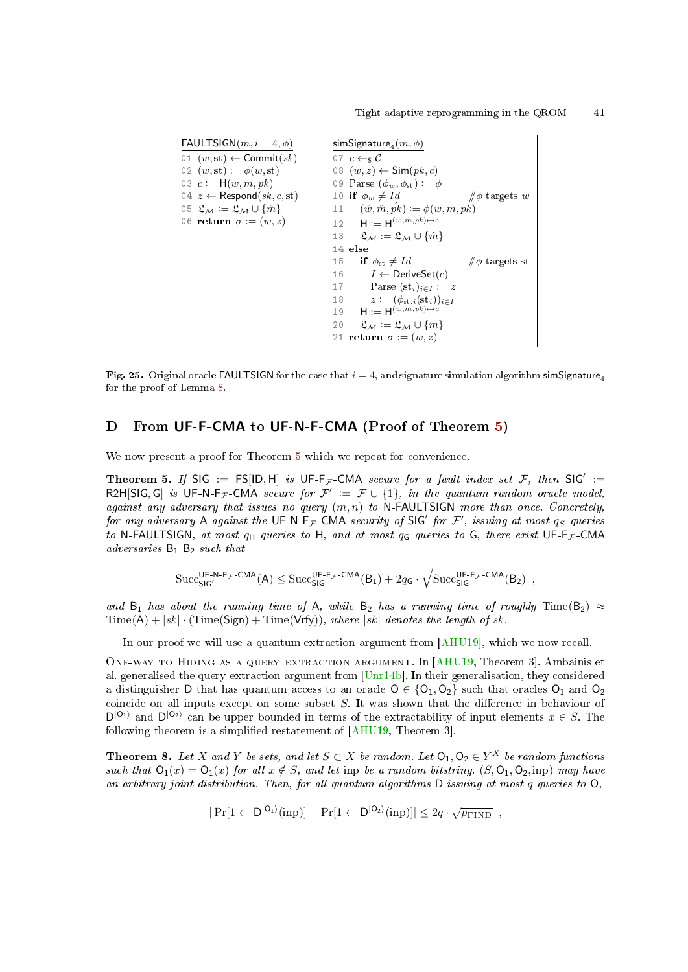```
FAULTSIGN(m, i = 4, \phi)01 (w, st) \leftarrow Commit(sk)02 (w, st) := \phi(w, st)03 c := H(w, m, pk)04 z \leftarrow Respond(sk, c, st)05 \mathfrak{L}_M := \mathfrak{L}_M \cup \{\hat{m}\}\06 return \sigma := (w, z)\mathsf{simSignature}_4(m,\phi)07 c \leftarrow s \mathcal{C}08 (w, z) \leftarrow \textsf{Sim}(pk, c)09 Parse (\phi_w, \phi_{st}) := \phi10 if \phi_w \neq Id  \qquad \qquad \# \phi targets w<br>11 (\hat{w}, \hat{m}, \hat{pk}) := \phi(w, m, pk)12 H := H^{(\hat{w}, \hat{m}, \hat{pk}) \mapsto c}13 \mathfrak{L}_M := \mathfrak{L}_M \cup \{\hat{m}\}\14 else
                                                         15 if \phi_{\text{st}} \neq Id // \phi targets st<br>16 I \leftarrow DeriveSet(c)
                                                                      I \leftarrow DeriveSet(c)
                                                         17 Parse (st_i)_{i\in I} := z18 z := (\phi_{st,i}(\mathrm{st}_i))_{i \in I}<br>19 \mathsf{H} := \mathsf{H}^{(w,m,pk) \mapsto c}19 H := H^{(w,m,pk)\rightarrow c}20 \mathfrak{L}_M := \mathfrak{L}_M \cup \{m\}21 return \sigma := (w, z)
```
<span id="page-40-2"></span>Fig. 25. Original oracle FAULTSIGN for the case that  $i = 4$ , and signature simulation algorithm simSignature<sub>4</sub> for the proof of Lemma [8.](#page-34-5)

# <span id="page-40-0"></span>D From UF-F-CMA to UF-N-F-CMA (Proof of Theorem [5\)](#page-17-1)

We now present a proof for Theorem [5](#page-17-1) which we repeat for convenience.

Theorem 5. If SIG := FS[ID, H] is UF-F<sub>F</sub>-CMA secure for a fault index set F, then SIG' := R2H[SIG, G] is UF-N-F<sub>F</sub>-CMA secure for  $\mathcal{F}' := \mathcal{F} \cup \{1\}$ , in the quantum random oracle model, against any adversary that issues no query  $(m, n)$  to N-FAULTSIGN more than once. Concretely, for any adversary A against the UF-N-F<sub>F</sub>-CMA security of SIG' for F', issuing at most  $q_S$  queries to N-FAULTSIGN, at most  $q_H$  queries to H, and at most  $q_G$  queries to G, there exist UF-F<sub>F</sub>-CMA adversaries  $B_1$   $B_2$  such that

$$
\begin{aligned} & \text{Succ}_{\text{SIG}'}^{\text{UF-N-F}_{\mathcal{F}}\text{-CMA}}(A) \leq \text{Succ}_{\text{SIG}}^{\text{UF-F}_{\mathcal{F}}\text{-CMA}}(B_1) + 2q_G \cdot \sqrt{\text{Succ}_{\text{SIG}}^{\text{UF-F}_{\mathcal{F}}\text{-CMA}}(B_2)} \end{aligned} \hspace{0.1cm} ,
$$

and B<sub>1</sub> has about the running time of A, while B<sub>2</sub> has a running time of roughly Time(B<sub>2</sub>)  $\approx$  $Time(A) + |sk| \cdot (Time(Sign) + Time(Vrfy)), where |sk| denotes the length of sk.$ 

In our proof we will use a quantum extraction argument from [\[AHU19\]](#page-23-1), which we now recall.

One-way to Hiding as a query extraction argument. In [\[AHU19,](#page-23-1) Theorem 3], Ambainis et al. generalised the query-extraction argument from [\[Unr14b\]](#page-25-4). In their generalisation, they considered a distinguisher D that has quantum access to an oracle  $O \in \{O_1, O_2\}$  such that oracles  $O_1$  and  $O_2$ coincide on all inputs except on some subset  $S$ . It was shown that the difference in behaviour of  $D^{|O_1\rangle}$  and  $D^{|O_2\rangle}$  can be upper bounded in terms of the extractability of input elements  $x \in S$ . The following theorem is a simplified restatement of  $[AHU19, Theorem 3]$  $[AHU19, Theorem 3]$ .

<span id="page-40-3"></span>**Theorem 8.** Let X and Y be sets, and let  $S \subset X$  be random. Let  $O_1, O_2 \in Y^X$  be random functions such that  $O_1(x) = O_1(x)$  for all  $x \notin S$ , and let inp be a random bitstring.  $(S, O_1, O_2,$  inp) may have an arbitrary joint distribution. Then, for all quantum algorithms D issuing at most q queries to O,

$$
|\Pr[1 \leftarrow D^{|O_1\rangle}(\text{inp})] - \Pr[1 \leftarrow D^{|O_2\rangle}(\text{inp})]| \leq 2q \cdot \sqrt{p_{\text{FIND}}},
$$

 $\sim$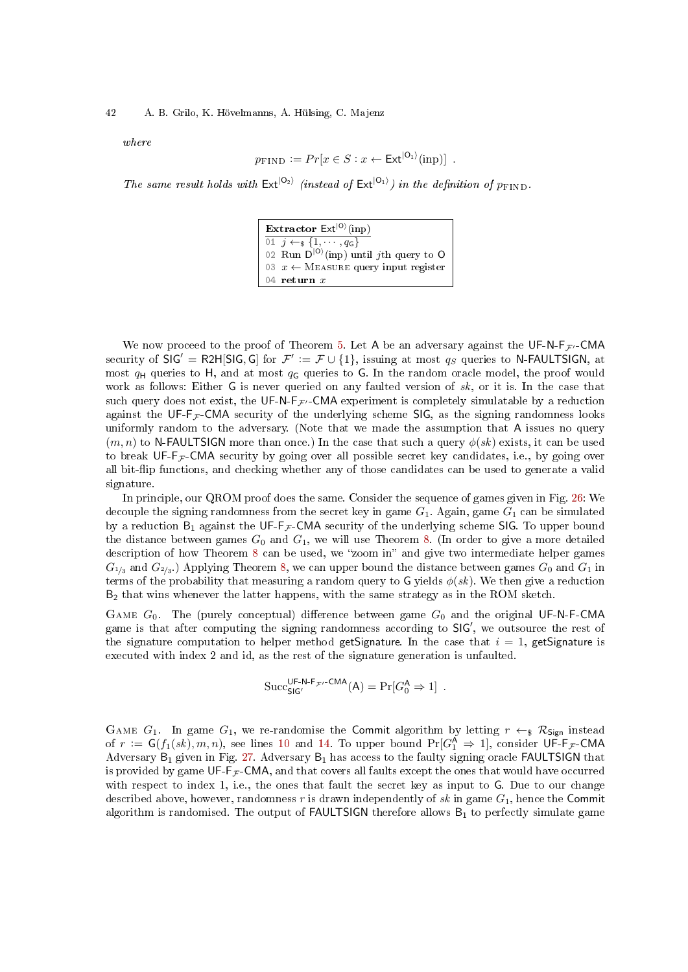#### 42 A. B. Grilo, K. Hövelmanns, A. Hülsing, C. Majenz

where

$$
p_{\text{FIND}} := Pr[x \in S : x \leftarrow \text{Ext}^{|O_1\rangle}(\text{inp})].
$$

The same result holds with  $Ext^{|O_2\rangle}$  (instead of  $Ext^{|O_1\rangle}$ ) in the definition of  $p_{\text{FIND}}$ .

Extractor  $\text{Ext}^{|O\rangle}(\text{inp})$  $\overline{01 \quad j \leftarrow_{\$} \{1, \cdots, q_{\mathsf{G}}\}}$ 02 Run  $D^{|O\rangle}$ (inp) until jth query to O 03  $x \leftarrow$  MEASURE query input register 04 return  $x$ 

We now proceed to the proof of Theorem [5.](#page-17-1) Let A be an adversary against the UF-N- $F_{\mathcal{F}}$ -CMA security of  $\mathsf{SIG}' = \mathsf{R2H}[\mathsf{SIG}, \mathsf{G}]$  for  $\mathcal{F}' := \mathcal{F} \cup \{1\}$ , issuing at most  $q_S$  queries to N-FAULTSIGN, at most  $q_H$  queries to H, and at most  $q_G$  queries to G. In the random oracle model, the proof would work as follows: Either G is never queried on any faulted version of  $sk$ , or it is. In the case that such query does not exist, the UF-N-F<sub>F'</sub>-CMA experiment is completely simulatable by a reduction against the UF- $F_{\mathcal{F}}$ -CMA security of the underlying scheme SIG, as the signing randomness looks uniformly random to the adversary. (Note that we made the assumption that A issues no query  $(m, n)$  to N-FAULTSIGN more than once.) In the case that such a query  $\phi(sk)$  exists, it can be used to break UF-F<sub>F</sub>-CMA security by going over all possible secret key candidates, i.e., by going over all bit-flip functions, and checking whether any of those candidates can be used to generate a valid signature.

In principle, our QROM proof does the same. Consider the sequence of games given in Fig. [26:](#page-42-0) We decouple the signing randomness from the secret key in game  $G_1$ . Again, game  $G_1$  can be simulated by a reduction  $B_1$  against the UF-F<sub>F</sub>-CMA security of the underlying scheme SIG. To upper bound the distance between games  $G_0$  and  $G_1$ , we will use Theorem [8.](#page-40-3) (In order to give a more detailed description of how Theorem [8](#page-40-3) can be used, we "zoom in" and give two intermediate helper games  $G_{1/3}$  and  $G_{2/3}$ .) Applying Theorem [8,](#page-40-3) we can upper bound the distance between games  $G_0$  and  $G_1$  in terms of the probability that measuring a random query to G yields  $\phi(sk)$ . We then give a reduction  $B_2$  that wins whenever the latter happens, with the same strategy as in the ROM sketch.

GAME  $G_0$ . The (purely conceptual) difference between game  $G_0$  and the original UF-N-F-CMA game is that after computing the signing randomness according to SIG', we outsource the rest of the signature computation to helper method getSignature. In the case that  $i = 1$ , getSignature is executed with index 2 and id, as the rest of the signature generation is unfaulted.

$$
\mathrm{Succ}_{\mathsf{SIG}'}^{\mathsf{UF}\text{-}\mathsf{N}\text{-}\mathsf{F}_{\mathcal{F}'}\text{-}\mathsf{CMA}}(\mathsf{A})=\mathrm{Pr}[G^{\mathsf{A}}_0 \Rightarrow 1]\enspace.
$$

GAME  $G_1$ . In game  $G_1$ , we re-randomise the Commit algorithm by letting  $r \leftarrow s \mathcal{R}_{Sign}$  instead of  $r := G(f_1(sk), m, n)$ , see lines [10](#page-42-1) and [14.](#page-42-2) To upper bound  $Pr[G_1^{\mathsf{A}} \Rightarrow 1]$ , consider  $\mathsf{UF-F}_{\mathcal{F}}\text{-}\mathsf{CMA}$ Adversary  $B_1$  given in Fig. [27.](#page-42-3) Adversary  $B_1$  has access to the faulty signing oracle **FAULTSIGN** that is provided by game  $\mathsf{UF-F}_{\mathcal{F}}\text{-}\mathsf{CMA}$ , and that covers all faults except the ones that would have occurred with respect to index 1, i.e., the ones that fault the secret key as input to G. Due to our change described above, however, randomness r is drawn independently of  $sk$  in game  $G_1$ , hence the Commit algorithm is randomised. The output of  $FAULTSIGN$  therefore allows  $B_1$  to perfectly simulate game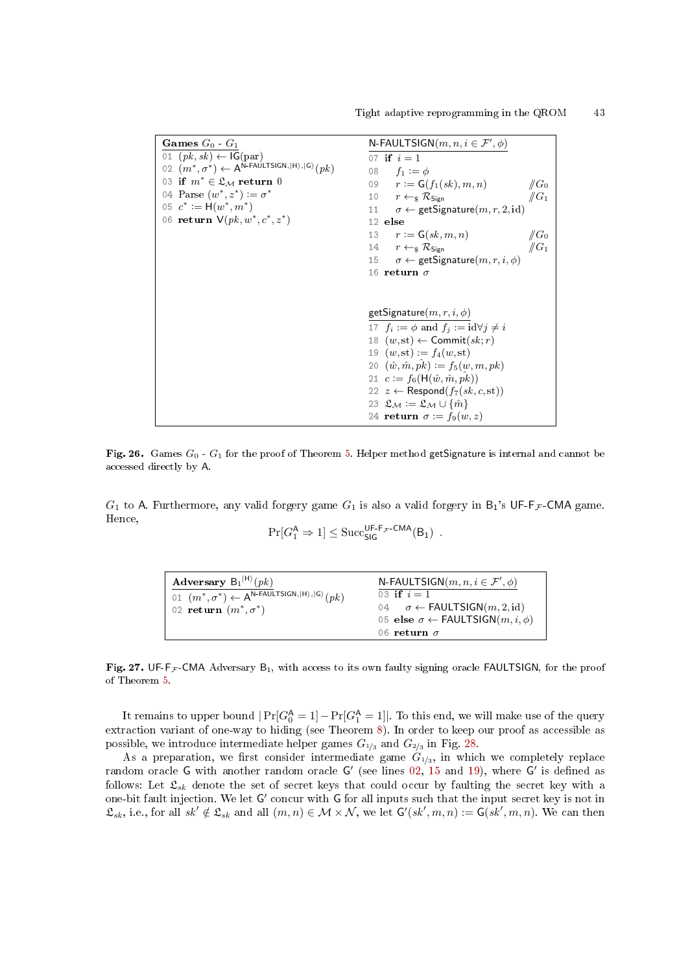<span id="page-42-2"></span><span id="page-42-1"></span>Games  $G_0$  -  $G_1$ 01  $(pk, sk) \leftarrow \mathsf{IG}(\text{par})$  $(0.02 \, \stackrel{\sim}{(m^*,\sigma^*)} \leftarrow A^{\text{N-FAULTSIGN},\ket{\text{H}},\ket{\text{G}}} (pk)$ 03 if  $m^* \in \mathfrak{L}_\mathcal{M}$  return 0 04 Parse  $(w^*, z^*) \vcentcolon = \sigma^*$ 05  $c^* := H(w^*, m^*)$ 06 **return**  $V(pk, w^*, c^*, z^*)$ N-FAULTSIGN $(m, n, i \in \mathcal{F}', \phi)$ 07 if  $i=1$ 08  $f_1 := \phi$ 09  $r := G(f_1(sk), m, n)$   $\|G_0\|$ <br>10  $r \leftarrow_S \mathcal{R}_{\text{Sign}}$   $\|G_1\|$ 10  $r \leftarrow_{\S} \mathcal{R}_{Sign}$ <br>11  $\sigma \leftarrow$  getSignature $(m, r, 2, id)$ 12 else 13  $r := \mathsf{G}(sk, m, n)$   $\|\mathsf{G}_0\|$ <br>14  $r \leftarrow_s \mathcal{R}_{\mathsf{Sign}}$   $\|\mathsf{G}_1\|$ 14  $r \leftarrow_{\S} \mathcal{R}_{Sign} \qquad \qquad \#G_1$ <br>15  $\sigma \leftarrow$  getSignature $(m, r, i, \phi)$ 16 return  $\sigma$ getSignature $(m, r, i, \phi)$ 17  $f_i := \phi$  and  $f_j := id \forall j \neq i$ 18  $(w, st) \leftarrow$  Commit $(sk; r)$ 19  $(w, st) := f_4(w, st)$ 20  $(\hat{w}, \hat{m}, \hat{pk}) := f_5(w, m, pk)$ 21  $c := f_6(H(\hat{w}, \hat{m}, \hat{pk}))$ 22  $z \leftarrow$  Respond $(f_7(sk, c, st))$ 23  $\mathfrak{L}_\mathcal{M} := \mathfrak{L}_\mathcal{M} \cup \{\hat{m}\}$ 24 return  $\sigma := f_9(w, z)$ 

<span id="page-42-0"></span>Fig. 26. Games  $G_0$  -  $G_1$  for the proof of Theorem [5.](#page-17-1) Helper method getSignature is internal and cannot be accessed directly by A.

 $G_1$  to A. Furthermore, any valid forgery game  $G_1$  is also a valid forgery in  $B_1$ 's UF-F $\mathcal{F}$ -CMA game. Hence,

$$
\Pr[G_1^{\mathsf{A}} \Rightarrow 1] \leq \mathrm{Succ}_{\mathsf{SIG}}^{\mathsf{UF-F_{\mathcal{F}}\text{-CMA}}}(B_1) \enspace .
$$

| Adversary $B_1^{ H\rangle}(pk)$                                                                                           | N-FAULTSIGN $(m, n, i \in \mathcal{F}', \phi)$           |
|---------------------------------------------------------------------------------------------------------------------------|----------------------------------------------------------|
| $\vdash$ 01 $(m^*, \sigma^*) \leftarrow A^{\mathsf{N}\text{-}\mathsf{FAULTSIGN}, \ket{\mathsf{H}}, \ket{\mathsf{G}}}(pk)$ | 03 if $i = 1$                                            |
| 02 return $(m^*, \sigma^*)$                                                                                               | 04 $\sigma \leftarrow \text{FAULTSIGN}(m, 2, id)$        |
|                                                                                                                           | 05 else $\sigma \leftarrow \text{FAULTSIGN}(m, i, \phi)$ |
|                                                                                                                           | 06 return $\sigma$                                       |

<span id="page-42-3"></span>Fig. 27. UF-F<sub>F</sub>-CMA Adversary  $B_1$ , with access to its own faulty signing oracle FAULTSIGN, for the proof of Theorem [5.](#page-17-1)

It remains to upper bound  $|\Pr[G_0^{\mathsf{A}} = 1] - \Pr[G_1^{\mathsf{A}} = 1]|$ . To this end, we will make use of the query extraction variant of one-way to hiding (see Theorem [8\)](#page-40-3). In order to keep our proof as accessible as possible, we introduce intermediate helper games  $G_{1/3}$  and  $G_{2/3}$  in Fig. [28.](#page-43-0)

As a preparation, we first consider intermediate game  $G_{1/3}$ , in which we completely replace random oracle G with another random oracle G' (see lines  $02, 15$  $02, 15$  $02, 15$  and  $19$ ), where G' is defined as follows: Let  $\mathfrak{L}_{sk}$  denote the set of secret keys that could occur by faulting the secret key with a one-bit fault injection. We let G' concur with G for all inputs such that the input secret key is not in  $\mathfrak{L}_{sk}$ , i.e., for all  $sk' \notin \mathfrak{L}_{sk}$  and all  $(m, n) \in \mathcal{M} \times \mathcal{N}$ , we let  $\mathsf{G}'(sk', m, n) := \mathsf{G}(sk', m, n)$ . We can then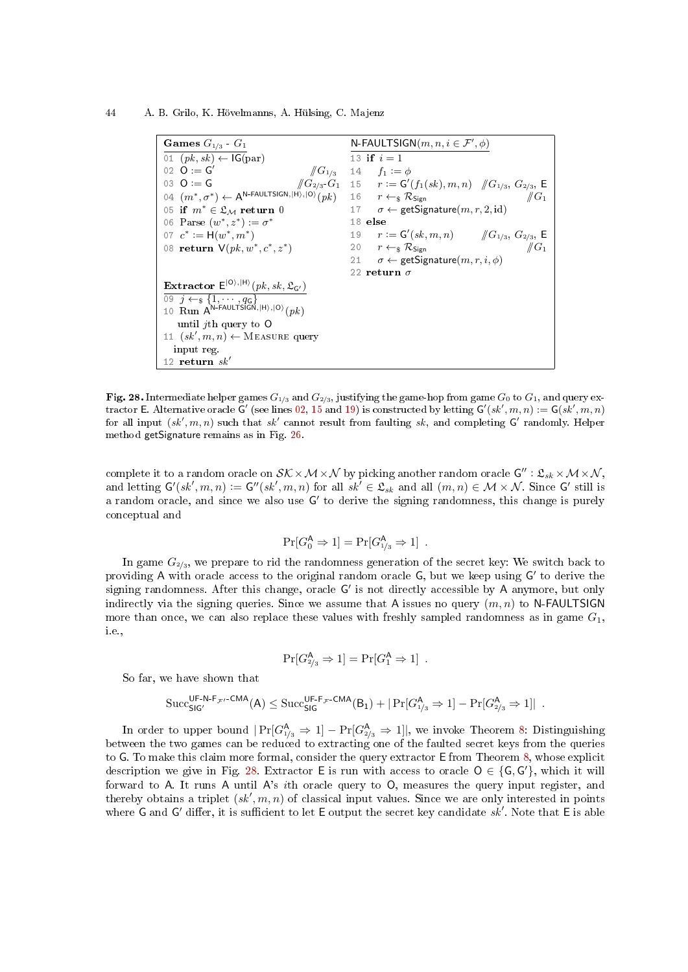44 A. B. Grilo, K. Hövelmanns, A. Hülsing, C. Majenz

<span id="page-43-3"></span><span id="page-43-2"></span><span id="page-43-1"></span>

| Games $G_{1/3}$ $G_1$                                                                             | N-FAULTSIGN $(m, n, i \in \mathcal{F}', \phi)$                                          |
|---------------------------------------------------------------------------------------------------|-----------------------------------------------------------------------------------------|
| 01 $(pk, sk) \leftarrow IG(par)$                                                                  | 13 if $i = 1$                                                                           |
| 02 $Q := G'$                                                                                      | $\sqrt{G_{1/3}}$ 14 $f_1 := \phi$                                                       |
| 03 $Q := G$                                                                                       | $\sqrt{G_{2/3}}\cdot G_1$ 15 $r := G'(f_1(sk), m, n)$ $\sqrt{G_{1/3}}\cdot G_{2/3}$ , E |
| 04 $(m^*, \sigma^*) \leftarrow A^{N\text{-FAULTSIGN},  H\rangle,  O\rangle}(pk)$                  | 16 $r \leftarrow_s \mathcal{R}_{Sign}$<br>$\#G_1$                                       |
| 05 if $m^* \in \mathfrak{L}_M$ return 0                                                           | 17 $\sigma \leftarrow$ getSignature $(m, r, 2, id)$                                     |
| 06 Parse $(w^*, z^*) := \sigma^*$                                                                 | 18 else                                                                                 |
| 07 $c^* := H(w^*, m^*)$                                                                           | 19 $r := \mathsf{G}'(sk,m,n)$ // $G_{1/3}, G_{2/3}, \mathsf{E}$                         |
| 08 return $V(pk, w^*, c^*, z^*)$                                                                  | 20 $r \leftarrow_s \mathcal{R}_{Sign}$<br>$\#G_1$                                       |
|                                                                                                   | 21 $\sigma \leftarrow$ getSignature $(m, r, i, \phi)$                                   |
|                                                                                                   | 22 return $\sigma$                                                                      |
| Extractor $E^{ O\rangle, H\rangle}(pk, sk, \mathfrak{L}_{G'})$                                    |                                                                                         |
| $\overline{09}$ $\overline{j} \leftarrow_s \{1, \cdots, q_{\mathsf{G}}\}$                         |                                                                                         |
| 10 Run A <sup>N-FAULTSIGN, <math> H\rangle</math>, <math> 0\rangle</math> (<math>pk</math>)</sup> |                                                                                         |
| until <i>i</i> th query to $O$                                                                    |                                                                                         |
| 11 $(sk', m, n) \leftarrow$ MEASURE query                                                         |                                                                                         |
| input reg.                                                                                        |                                                                                         |
| 12 return $sk'$                                                                                   |                                                                                         |

<span id="page-43-0"></span>Fig. 28. Intermediate helper games  $G_{1/3}$  and  $G_{2/3}$ , justifying the game-hop from game  $G_0$  to  $G_1$ , and query ex-tractor E. Alternative oracle G' (see lines [02,](#page-43-1) [15](#page-43-2) and [19\)](#page-43-3) is constructed by letting  $G'(sk', m, n) := G(sk', m, n)$ for all input  $(s k', m, n)$  such that  $s k'$  cannot result from faulting sk, and completing G' randomly. Helper method getSignature remains as in Fig. [26.](#page-42-0)

complete it to a random oracle on  $\mathcal{SK}\times\mathcal{M}\times\mathcal{N}$  by picking another random oracle  $\mathsf{G}'':\mathfrak{L}_{sk}\times\mathcal{M}\times\mathcal{N},$ and letting  $G'(sk', m, n) := G''(sk', m, n)$  for all  $sk' \in \mathfrak{L}_{sk}$  and all  $(m, n) \in \mathcal{M} \times \mathcal{N}$ . Since G' still is a random oracle, and since we also use  $G'$  to derive the signing randomness, this change is purely conceptual and

$$
\Pr[G_0^{\mathsf{A}} \Rightarrow 1] = \Pr[G_{1/3}^{\mathsf{A}} \Rightarrow 1] .
$$

In game  $G_{2/3}$ , we prepare to rid the randomness generation of the secret key: We switch back to providing A with oracle access to the original random oracle G, but we keep using G' to derive the signing randomness. After this change, oracle G' is not directly accessible by A anymore, but only indirectly via the signing queries. Since we assume that A issues no query  $(m, n)$  to N-FAULTSIGN more than once, we can also replace these values with freshly sampled randomness as in game  $G_1$ , i.e.,

$$
\Pr[G_{2/3}^{\mathsf{A}} \Rightarrow 1] = \Pr[G_1^{\mathsf{A}} \Rightarrow 1] .
$$

So far, we have shown that

$$
\mathrm{Succ}_{\mathsf{SIG}'}^{\mathsf{UF-N-F}_\mathcal{F'}\text{-CMA}}(\mathsf{A}) \leq \mathrm{Succ}_{\mathsf{SIG}}^{\mathsf{UF-F}_\mathcal{F}\text{-CMA}}(\mathsf{B}_1) + |\Pr[G_{\scriptscriptstyle 1/3}^{\mathsf{A}} \Rightarrow 1] - \Pr[G_{\scriptscriptstyle 2/3}^{\mathsf{A}} \Rightarrow 1]| \enspace .
$$

In order to upper bound  $|\Pr[G_{1/3}^{\mathsf{A}} \Rightarrow 1] - \Pr[G_{2/3}^{\mathsf{A}} \Rightarrow 1]|$ , we invoke Theorem [8:](#page-40-3) Distinguishing between the two games can be reduced to extracting one of the faulted secret keys from the queries to G. To make this claim more formal, consider the query extractor E from Theorem [8,](#page-40-3) whose explicit description we give in Fig. [28.](#page-43-0) Extractor E is run with access to oracle  $O \in \{G, G'\}$ , which it will forward to A. It runs A until A's ith oracle query to O, measures the query input register, and thereby obtains a triplet  $(sk', m, n)$  of classical input values. Since we are only interested in points where G and G' differ, it is sufficient to let E output the secret key candidate  $sk'$ . Note that E is able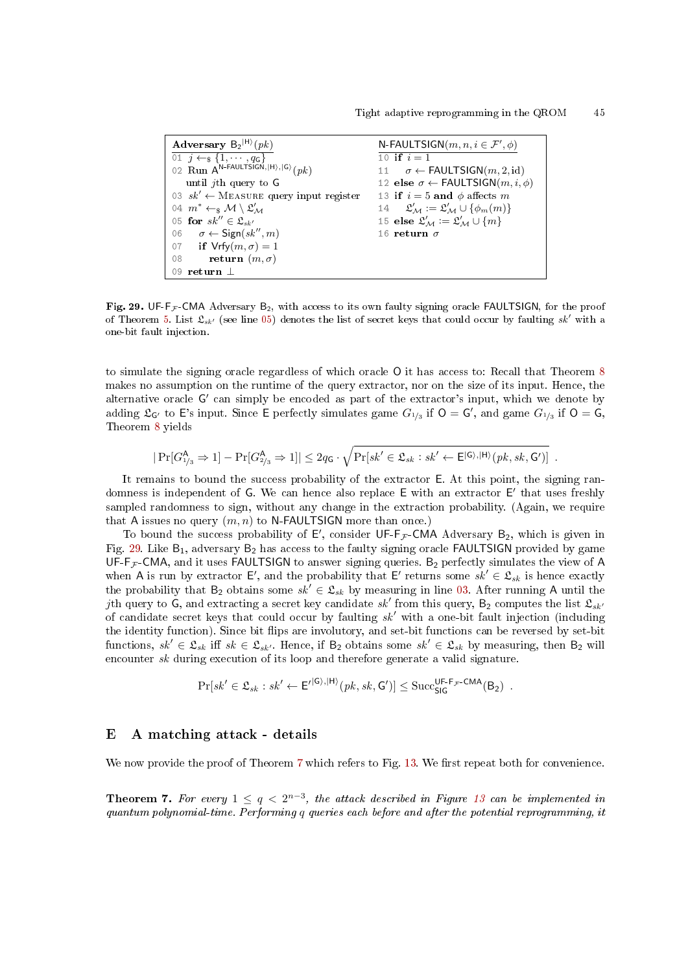<span id="page-44-3"></span><span id="page-44-1"></span>Adversary  $B_2^{|H\rangle}(pk)$  $\overline{01 \quad j \leftarrow_{\$} \{1, \cdots, q_{\mathsf{G}}\}}$ 02  $\text{Run A}^{\text{N-FAULTSIGN},|H\rangle,|G\rangle}(pk)$ until jth query to G 03  $sk' \leftarrow$  MEASURE query input register 04  $m^* \leftarrow_\$ \mathcal{M} \setminus \mathfrak{L}'_{\mathcal{M}}$ 05 for  $sk^{\prime\prime} \in \mathfrak{L}_{sk^{\prime}}$ 06  $\sigma \leftarrow$  Sign(sk'', m) 07 if  $Vrfy(m, \sigma) = 1$ 08 return  $(m, \sigma)$ 09 return ⊥ N-FAULTSIGN $(m, n, i \in \mathcal{F}', \phi)$ 10 if  $i=1$ 11  $\sigma \leftarrow \text{FAULTSIGN}(m, 2, id)$ 12 else  $\sigma \leftarrow \textsf{FAULTSIGN}(m, i, \phi)$ 13 if  $i = 5$  and  $\phi$  affects m 14  $\mathcal{L}'_{\mathcal{M}} := \mathfrak{L}'_{\mathcal{M}} \cup \{\phi_m(m)\}\$ 15 else $\mathfrak{L}_\mathcal{M}' := \mathfrak{L}_\mathcal{M}' \cup \{m\}$ 16 return  $\sigma$ 

<span id="page-44-2"></span>Fig. 29. UF-F<sub>F</sub>-CMA Adversary B<sub>2</sub>, with access to its own faulty signing oracle FAULTSIGN, for the proof of Theorem [5.](#page-17-1) List  $\mathfrak{L}_{sk'}$  (see line [05\)](#page-44-1) denotes the list of secret keys that could occur by faulting sk' with a one-bit fault injection.

to simulate the signing oracle regardless of which oracle O it has access to: Recall that Theorem [8](#page-40-3) makes no assumption on the runtime of the query extractor, nor on the size of its input. Hence, the alternative oracle G' can simply be encoded as part of the extractor's input, which we denote by adding  $\mathfrak{L}_{G'}$  to E's input. Since E perfectly simulates game  $G_{1/3}$  if  $O = G'$ , and game  $G_{1/3}$  if  $O = G$ , Theorem [8](#page-40-3) yields

$$
|\Pr[G_{1/3}^{\mathsf{A}} \Rightarrow 1] - \Pr[G_{2/3}^{\mathsf{A}} \Rightarrow 1]| \leq 2q_{\mathsf{G}} \cdot \sqrt{\Pr[sk' \in \mathfrak{L}_{sk} : sk' \leftarrow \mathsf{E}^{|\mathsf{G}\rangle,|\mathsf{H}\rangle}(pk, sk, \mathsf{G}')]}.
$$

It remains to bound the success probability of the extractor E. At this point, the signing randomness is independent of G. We can hence also replace E with an extractor E' that uses freshly sampled randomness to sign, without any change in the extraction probability. (Again, we require that A issues no query  $(m, n)$  to N-FAULTSIGN more than once.)

To bound the success probability of  $E'$ , consider UF-F<sub>F</sub>-CMA Adversary B<sub>2</sub>, which is given in Fig. [29.](#page-44-2) Like  $B_1$ , adversary  $B_2$  has access to the faulty signing oracle FAULTSIGN provided by game UF-F $_F$ -CMA, and it uses FAULTSIGN to answer signing queries. B<sub>2</sub> perfectly simulates the view of A when A is run by extractor E', and the probability that E' returns some  $sk' \in \mathfrak{L}_{sk}$  is hence exactly the probability that B<sub>2</sub> obtains some  $sk' \in \mathcal{L}_{sk}$  by measuring in line [03.](#page-44-3) After running A until the jth query to G, and extracting a secret key candidate  $sk'$  from this query,  $B_2$  computes the list  $\mathfrak{L}_{sk'}$ of candidate secret keys that could occur by faulting  $sk'$  with a one-bit fault injection (including the identity function). Since bit flips are involutory, and set-bit functions can be reversed by set-bit functions,  $sk' \in \mathfrak{L}_{sk}$  iff  $sk \in \mathfrak{L}_{sk'}$ . Hence, if B<sub>2</sub> obtains some  $sk' \in \mathfrak{L}_{sk}$  by measuring, then B<sub>2</sub> will encounter sk during execution of its loop and therefore generate a valid signature.

$$
\Pr[sk' \in \mathfrak{L}_{sk} : sk' \leftarrow E'^{|G\rangle, |H\rangle}(pk, sk, G')] \leq \text{Succ}_{\text{SIG}}^{\text{UF-F}_{\mathcal{F}}\text{-CMA}}(B_2) .
$$

### <span id="page-44-0"></span>E A matching attack - details

We now provide the proof of Theorem [7](#page-22-3) which refers to Fig. [13.](#page-22-2) We first repeat both for convenience.

**Theorem 7.** For every  $1 \leq q < 2^{n-3}$ , the attack described in Figure [13](#page-22-2) can be implemented in quantum polynomial-time. Performing q queries each before and after the potential reprogramming, it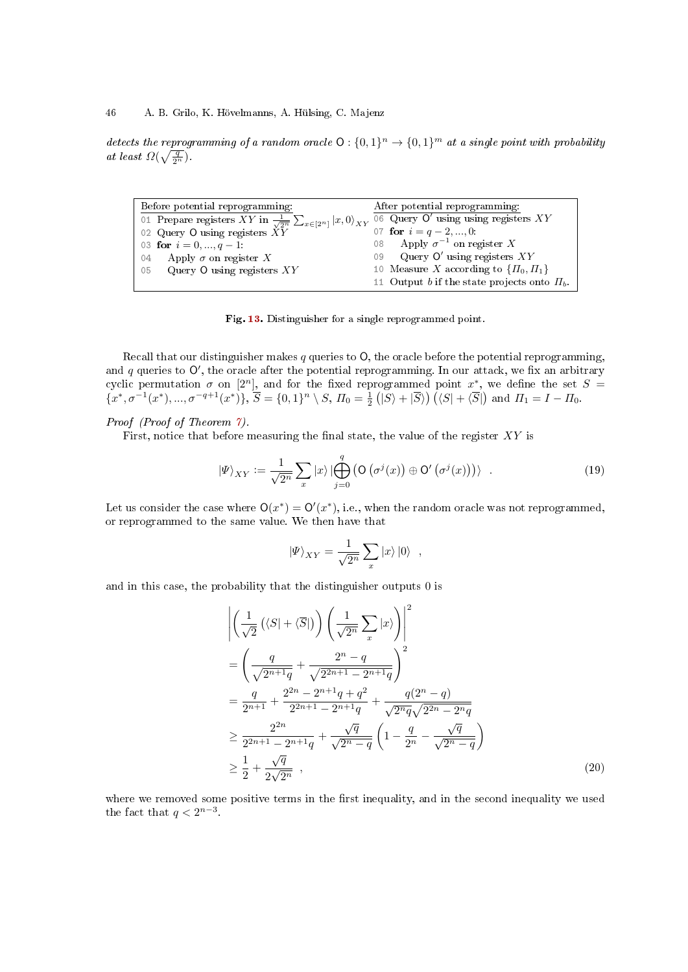detects the reprogramming of a random oracle  $O: \{0,1\}^n \to \{0,1\}^m$  at a single point with probability at least  $\Omega(\sqrt{\frac{q}{2^n}})$ .

| Before potential reprogramming:                                                                                            | After potential reprogramming:                   |
|----------------------------------------------------------------------------------------------------------------------------|--------------------------------------------------|
| 01 Prepare registers XY in $\frac{1}{\sqrt{2^n}} \sum_{x \in [2^n]}  x,0\rangle_{XY}$ 06 Query O' using using registers XY |                                                  |
| 02 Query O using registers $\check{X}\check{Y}$                                                                            | 07 for $i = q - 2, , 0$ :                        |
| 03 for $i = 0, , q - 1$ :                                                                                                  | 08 Apply $\sigma^{-1}$ on register X             |
| 04 Apply $\sigma$ on register X                                                                                            | 09 Query $\mathsf{O}'$ using registers $XY$      |
| 05 Query O using registers $XY$                                                                                            | 10 Measure X according to $\{\Pi_0, \Pi_1\}$     |
|                                                                                                                            | 11 Output b if the state projects onto $\Pi_b$ . |

Fig. [13.](#page-22-2) Distinguisher for a single reprogrammed point.

Recall that our distinguisher makes q queries to  $O$ , the oracle before the potential reprogramming, and  $q$  queries to  $O'$ , the oracle after the potential reprogramming. In our attack, we fix an arbitrary cyclic permutation  $\sigma$  on [2<sup>n</sup>], and for the fixed reprogrammed point  $x^*$ , we define the set  $S =$  $\{(x^*,\sigma^{-1}(x^*),...,\sigma^{-q+1}(x^*)\},\$  $\overline{S} = \{0,1\}^n \setminus S, \Pi_0 = \frac{1}{2} (|S\rangle + |\overline{S}\rangle) (\langle S| + \langle \overline{S}|) \text{ and } \Pi_1 = I - \Pi_0.$ 

# Proof (Proof of Theorem [7\)](#page-22-3).

First, notice that before measuring the final state, the value of the register  $XY$  is

$$
|\Psi\rangle_{XY} := \frac{1}{\sqrt{2^n}} \sum_x |x\rangle \left| \bigoplus_{j=0}^q \left( \mathsf{O}\left( \sigma^j(x) \right) \oplus \mathsf{O}'\left( \sigma^j(x) \right) \right) \right\rangle \quad . \tag{19}
$$

Let us consider the case where  $O(x^*) = O'(x^*)$ , i.e., when the random oracle was not reprogrammed, or reprogrammed to the same value. We then have that

<span id="page-45-0"></span>
$$
\left|\Psi\right\rangle_{XY} = \frac{1}{\sqrt{2^n}} \sum_x \left|x\right\rangle\left|0\right\rangle ,
$$

and in this case, the probability that the distinguisher outputs 0 is

$$
\begin{split}\n&\left| \left( \frac{1}{\sqrt{2}} \left( \langle S | + \langle \overline{S} | \right) \right) \left( \frac{1}{\sqrt{2^n}} \sum_x |x \rangle \right) \right|^2 \\
&= \left( \frac{q}{\sqrt{2^{n+1}q}} + \frac{2^n - q}{\sqrt{2^{2n+1} - 2^{n+1}q}} \right)^2 \\
&= \frac{q}{2^{n+1}} + \frac{2^{2n} - 2^{n+1}q + q^2}{2^{2n+1} - 2^{n+1}q} + \frac{q(2^n - q)}{\sqrt{2^nq}\sqrt{2^{2n} - 2^nq}} \\
&\geq \frac{2^{2n}}{2^{2n+1} - 2^{n+1}q} + \frac{\sqrt{q}}{\sqrt{2^n - q}} \left( 1 - \frac{q}{2^n} - \frac{\sqrt{q}}{\sqrt{2^n - q}} \right) \\
&\geq \frac{1}{2} + \frac{\sqrt{q}}{2\sqrt{2^n}},\n\end{split} \tag{20}
$$

where we removed some positive terms in the first inequality, and in the second inequality we used the fact that  $q < 2^{n-3}$ .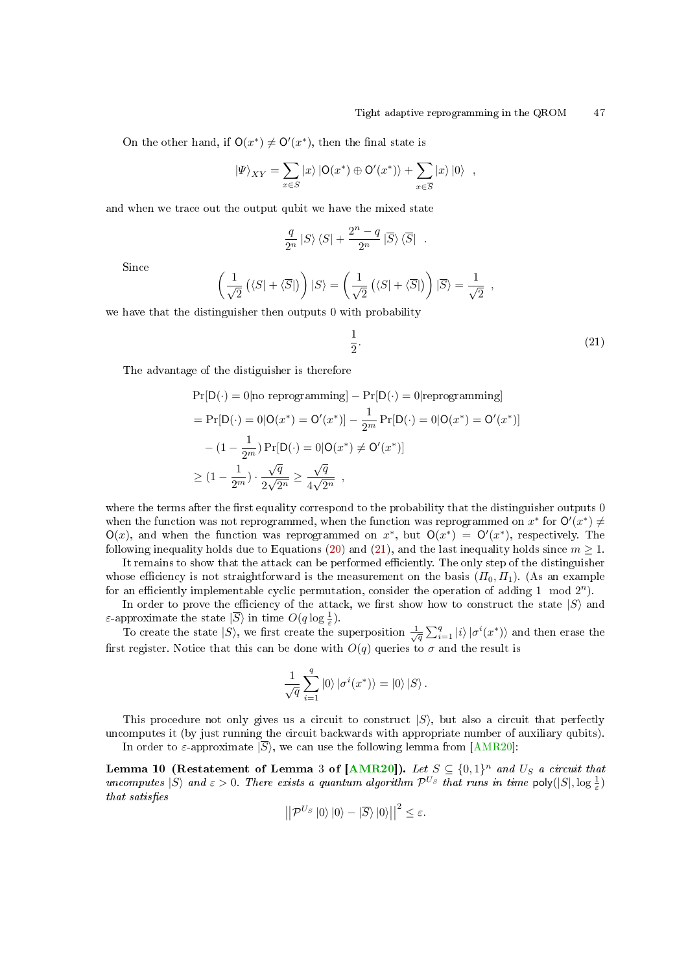On the other hand, if  $O(x^*) \neq O'(x^*)$ , then the final state is

$$
|\Psi\rangle_{XY} = \sum_{x \in S} |x\rangle |O(x^*) \oplus O'(x^*)\rangle + \sum_{x \in \overline{S}} |x\rangle |0\rangle ,
$$

and when we trace out the output qubit we have the mixed state

$$
\frac{q}{2^n}\left|S\right>\left\left<\overline{S}\right| \ .
$$

Since

$$
\left(\frac{1}{\sqrt{2}}\left(\langle S|+\langle \overline{S}| \right)\right)|S\rangle = \left(\frac{1}{\sqrt{2}}\left(\langle S|+\langle \overline{S}| \right)\right)|\overline{S}\rangle = \frac{1}{\sqrt{2}},
$$

we have that the distinguisher then outputs 0 with probability

<span id="page-46-0"></span>
$$
\frac{1}{2}.\tag{21}
$$

The advantage of the distiguisher is therefore

$$
\Pr[D(\cdot) = 0 | \text{no reprogramming}] - \Pr[D(\cdot) = 0 | \text{reprogramming}]
$$
\n
$$
= \Pr[D(\cdot) = 0 | O(x^*) = O'(x^*)] - \frac{1}{2^m} \Pr[D(\cdot) = 0 | O(x^*) = O'(x^*)]
$$
\n
$$
- (1 - \frac{1}{2^m}) \Pr[D(\cdot) = 0 | O(x^*) \neq O'(x^*)]
$$
\n
$$
\geq (1 - \frac{1}{2^m}) \cdot \frac{\sqrt{q}}{2\sqrt{2^n}} \geq \frac{\sqrt{q}}{4\sqrt{2^n}},
$$

where the terms after the first equality correspond to the probability that the distinguisher outputs 0 when the function was not reprogrammed, when the function was reprogrammed on  $x^*$  for  $O'(x^*) \neq$  $O(x)$ , and when the function was reprogrammed on  $x^*$ , but  $O(x^*) = O'(x^*)$ , respectively. The following inequality holds due to Equations [\(20\)](#page-45-0) and [\(21\)](#page-46-0), and the last inequality holds since  $m \ge 1$ .

It remains to show that the attack can be performed efficiently. The only step of the distinguisher whose efficiency is not straightforward is the measurement on the basis  $(\Pi_0, \Pi_1)$ . (As an example for an efficiently implementable cyclic permutation, consider the operation of adding 1 mod  $2^n$ ).

In order to prove the efficiency of the attack, we first show how to construct the state  $|S\rangle$  and ε-approximate the state  $|\overline{S}\rangle$  in time  $O(q \log \frac{1}{\varepsilon})$ .

To create the state  $|S\rangle$ , we first create the superposition  $\frac{1}{\sqrt{q}}\sum_{i=1}^{q}|i\rangle|\sigma^i(x^*)\rangle$  and then erase the first register. Notice that this can be done with  $O(q)$  queries to  $\sigma$  and the result is

$$
\frac{1}{\sqrt{q}}\sum_{i=1}^q\left|0\right>\left|\sigma^i(x^*)\right>=\left|0\right>\left|S\right>.
$$

This procedure not only gives us a circuit to construct  $|S\rangle$ , but also a circuit that perfectly uncomputes it (by just running the circuit backwards with appropriate number of auxiliary qubits). In order to  $\varepsilon$ -approximate  $|\overline{S}\rangle$ , we can use the following lemma from [\[AMR20\]](#page-23-4):

Lemma 10 (Restatement of Lemma 3 of [\[AMR20\]](#page-23-4)). Let  $S \subseteq \{0,1\}^n$  and  $U_S$  a circuit that uncomputes  $|S\rangle$  and  $\varepsilon > 0$ . There exists a quantum algorithm  $\mathcal{P}^{U_S}$  that runs in time  $\mathsf{poly}(|S|, \log \frac{1}{\varepsilon})$ that satisfies

$$
\left| \left| \mathcal{P}^{U_S} \right| 0 \rangle \left| 0 \right\rangle - \left| \overline{S} \right\rangle \left| 0 \right\rangle \right| \right|^2 \leq \varepsilon.
$$